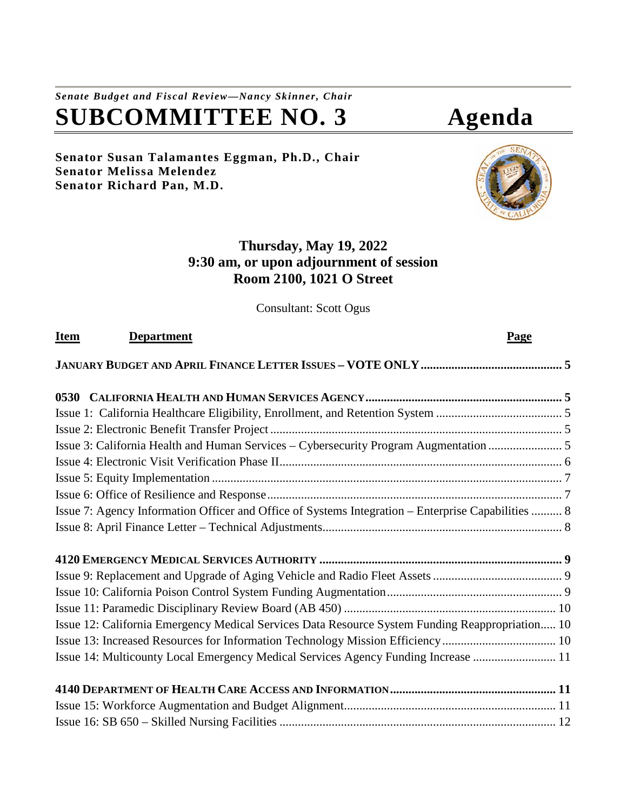# *Senate Budget and Fiscal Review—Nancy Skinner, Chair* **SUBCOMMITTEE NO. 3 Agenda**

# **Senator Susan Talamantes Eggman, Ph.D., Chair Senator Melissa Melendez Senator Richard Pan, M.D.**



# **Thursday, May 19, 2022 9:30 am, or upon adjournment of session Room 2100, 1021 O Street**

Consultant: Scott Ogus

| <u>Item</u> | <b>Department</b>                                                                                  | Page |
|-------------|----------------------------------------------------------------------------------------------------|------|
|             |                                                                                                    |      |
|             |                                                                                                    |      |
|             |                                                                                                    |      |
|             |                                                                                                    |      |
|             | Issue 3: California Health and Human Services – Cybersecurity Program Augmentation                 |      |
|             |                                                                                                    |      |
|             |                                                                                                    |      |
|             |                                                                                                    |      |
|             | Issue 7: Agency Information Officer and Office of Systems Integration – Enterprise Capabilities  8 |      |
|             |                                                                                                    |      |
|             |                                                                                                    |      |
|             |                                                                                                    |      |
|             |                                                                                                    |      |
|             |                                                                                                    |      |
|             | Issue 12: California Emergency Medical Services Data Resource System Funding Reappropriation 10    |      |
|             | Issue 13: Increased Resources for Information Technology Mission Efficiency 10                     |      |
|             | Issue 14: Multicounty Local Emergency Medical Services Agency Funding Increase  11                 |      |
|             |                                                                                                    |      |
|             |                                                                                                    |      |
|             |                                                                                                    |      |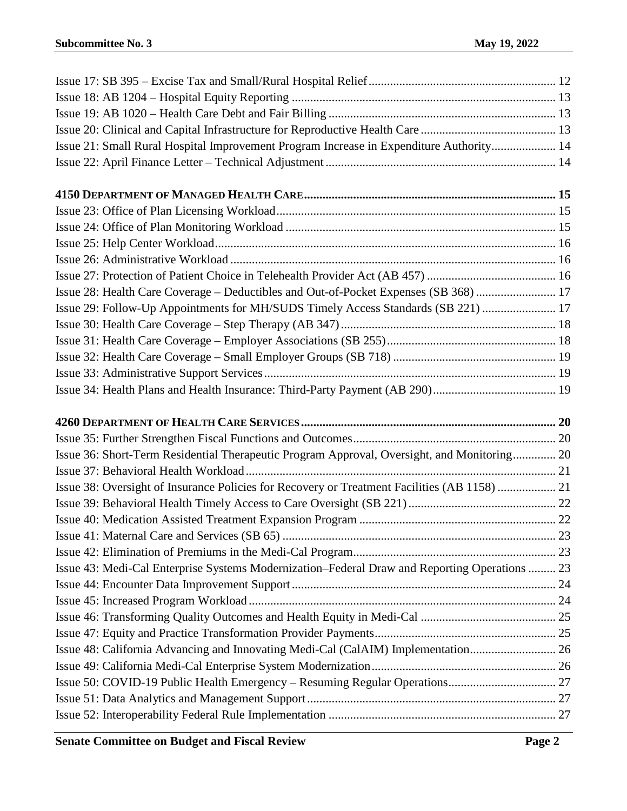| Issue 21: Small Rural Hospital Improvement Program Increase in Expenditure Authority 14       |  |
|-----------------------------------------------------------------------------------------------|--|
|                                                                                               |  |
|                                                                                               |  |
|                                                                                               |  |
|                                                                                               |  |
|                                                                                               |  |
|                                                                                               |  |
|                                                                                               |  |
| Issue 28: Health Care Coverage – Deductibles and Out-of-Pocket Expenses (SB 368)  17          |  |
| Issue 29: Follow-Up Appointments for MH/SUDS Timely Access Standards (SB 221)  17             |  |
|                                                                                               |  |
|                                                                                               |  |
|                                                                                               |  |
|                                                                                               |  |
|                                                                                               |  |
|                                                                                               |  |
|                                                                                               |  |
| Issue 36: Short-Term Residential Therapeutic Program Approval, Oversight, and Monitoring 20   |  |
|                                                                                               |  |
| Issue 38: Oversight of Insurance Policies for Recovery or Treatment Facilities (AB 1158)  21  |  |
|                                                                                               |  |
|                                                                                               |  |
|                                                                                               |  |
|                                                                                               |  |
| Issue 43: Medi-Cal Enterprise Systems Modernization–Federal Draw and Reporting Operations  23 |  |
|                                                                                               |  |
|                                                                                               |  |
|                                                                                               |  |
|                                                                                               |  |
| Issue 48: California Advancing and Innovating Medi-Cal (CalAIM) Implementation 26             |  |
|                                                                                               |  |
|                                                                                               |  |
|                                                                                               |  |
|                                                                                               |  |
|                                                                                               |  |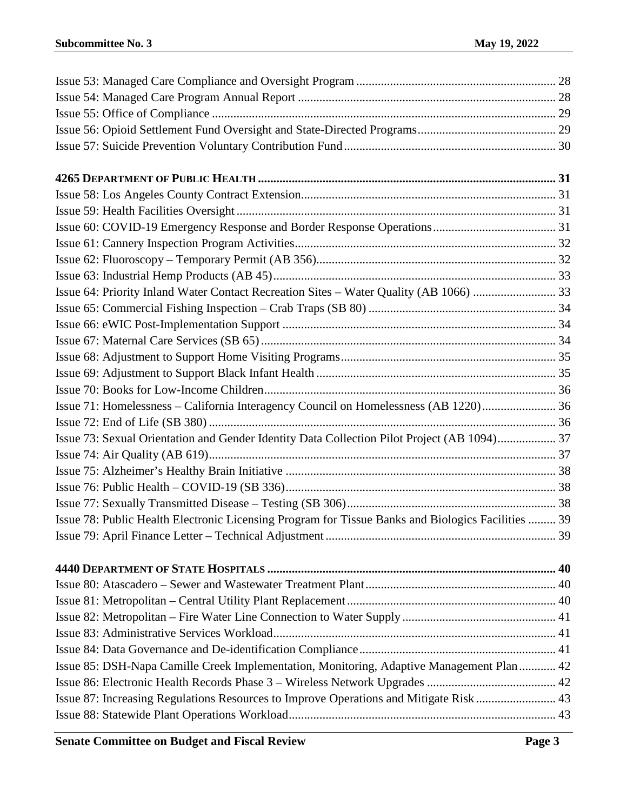| Issue 71: Homelessness - California Interagency Council on Homelessness (AB 1220) 36               |  |
|----------------------------------------------------------------------------------------------------|--|
|                                                                                                    |  |
| Issue 73: Sexual Orientation and Gender Identity Data Collection Pilot Project (AB 1094) 37        |  |
|                                                                                                    |  |
|                                                                                                    |  |
|                                                                                                    |  |
|                                                                                                    |  |
| Issue 78: Public Health Electronic Licensing Program for Tissue Banks and Biologics Facilities  39 |  |
|                                                                                                    |  |
|                                                                                                    |  |
|                                                                                                    |  |
|                                                                                                    |  |
|                                                                                                    |  |
|                                                                                                    |  |
|                                                                                                    |  |
| Issue 85: DSH-Napa Camille Creek Implementation, Monitoring, Adaptive Management Plan  42          |  |
|                                                                                                    |  |
| Issue 87: Increasing Regulations Resources to Improve Operations and Mitigate Risk  43             |  |
|                                                                                                    |  |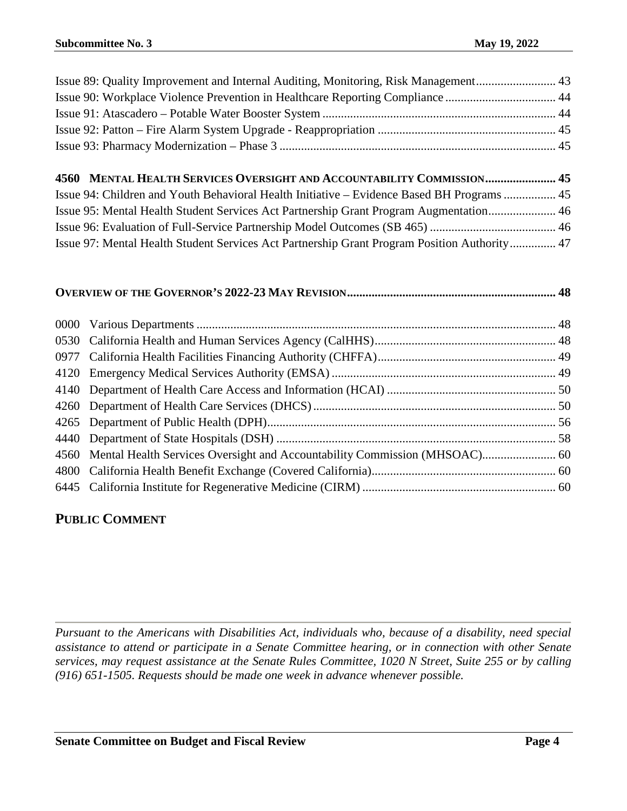| Issue 89: Quality Improvement and Internal Auditing, Monitoring, Risk Management 43 |  |
|-------------------------------------------------------------------------------------|--|
| Issue 90: Workplace Violence Prevention in Healthcare Reporting Compliance  44      |  |
|                                                                                     |  |
|                                                                                     |  |
|                                                                                     |  |
|                                                                                     |  |

| 4560 MENTAL HEALTH SERVICES OVERSIGHT AND ACCOUNTABILITY COMMISSION 45                       |  |
|----------------------------------------------------------------------------------------------|--|
| Issue 94: Children and Youth Behavioral Health Initiative – Evidence Based BH Programs  45   |  |
| Issue 95: Mental Health Student Services Act Partnership Grant Program Augmentation 46       |  |
|                                                                                              |  |
| Issue 97: Mental Health Student Services Act Partnership Grant Program Position Authority 47 |  |

# **OVERVIEW OF THE GOVERNOR'S 2022-23 [MAY REVISION....................................................................](#page-47-0) 48**

# **PUBLIC COMMENT**

*Pursuant to the Americans with Disabilities Act, individuals who, because of a disability, need special assistance to attend or participate in a Senate Committee hearing, or in connection with other Senate services, may request assistance at the Senate Rules Committee, 1020 N Street, Suite 255 or by calling (916) 651-1505. Requests should be made one week in advance whenever possible.*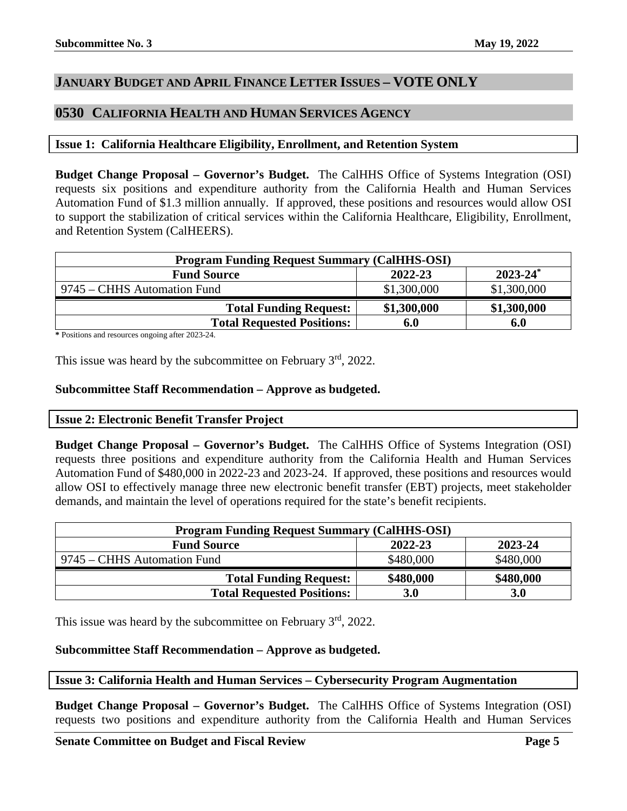# <span id="page-4-0"></span>**JANUARY BUDGET AND APRIL FINANCE LETTER ISSUES – VOTE ONLY**

# <span id="page-4-1"></span>**0530 CALIFORNIA HEALTH AND HUMAN SERVICES AGENCY**

# <span id="page-4-2"></span>**Issue 1: California Healthcare Eligibility, Enrollment, and Retention System**

**Budget Change Proposal – Governor's Budget.** The CalHHS Office of Systems Integration (OSI) requests six positions and expenditure authority from the California Health and Human Services Automation Fund of \$1.3 million annually. If approved, these positions and resources would allow OSI to support the stabilization of critical services within the California Healthcare, Eligibility, Enrollment, and Retention System (CalHEERS).

| <b>Program Funding Request Summary (CalHHS-OSI)</b> |             |               |
|-----------------------------------------------------|-------------|---------------|
| <b>Fund Source</b>                                  | 2022-23     | $2023 - 24^*$ |
| 9745 – CHHS Automation Fund                         | \$1,300,000 | \$1,300,000   |
| <b>Total Funding Request:</b>                       | \$1,300,000 | \$1,300,000   |
| <b>Total Requested Positions:</b>                   | 6.0         | 6.0           |

**\*** Positions and resources ongoing after 2023-24.

This issue was heard by the subcommittee on February  $3<sup>rd</sup>$ , 2022.

# **Subcommittee Staff Recommendation – Approve as budgeted.**

# <span id="page-4-3"></span>**Issue 2: Electronic Benefit Transfer Project**

**Budget Change Proposal – Governor's Budget.** The CalHHS Office of Systems Integration (OSI) requests three positions and expenditure authority from the California Health and Human Services Automation Fund of \$480,000 in 2022-23 and 2023-24. If approved, these positions and resources would allow OSI to effectively manage three new electronic benefit transfer (EBT) projects, meet stakeholder demands, and maintain the level of operations required for the state's benefit recipients.

| <b>Program Funding Request Summary (CalHHS-OSI)</b> |            |            |
|-----------------------------------------------------|------------|------------|
| <b>Fund Source</b>                                  | 2022-23    | 2023-24    |
| 9745 – CHHS Automation Fund                         | \$480,000  | \$480,000  |
| <b>Total Funding Request:</b>                       | \$480,000  | \$480,000  |
| <b>Total Requested Positions:</b>                   | <b>3.0</b> | <b>3.0</b> |

This issue was heard by the subcommittee on February 3<sup>rd</sup>, 2022.

# **Subcommittee Staff Recommendation – Approve as budgeted.**

# <span id="page-4-4"></span>**Issue 3: California Health and Human Services – Cybersecurity Program Augmentation**

**Budget Change Proposal – Governor's Budget.** The CalHHS Office of Systems Integration (OSI) requests two positions and expenditure authority from the California Health and Human Services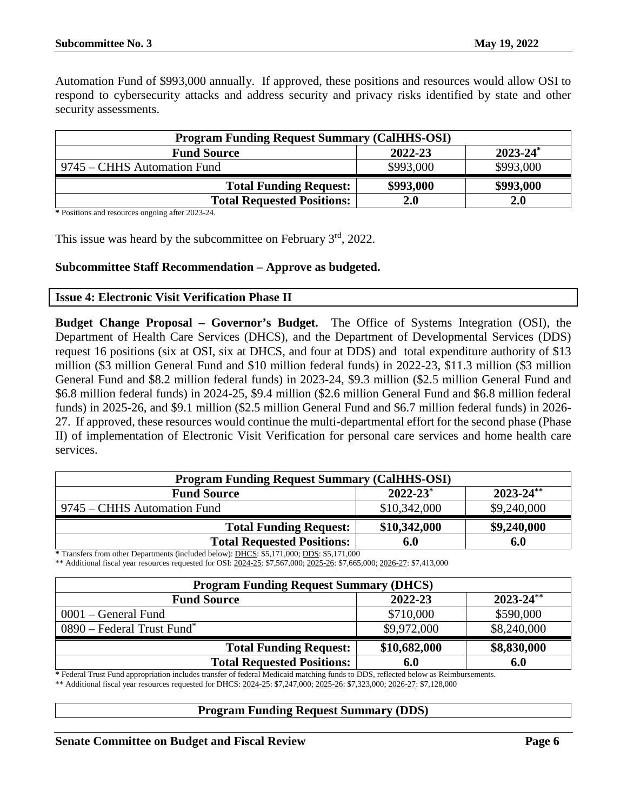Automation Fund of \$993,000 annually. If approved, these positions and resources would allow OSI to respond to cybersecurity attacks and address security and privacy risks identified by state and other security assessments.

| <b>Program Funding Request Summary (CalHHS-OSI)</b> |           |               |
|-----------------------------------------------------|-----------|---------------|
| <b>Fund Source</b>                                  | 2022-23   | $2023 - 24^*$ |
| 9745 – CHHS Automation Fund                         | \$993,000 | \$993,000     |
| <b>Total Funding Request:</b>                       | \$993,000 | \$993,000     |
| <b>Total Requested Positions:</b>                   | 2.0       | 2.0           |

**\*** Positions and resources ongoing after 2023-24.

This issue was heard by the subcommittee on February 3<sup>rd</sup>, 2022.

# **Subcommittee Staff Recommendation – Approve as budgeted.**

#### <span id="page-5-0"></span>**Issue 4: Electronic Visit Verification Phase II**

**Budget Change Proposal – Governor's Budget.** The Office of Systems Integration (OSI), the Department of Health Care Services (DHCS), and the Department of Developmental Services (DDS) request 16 positions (six at OSI, six at DHCS, and four at DDS) and total expenditure authority of \$13 million (\$3 million General Fund and \$10 million federal funds) in 2022-23, \$11.3 million (\$3 million General Fund and \$8.2 million federal funds) in 2023-24, \$9.3 million (\$2.5 million General Fund and \$6.8 million federal funds) in 2024-25, \$9.4 million (\$2.6 million General Fund and \$6.8 million federal funds) in 2025-26, and \$9.1 million (\$2.5 million General Fund and \$6.7 million federal funds) in 2026- 27. If approved, these resources would continue the multi-departmental effort for the second phase (Phase II) of implementation of Electronic Visit Verification for personal care services and home health care services.

| <b>Program Funding Request Summary (CalHHS-OSI)</b>                                                                                                                         |                          |                |
|-----------------------------------------------------------------------------------------------------------------------------------------------------------------------------|--------------------------|----------------|
| <b>Fund Source</b>                                                                                                                                                          | $2022 - 23$ <sup>*</sup> | $2023 - 24$ ** |
| 9745 – CHHS Automation Fund                                                                                                                                                 | \$10,342,000             | \$9,240,000    |
| <b>Total Funding Request:</b>                                                                                                                                               | \$10,342,000             | \$9,240,000    |
| <b>Total Requested Positions:</b><br>$\mathcal{A}$ D $\mathcal{A}$ 1 1 1 1 $\mathcal{A}$ DUCE $\mathcal{A}$ = 171 000 $\mathcal{A}$ DDC $\mathcal{A}$ = 171 000<br>ate com- | 6.0                      | 6.0            |

**\*** Transfers from other Departments (included below): DHCS: \$5,171,000; DDS: \$5,171,000 \*\* Additional fiscal year resources requested for OSI: 2024-25: \$7,567,000; 2025-26: \$7,665,000; 2026-27: \$7,413,000

| <b>Program Funding Request Summary (DHCS)</b> |              |                |
|-----------------------------------------------|--------------|----------------|
| <b>Fund Source</b>                            | 2022-23      | $2023 - 24$ ** |
| $0001 - \text{General Fund}$                  | \$710,000    | \$590,000      |
| $0890$ – Federal Trust Fund <sup>*</sup>      | \$9,972,000  | \$8,240,000    |
| <b>Total Funding Request:</b>                 | \$10,682,000 | \$8,830,000    |
| <b>Total Requested Positions:</b>             | 6.0          | 6.0            |

**\*** Federal Trust Fund appropriation includes transfer of federal Medicaid matching funds to DDS, reflected below as Reimbursements.

\*\* Additional fiscal year resources requested for DHCS: 2024-25: \$7,247,000; 2025-26: \$7,323,000; 2026-27: \$7,128,000

#### **Program Funding Request Summary (DDS)**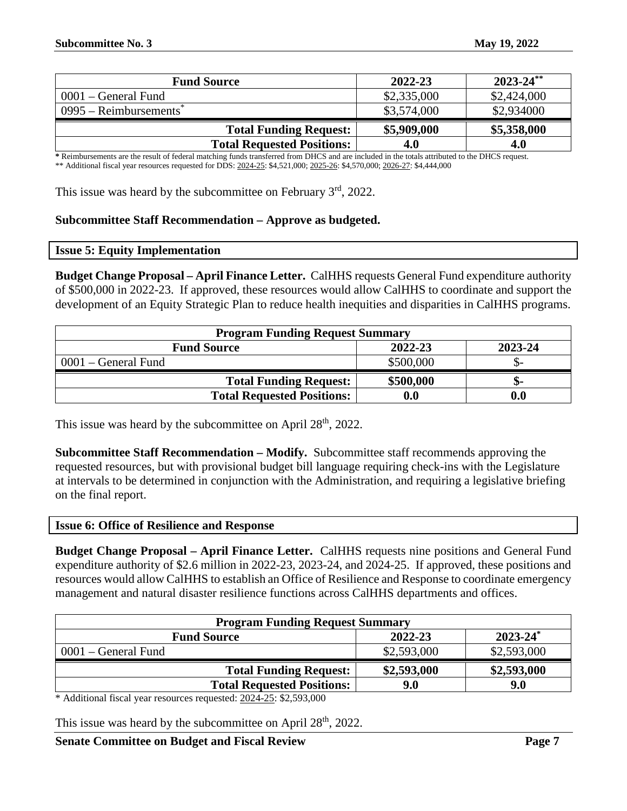| <b>Fund Source</b>                   | 2022-23     | $2023 - 24$ ** |
|--------------------------------------|-------------|----------------|
| $0001$ – General Fund                | \$2,335,000 | \$2,424,000    |
| $0995 -$ Reimbursements <sup>®</sup> | \$3,574,000 | \$2,934000     |
| <b>Total Funding Request:</b>        | \$5,909,000 | \$5,358,000    |
| <b>Total Requested Positions:</b>    | 4.0         | 4.0            |

**\*** Reimbursements are the result of federal matching funds transferred from DHCS and are included in the totals attributed to the DHCS request. \*\* Additional fiscal year resources requested for DDS: 2024-25: \$4,521,000; 2025-26: \$4,570,000; 2026-27: \$4,444,000

This issue was heard by the subcommittee on February  $3<sup>rd</sup>$ , 2022.

#### **Subcommittee Staff Recommendation – Approve as budgeted.**

<span id="page-6-0"></span>

|  |  | <b>Issue 5: Equity Implementation</b> |  |
|--|--|---------------------------------------|--|
|--|--|---------------------------------------|--|

**Budget Change Proposal – April Finance Letter.** CalHHS requests General Fund expenditure authority of \$500,000 in 2022-23. If approved, these resources would allow CalHHS to coordinate and support the development of an Equity Strategic Plan to reduce health inequities and disparities in CalHHS programs.

| <b>Program Funding Request Summary</b>   |                    |                    |  |
|------------------------------------------|--------------------|--------------------|--|
| 2022-23<br>2023-24<br><b>Fund Source</b> |                    |                    |  |
| $0001$ – General Fund                    | \$500,000          |                    |  |
| <b>Total Funding Request:</b>            | \$500,000          | -ת.                |  |
| <b>Total Requested Positions:</b>        | $\boldsymbol{0.0}$ | $\boldsymbol{0.0}$ |  |

This issue was heard by the subcommittee on April  $28<sup>th</sup>$ , 2022.

**Subcommittee Staff Recommendation – Modify.** Subcommittee staff recommends approving the requested resources, but with provisional budget bill language requiring check-ins with the Legislature at intervals to be determined in conjunction with the Administration, and requiring a legislative briefing on the final report.

#### <span id="page-6-1"></span>**Issue 6: Office of Resilience and Response**

**Budget Change Proposal – April Finance Letter.** CalHHS requests nine positions and General Fund expenditure authority of \$2.6 million in 2022-23, 2023-24, and 2024-25. If approved, these positions and resources would allow CalHHS to establish an Office of Resilience and Response to coordinate emergency management and natural disaster resilience functions across CalHHS departments and offices.

| <b>Program Funding Request Summary</b>         |             |             |  |  |
|------------------------------------------------|-------------|-------------|--|--|
| $2023 - 24^*$<br>2022-23<br><b>Fund Source</b> |             |             |  |  |
| $0001$ – General Fund                          | \$2,593,000 | \$2,593,000 |  |  |
| <b>Total Funding Request:</b>                  | \$2,593,000 | \$2,593,000 |  |  |
| <b>Total Requested Positions:</b>              | 9.0         | 9.0         |  |  |

\* Additional fiscal year resources requested: 2024-25: \$2,593,000

This issue was heard by the subcommittee on April  $28<sup>th</sup>$ , 2022.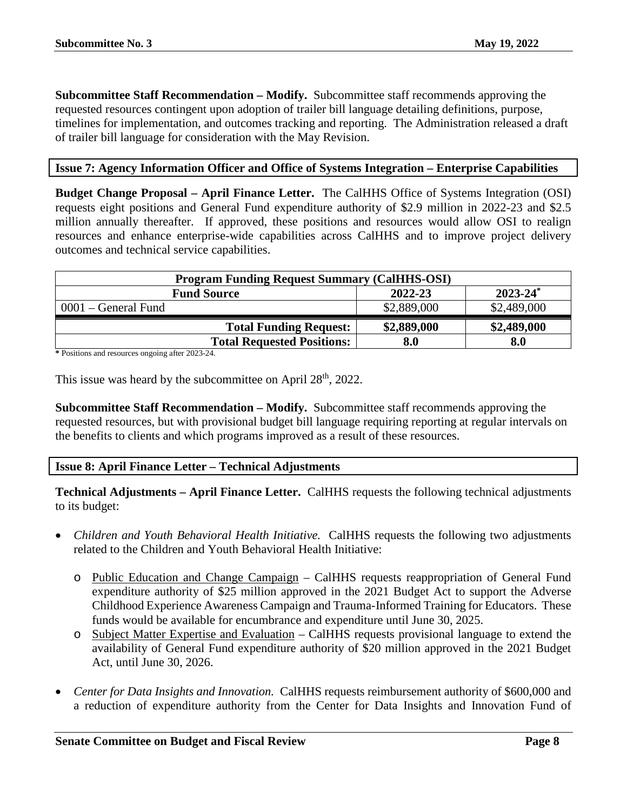**Subcommittee Staff Recommendation – Modify.** Subcommittee staff recommends approving the requested resources contingent upon adoption of trailer bill language detailing definitions, purpose, timelines for implementation, and outcomes tracking and reporting. The Administration released a draft of trailer bill language for consideration with the May Revision.

# <span id="page-7-0"></span>**Issue 7: Agency Information Officer and Office of Systems Integration – Enterprise Capabilities**

**Budget Change Proposal – April Finance Letter.** The CalHHS Office of Systems Integration (OSI) requests eight positions and General Fund expenditure authority of \$2.9 million in 2022-23 and \$2.5 million annually thereafter. If approved, these positions and resources would allow OSI to realign resources and enhance enterprise-wide capabilities across CalHHS and to improve project delivery outcomes and technical service capabilities.

| <b>Program Funding Request Summary (CalHHS-OSI)</b> |             |               |  |
|-----------------------------------------------------|-------------|---------------|--|
| <b>Fund Source</b>                                  | 2022-23     | $2023 - 24^*$ |  |
| 0001 – General Fund                                 | \$2,889,000 | \$2,489,000   |  |
| <b>Total Funding Request:</b>                       | \$2,889,000 | \$2,489,000   |  |
| <b>Total Requested Positions:</b>                   | 8.0         | 8.0           |  |

**\*** Positions and resources ongoing after 2023-24.

This issue was heard by the subcommittee on April 28<sup>th</sup>, 2022.

**Subcommittee Staff Recommendation – Modify.** Subcommittee staff recommends approving the requested resources, but with provisional budget bill language requiring reporting at regular intervals on the benefits to clients and which programs improved as a result of these resources.

# <span id="page-7-1"></span>**Issue 8: April Finance Letter – Technical Adjustments**

**Technical Adjustments – April Finance Letter.** CalHHS requests the following technical adjustments to its budget:

- *Children and Youth Behavioral Health Initiative.* CalHHS requests the following two adjustments related to the Children and Youth Behavioral Health Initiative:
	- o Public Education and Change Campaign CalHHS requests reappropriation of General Fund expenditure authority of \$25 million approved in the 2021 Budget Act to support the Adverse Childhood Experience Awareness Campaign and Trauma-Informed Training for Educators. These funds would be available for encumbrance and expenditure until June 30, 2025.
	- o Subject Matter Expertise and Evaluation CalHHS requests provisional language to extend the availability of General Fund expenditure authority of \$20 million approved in the 2021 Budget Act, until June 30, 2026.
- *Center for Data Insights and Innovation.* CalHHS requests reimbursement authority of \$600,000 and a reduction of expenditure authority from the Center for Data Insights and Innovation Fund of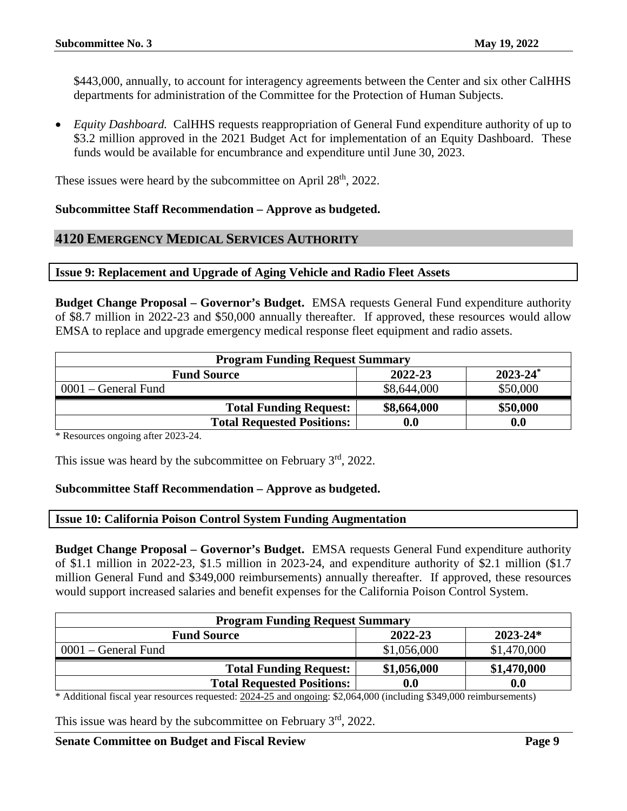\$443,000, annually, to account for interagency agreements between the Center and six other CalHHS departments for administration of the Committee for the Protection of Human Subjects.

• *Equity Dashboard.* CalHHS requests reappropriation of General Fund expenditure authority of up to \$3.2 million approved in the 2021 Budget Act for implementation of an Equity Dashboard. These funds would be available for encumbrance and expenditure until June 30, 2023.

These issues were heard by the subcommittee on April 28<sup>th</sup>, 2022.

#### **Subcommittee Staff Recommendation – Approve as budgeted.**

#### <span id="page-8-0"></span>**4120 EMERGENCY MEDICAL SERVICES AUTHORITY**

#### <span id="page-8-1"></span>**Issue 9: Replacement and Upgrade of Aging Vehicle and Radio Fleet Assets**

**Budget Change Proposal – Governor's Budget.** EMSA requests General Fund expenditure authority of \$8.7 million in 2022-23 and \$50,000 annually thereafter. If approved, these resources would allow EMSA to replace and upgrade emergency medical response fleet equipment and radio assets.

| <b>Program Funding Request Summary</b>         |             |          |  |  |
|------------------------------------------------|-------------|----------|--|--|
| $2023 - 24^*$<br>2022-23<br><b>Fund Source</b> |             |          |  |  |
| $0001 - \text{General Fund}$                   | \$8,644,000 | \$50,000 |  |  |
| <b>Total Funding Request:</b>                  | \$8,664,000 | \$50,000 |  |  |
| <b>Total Requested Positions:</b>              | 0.0         | 0.0      |  |  |

\* Resources ongoing after 2023-24.

This issue was heard by the subcommittee on February  $3<sup>rd</sup>$ , 2022.

#### **Subcommittee Staff Recommendation – Approve as budgeted.**

#### <span id="page-8-2"></span>**Issue 10: California Poison Control System Funding Augmentation**

**Budget Change Proposal – Governor's Budget.** EMSA requests General Fund expenditure authority of \$1.1 million in 2022-23, \$1.5 million in 2023-24, and expenditure authority of \$2.1 million (\$1.7 million General Fund and \$349,000 reimbursements) annually thereafter. If approved, these resources would support increased salaries and benefit expenses for the California Poison Control System.

| <b>Program Funding Request Summary</b>        |                    |             |  |  |
|-----------------------------------------------|--------------------|-------------|--|--|
| 2022-23<br>$2023 - 24*$<br><b>Fund Source</b> |                    |             |  |  |
| $0001$ – General Fund                         | \$1,056,000        | \$1,470,000 |  |  |
| <b>Total Funding Request:</b>                 | \$1,056,000        | \$1,470,000 |  |  |
| <b>Total Requested Positions:</b>             | $\boldsymbol{0.0}$ | 0.0         |  |  |

\* Additional fiscal year resources requested: 2024-25 and ongoing: \$2,064,000 (including \$349,000 reimbursements)

This issue was heard by the subcommittee on February 3<sup>rd</sup>, 2022.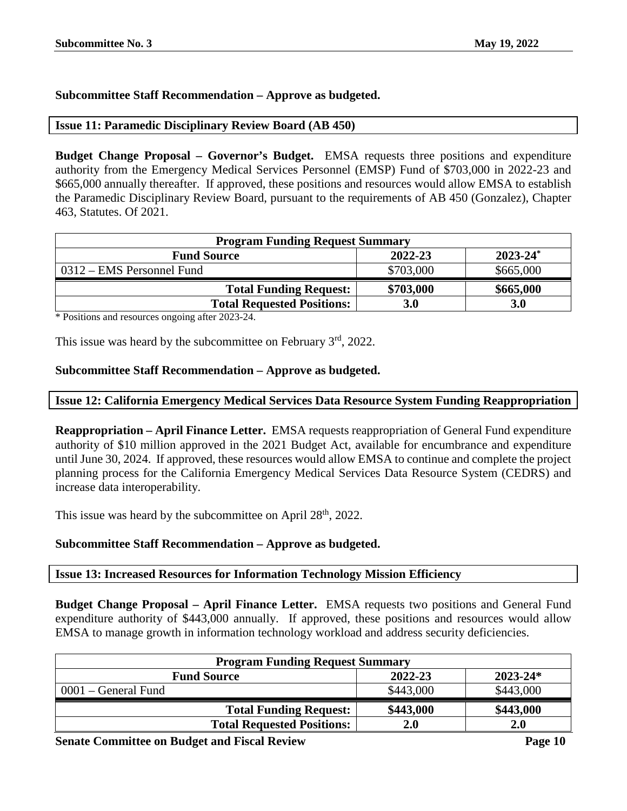# **Subcommittee Staff Recommendation – Approve as budgeted.**

#### <span id="page-9-0"></span>**Issue 11: Paramedic Disciplinary Review Board (AB 450)**

**Budget Change Proposal – Governor's Budget.** EMSA requests three positions and expenditure authority from the Emergency Medical Services Personnel (EMSP) Fund of \$703,000 in 2022-23 and \$665,000 annually thereafter. If approved, these positions and resources would allow EMSA to establish the Paramedic Disciplinary Review Board, pursuant to the requirements of AB 450 (Gonzalez), Chapter 463, Statutes. Of 2021.

| <b>Program Funding Request Summary</b>         |           |            |  |
|------------------------------------------------|-----------|------------|--|
| $2023 - 24^*$<br>2022-23<br><b>Fund Source</b> |           |            |  |
| 0312 – EMS Personnel Fund                      | \$703,000 | \$665,000  |  |
| <b>Total Funding Request:</b>                  | \$703,000 | \$665,000  |  |
| <b>Total Requested Positions:</b>              | 3.0       | <b>3.0</b> |  |

\* Positions and resources ongoing after 2023-24.

This issue was heard by the subcommittee on February  $3<sup>rd</sup>$ , 2022.

# **Subcommittee Staff Recommendation – Approve as budgeted.**

#### <span id="page-9-1"></span>**Issue 12: California Emergency Medical Services Data Resource System Funding Reappropriation**

**Reappropriation – April Finance Letter.** EMSA requests reappropriation of General Fund expenditure authority of \$10 million approved in the 2021 Budget Act, available for encumbrance and expenditure until June 30, 2024. If approved, these resources would allow EMSA to continue and complete the project planning process for the California Emergency Medical Services Data Resource System (CEDRS) and increase data interoperability.

This issue was heard by the subcommittee on April  $28<sup>th</sup>$ , 2022.

# **Subcommittee Staff Recommendation – Approve as budgeted.**

# <span id="page-9-2"></span>**Issue 13: Increased Resources for Information Technology Mission Efficiency**

**Budget Change Proposal – April Finance Letter.** EMSA requests two positions and General Fund expenditure authority of \$443,000 annually. If approved, these positions and resources would allow EMSA to manage growth in information technology workload and address security deficiencies.

| <b>Program Funding Request Summary</b>        |           |            |  |  |
|-----------------------------------------------|-----------|------------|--|--|
| 2022-23<br>$2023 - 24*$<br><b>Fund Source</b> |           |            |  |  |
| $0001$ – General Fund                         | \$443,000 | \$443,000  |  |  |
| <b>Total Funding Request:</b>                 | \$443,000 | \$443,000  |  |  |
| <b>Total Requested Positions:</b>             | 2.0       | <b>2.0</b> |  |  |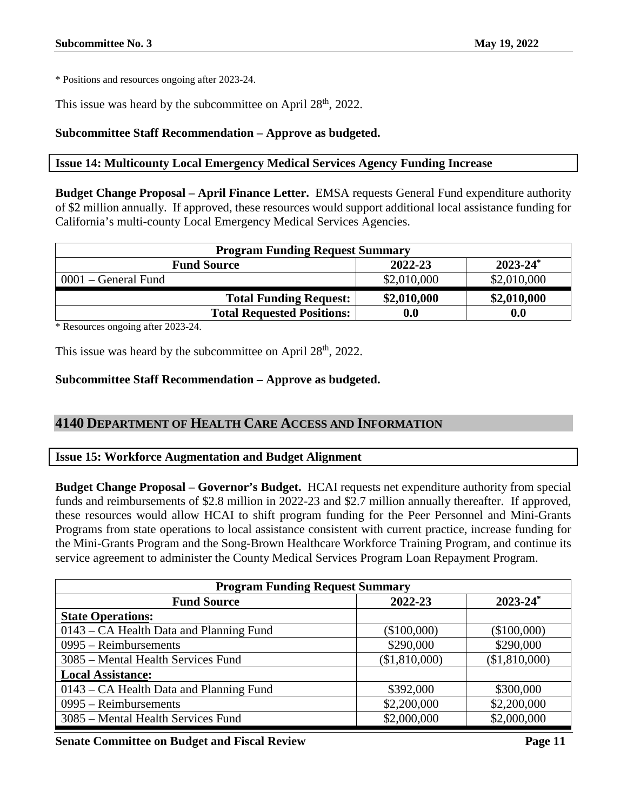This issue was heard by the subcommittee on April  $28<sup>th</sup>$ , 2022.

# **Subcommittee Staff Recommendation – Approve as budgeted.**

# <span id="page-10-0"></span>**Issue 14: Multicounty Local Emergency Medical Services Agency Funding Increase**

**Budget Change Proposal – April Finance Letter.** EMSA requests General Fund expenditure authority of \$2 million annually. If approved, these resources would support additional local assistance funding for California's multi-county Local Emergency Medical Services Agencies.

| <b>Program Funding Request Summary</b>         |                    |             |  |  |
|------------------------------------------------|--------------------|-------------|--|--|
| $2023 - 24^*$<br>2022-23<br><b>Fund Source</b> |                    |             |  |  |
| $0001$ – General Fund                          | \$2,010,000        | \$2,010,000 |  |  |
| <b>Total Funding Request:</b>                  | \$2,010,000        | \$2,010,000 |  |  |
| <b>Total Requested Positions:</b>              | $\boldsymbol{0.0}$ | 0.0         |  |  |

\* Resources ongoing after 2023-24.

This issue was heard by the subcommittee on April  $28<sup>th</sup>$ ,  $2022$ .

# **Subcommittee Staff Recommendation – Approve as budgeted.**

# <span id="page-10-1"></span>**4140 DEPARTMENT OF HEALTH CARE ACCESS AND INFORMATION**

# <span id="page-10-2"></span>**Issue 15: Workforce Augmentation and Budget Alignment**

**Budget Change Proposal – Governor's Budget.** HCAI requests net expenditure authority from special funds and reimbursements of \$2.8 million in 2022-23 and \$2.7 million annually thereafter. If approved, these resources would allow HCAI to shift program funding for the Peer Personnel and Mini-Grants Programs from state operations to local assistance consistent with current practice, increase funding for the Mini-Grants Program and the Song-Brown Healthcare Workforce Training Program, and continue its service agreement to administer the County Medical Services Program Loan Repayment Program.

| <b>Program Funding Request Summary</b>  |               |                          |  |
|-----------------------------------------|---------------|--------------------------|--|
| <b>Fund Source</b>                      | 2022-23       | $2023 - 24$ <sup>*</sup> |  |
| <b>State Operations:</b>                |               |                          |  |
| 0143 – CA Health Data and Planning Fund | (\$100,000)   | (\$100,000)              |  |
| $0995 - Reimbursements$                 | \$290,000     | \$290,000                |  |
| 3085 – Mental Health Services Fund      | (\$1,810,000) | (\$1,810,000)            |  |
| <b>Local Assistance:</b>                |               |                          |  |
| 0143 – CA Health Data and Planning Fund | \$392,000     | \$300,000                |  |
| $0995 -$ Reimbursements                 | \$2,200,000   | \$2,200,000              |  |
| 3085 – Mental Health Services Fund      | \$2,000,000   | \$2,000,000              |  |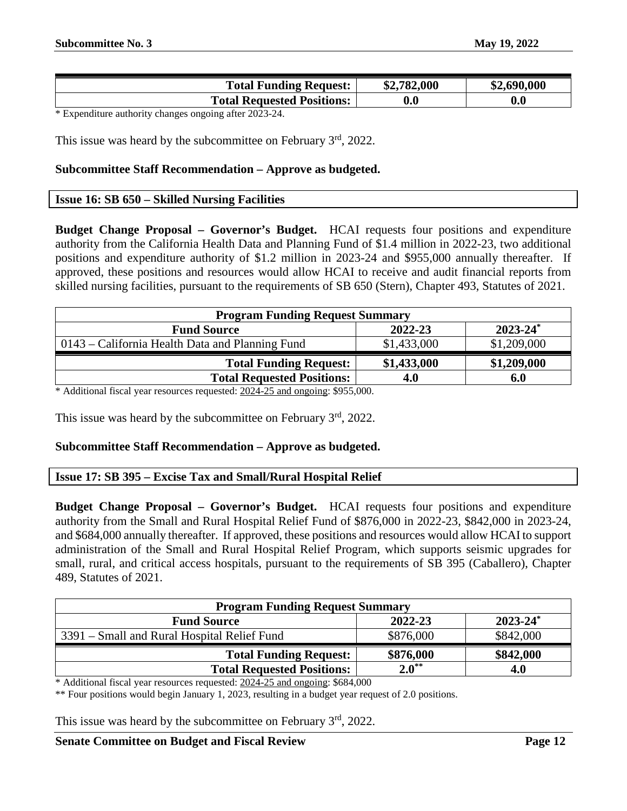| <b>Total Funding Request:</b>     | \$2,782,000 | \$2,690,000 |
|-----------------------------------|-------------|-------------|
| <b>Total Requested Positions:</b> | $0.0\,$     | 0.0         |

\* Expenditure authority changes ongoing after 2023-24.

This issue was heard by the subcommittee on February 3<sup>rd</sup>, 2022.

#### **Subcommittee Staff Recommendation – Approve as budgeted.**

#### <span id="page-11-0"></span>**Issue 16: SB 650 – Skilled Nursing Facilities**

**Budget Change Proposal – Governor's Budget.** HCAI requests four positions and expenditure authority from the California Health Data and Planning Fund of \$1.4 million in 2022-23, two additional positions and expenditure authority of \$1.2 million in 2023-24 and \$955,000 annually thereafter. If approved, these positions and resources would allow HCAI to receive and audit financial reports from skilled nursing facilities, pursuant to the requirements of SB 650 (Stern), Chapter 493, Statutes of 2021.

| <b>Program Funding Request Summary</b> |                          |  |  |
|----------------------------------------|--------------------------|--|--|
| 2022-23                                | $2023 - 24$ <sup>*</sup> |  |  |
| \$1,433,000                            | \$1,209,000              |  |  |
| \$1,433,000                            | \$1,209,000              |  |  |
| 4.0                                    | 6.0                      |  |  |
|                                        |                          |  |  |

\* Additional fiscal year resources requested: 2024-25 and ongoing: \$955,000.

This issue was heard by the subcommittee on February 3<sup>rd</sup>, 2022.

#### **Subcommittee Staff Recommendation – Approve as budgeted.**

#### <span id="page-11-1"></span>**Issue 17: SB 395 – Excise Tax and Small/Rural Hospital Relief**

**Budget Change Proposal – Governor's Budget.** HCAI requests four positions and expenditure authority from the Small and Rural Hospital Relief Fund of \$876,000 in 2022-23, \$842,000 in 2023-24, and \$684,000 annually thereafter. If approved, these positions and resources would allow HCAI to support administration of the Small and Rural Hospital Relief Program, which supports seismic upgrades for small, rural, and critical access hospitals, pursuant to the requirements of SB 395 (Caballero), Chapter 489, Statutes of 2021.

| <b>Program Funding Request Summary</b>         |            |           |  |  |
|------------------------------------------------|------------|-----------|--|--|
| $2023 - 24^*$<br>2022-23<br><b>Fund Source</b> |            |           |  |  |
| 3391 – Small and Rural Hospital Relief Fund    | \$876,000  | \$842,000 |  |  |
| <b>Total Funding Request:</b>                  | \$876,000  | \$842,000 |  |  |
| <b>Total Requested Positions:</b>              | $2.0^{**}$ | 4.0       |  |  |

\* Additional fiscal year resources requested: 2024-25 and ongoing: \$684,000

\*\* Four positions would begin January 1, 2023, resulting in a budget year request of 2.0 positions.

This issue was heard by the subcommittee on February 3<sup>rd</sup>, 2022.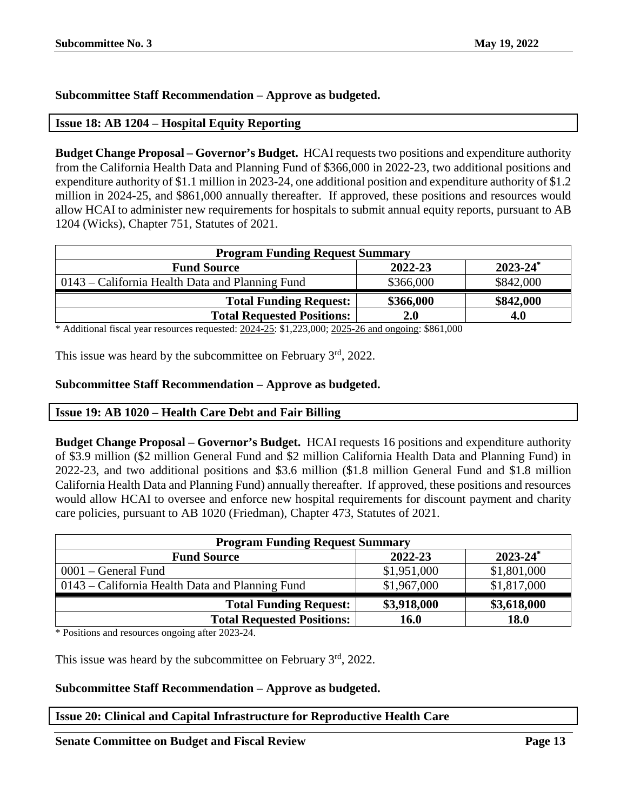# **Subcommittee Staff Recommendation – Approve as budgeted.**

# <span id="page-12-0"></span>**Issue 18: AB 1204 – Hospital Equity Reporting**

**Budget Change Proposal – Governor's Budget.** HCAI requests two positions and expenditure authority from the California Health Data and Planning Fund of \$366,000 in 2022-23, two additional positions and expenditure authority of \$1.1 million in 2023-24, one additional position and expenditure authority of \$1.2 million in 2024-25, and \$861,000 annually thereafter. If approved, these positions and resources would allow HCAI to administer new requirements for hospitals to submit annual equity reports, pursuant to AB 1204 (Wicks), Chapter 751, Statutes of 2021.

| <b>Program Funding Request Summary</b>         |           |  |  |  |  |
|------------------------------------------------|-----------|--|--|--|--|
| $2023 - 24^*$<br>2022-23<br><b>Fund Source</b> |           |  |  |  |  |
| \$366,000                                      | \$842,000 |  |  |  |  |
| \$366,000                                      | \$842,000 |  |  |  |  |
| 2.0                                            | 4.0       |  |  |  |  |
|                                                | 0.02100   |  |  |  |  |

\* Additional fiscal year resources requested: 2024-25: \$1,223,000; 2025-26 and ongoing: \$861,000

This issue was heard by the subcommittee on February  $3<sup>rd</sup>$ , 2022.

# **Subcommittee Staff Recommendation – Approve as budgeted.**

# <span id="page-12-1"></span>**Issue 19: AB 1020 – Health Care Debt and Fair Billing**

**Budget Change Proposal – Governor's Budget.** HCAI requests 16 positions and expenditure authority of \$3.9 million (\$2 million General Fund and \$2 million California Health Data and Planning Fund) in 2022-23, and two additional positions and \$3.6 million (\$1.8 million General Fund and \$1.8 million California Health Data and Planning Fund) annually thereafter. If approved, these positions and resources would allow HCAI to oversee and enforce new hospital requirements for discount payment and charity care policies, pursuant to AB 1020 (Friedman), Chapter 473, Statutes of 2021.

| <b>Program Funding Request Summary</b>          |             |             |  |  |  |
|-------------------------------------------------|-------------|-------------|--|--|--|
| $2023 - 24^*$<br>2022-23<br><b>Fund Source</b>  |             |             |  |  |  |
| $0001$ – General Fund                           | \$1,951,000 | \$1,801,000 |  |  |  |
| 0143 – California Health Data and Planning Fund | \$1,967,000 | \$1,817,000 |  |  |  |
| <b>Total Funding Request:</b>                   | \$3,918,000 | \$3,618,000 |  |  |  |
| <b>Total Requested Positions:</b>               | <b>16.0</b> | <b>18.0</b> |  |  |  |

\* Positions and resources ongoing after 2023-24.

This issue was heard by the subcommittee on February  $3<sup>rd</sup>$ , 2022.

# **Subcommittee Staff Recommendation – Approve as budgeted.**

# <span id="page-12-2"></span>**Issue 20: Clinical and Capital Infrastructure for Reproductive Health Care**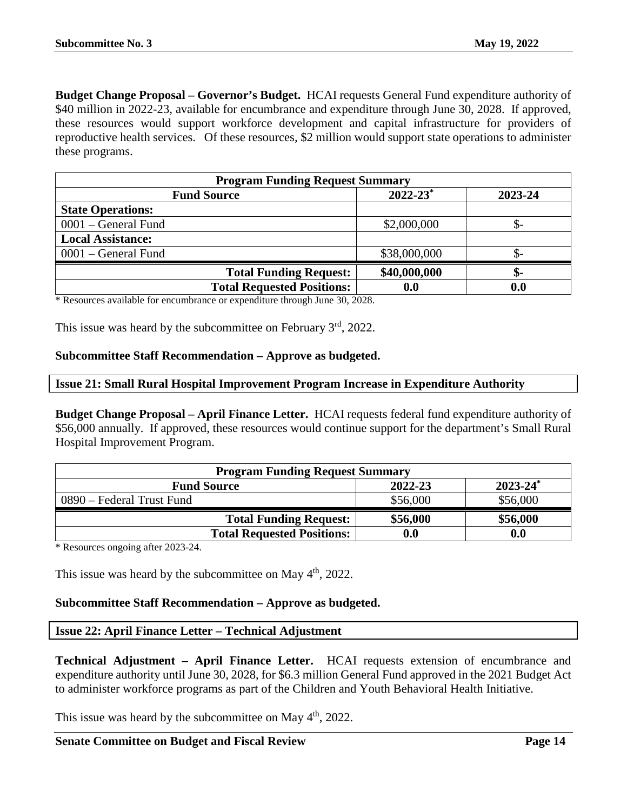**Budget Change Proposal – Governor's Budget.** HCAI requests General Fund expenditure authority of \$40 million in 2022-23, available for encumbrance and expenditure through June 30, 2028. If approved, these resources would support workforce development and capital infrastructure for providers of reproductive health services. Of these resources, \$2 million would support state operations to administer these programs.

| <b>Program Funding Request Summary</b> |                          |                    |
|----------------------------------------|--------------------------|--------------------|
| <b>Fund Source</b>                     | $2022 - 23$ <sup>*</sup> | 2023-24            |
| <b>State Operations:</b>               |                          |                    |
| 0001 – General Fund                    | \$2,000,000              | .ъ-                |
| <b>Local Assistance:</b>               |                          |                    |
| 0001 – General Fund                    | \$38,000,000             | .ъ-                |
| <b>Total Funding Request:</b>          | \$40,000,000             | \$-                |
| <b>Total Requested Positions:</b>      | 0.0                      | $\boldsymbol{0.0}$ |

\* Resources available for encumbrance or expenditure through June 30, 2028.

This issue was heard by the subcommittee on February  $3<sup>rd</sup>$ , 2022.

#### **Subcommittee Staff Recommendation – Approve as budgeted.**

#### <span id="page-13-0"></span>**Issue 21: Small Rural Hospital Improvement Program Increase in Expenditure Authority**

**Budget Change Proposal – April Finance Letter.** HCAI requests federal fund expenditure authority of \$56,000 annually. If approved, these resources would continue support for the department's Small Rural Hospital Improvement Program.

| <b>Program Funding Request Summary</b>         |                    |          |  |  |
|------------------------------------------------|--------------------|----------|--|--|
| $2023 - 24^*$<br>2022-23<br><b>Fund Source</b> |                    |          |  |  |
| 0890 – Federal Trust Fund                      | \$56,000           | \$56,000 |  |  |
| <b>Total Funding Request:</b>                  | \$56,000           | \$56,000 |  |  |
| <b>Total Requested Positions:</b>              | $\boldsymbol{0.0}$ | 0.0      |  |  |

\* Resources ongoing after 2023-24.

This issue was heard by the subcommittee on May  $4<sup>th</sup>$ , 2022.

# **Subcommittee Staff Recommendation – Approve as budgeted.**

#### <span id="page-13-1"></span>**Issue 22: April Finance Letter – Technical Adjustment**

**Technical Adjustment – April Finance Letter.** HCAI requests extension of encumbrance and expenditure authority until June 30, 2028, for \$6.3 million General Fund approved in the 2021 Budget Act to administer workforce programs as part of the Children and Youth Behavioral Health Initiative.

This issue was heard by the subcommittee on May  $4<sup>th</sup>$ , 2022.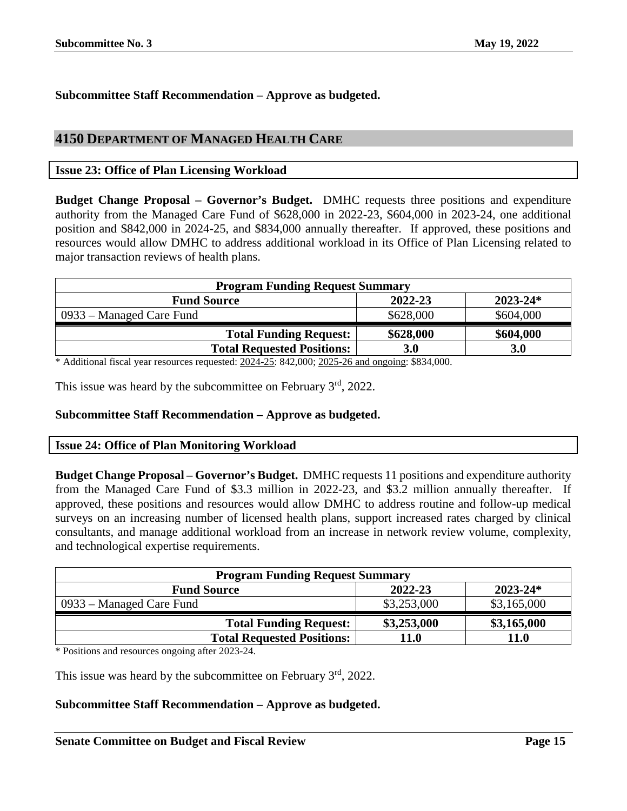# **Subcommittee Staff Recommendation – Approve as budgeted.**

# <span id="page-14-0"></span>**4150 DEPARTMENT OF MANAGED HEALTH CARE**

# <span id="page-14-1"></span>**Issue 23: Office of Plan Licensing Workload**

**Budget Change Proposal – Governor's Budget.** DMHC requests three positions and expenditure authority from the Managed Care Fund of \$628,000 in 2022-23, \$604,000 in 2023-24, one additional position and \$842,000 in 2024-25, and \$834,000 annually thereafter. If approved, these positions and resources would allow DMHC to address additional workload in its Office of Plan Licensing related to major transaction reviews of health plans.

| $2023 - 24*$ |
|--------------|
|              |
| \$604,000    |
| \$604,000    |
| <b>3.0</b>   |
|              |

\* Additional fiscal year resources requested: 2024-25: 842,000; 2025-26 and ongoing: \$834,000.

This issue was heard by the subcommittee on February  $3<sup>rd</sup>$ , 2022.

#### **Subcommittee Staff Recommendation – Approve as budgeted.**

#### <span id="page-14-2"></span>**Issue 24: Office of Plan Monitoring Workload**

**Budget Change Proposal – Governor's Budget.** DMHC requests 11 positions and expenditure authority from the Managed Care Fund of \$3.3 million in 2022-23, and \$3.2 million annually thereafter. If approved, these positions and resources would allow DMHC to address routine and follow-up medical surveys on an increasing number of licensed health plans, support increased rates charged by clinical consultants, and manage additional workload from an increase in network review volume, complexity, and technological expertise requirements.

| <b>Program Funding Request Summary</b>        |             |             |  |  |  |
|-----------------------------------------------|-------------|-------------|--|--|--|
| 2022-23<br>$2023 - 24*$<br><b>Fund Source</b> |             |             |  |  |  |
| 0933 – Managed Care Fund                      | \$3,253,000 | \$3,165,000 |  |  |  |
| <b>Total Funding Request:</b>                 | \$3,253,000 | \$3,165,000 |  |  |  |
| <b>Total Requested Positions:</b>             | 11.0        | <b>11.0</b> |  |  |  |

\* Positions and resources ongoing after 2023-24.

This issue was heard by the subcommittee on February 3<sup>rd</sup>, 2022.

# **Subcommittee Staff Recommendation – Approve as budgeted.**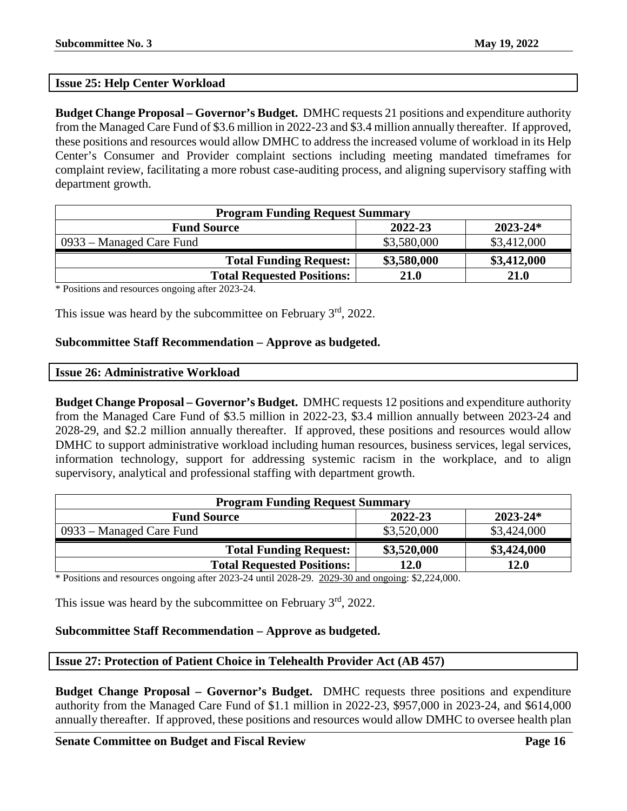# <span id="page-15-0"></span>**Issue 25: Help Center Workload**

**Budget Change Proposal – Governor's Budget.** DMHC requests 21 positions and expenditure authority from the Managed Care Fund of \$3.6 million in 2022-23 and \$3.4 million annually thereafter. If approved, these positions and resources would allow DMHC to address the increased volume of workload in its Help Center's Consumer and Provider complaint sections including meeting mandated timeframes for complaint review, facilitating a more robust case-auditing process, and aligning supervisory staffing with department growth.

| <b>Program Funding Request Summary</b>        |             |             |  |  |  |
|-----------------------------------------------|-------------|-------------|--|--|--|
| 2022-23<br>$2023 - 24*$<br><b>Fund Source</b> |             |             |  |  |  |
| 0933 – Managed Care Fund                      | \$3,580,000 | \$3,412,000 |  |  |  |
| <b>Total Funding Request:</b>                 | \$3,580,000 | \$3,412,000 |  |  |  |
| <b>Total Requested Positions:</b>             | 21.0        | 21.0        |  |  |  |

\* Positions and resources ongoing after 2023-24.

This issue was heard by the subcommittee on February 3<sup>rd</sup>, 2022.

#### **Subcommittee Staff Recommendation – Approve as budgeted.**

<span id="page-15-1"></span>

|  | <b>Issue 26: Administrative Workload</b> |  |
|--|------------------------------------------|--|
|--|------------------------------------------|--|

**Budget Change Proposal – Governor's Budget.** DMHC requests 12 positions and expenditure authority from the Managed Care Fund of \$3.5 million in 2022-23, \$3.4 million annually between 2023-24 and 2028-29, and \$2.2 million annually thereafter. If approved, these positions and resources would allow DMHC to support administrative workload including human resources, business services, legal services, information technology, support for addressing systemic racism in the workplace, and to align supervisory, analytical and professional staffing with department growth.

| <b>Program Funding Request Summary</b>        |             |             |  |  |
|-----------------------------------------------|-------------|-------------|--|--|
| $2023 - 24*$<br>2022-23<br><b>Fund Source</b> |             |             |  |  |
| 0933 – Managed Care Fund                      | \$3,520,000 | \$3,424,000 |  |  |
| <b>Total Funding Request:</b>                 | \$3,520,000 | \$3,424,000 |  |  |
| <b>Total Requested Positions:</b>             | 12.0        | 12.0        |  |  |

\* Positions and resources ongoing after 2023-24 until 2028-29. 2029-30 and ongoing: \$2,224,000.

This issue was heard by the subcommittee on February  $3<sup>rd</sup>$ , 2022.

# **Subcommittee Staff Recommendation – Approve as budgeted.**

# <span id="page-15-2"></span>**Issue 27: Protection of Patient Choice in Telehealth Provider Act (AB 457)**

**Budget Change Proposal – Governor's Budget.** DMHC requests three positions and expenditure authority from the Managed Care Fund of \$1.1 million in 2022-23, \$957,000 in 2023-24, and \$614,000 annually thereafter. If approved, these positions and resources would allow DMHC to oversee health plan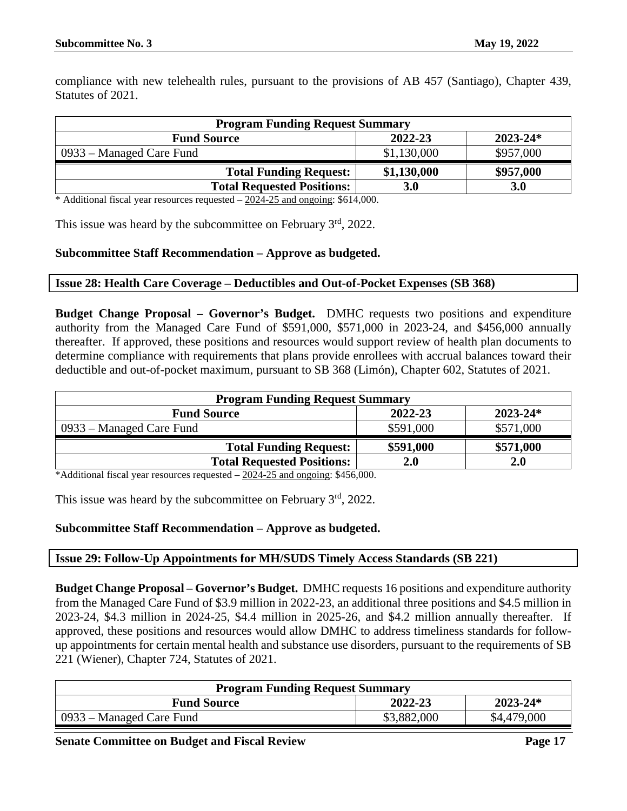compliance with new telehealth rules, pursuant to the provisions of AB 457 (Santiago), Chapter 439, Statutes of 2021.

| <b>Program Funding Request Summary</b>        |             |            |  |  |  |
|-----------------------------------------------|-------------|------------|--|--|--|
| 2022-23<br>$2023 - 24*$<br><b>Fund Source</b> |             |            |  |  |  |
| 0933 – Managed Care Fund                      | \$1,130,000 | \$957,000  |  |  |  |
| <b>Total Funding Request:</b>                 | \$1,130,000 | \$957,000  |  |  |  |
| <b>Total Requested Positions:</b>             | 3.0         | <b>3.0</b> |  |  |  |

\* Additional fiscal year resources requested – 2024-25 and ongoing: \$614,000.

This issue was heard by the subcommittee on February  $3<sup>rd</sup>$ , 2022.

# **Subcommittee Staff Recommendation – Approve as budgeted.**

#### <span id="page-16-0"></span>**Issue 28: Health Care Coverage – Deductibles and Out-of-Pocket Expenses (SB 368)**

**Budget Change Proposal – Governor's Budget.** DMHC requests two positions and expenditure authority from the Managed Care Fund of \$591,000, \$571,000 in 2023-24, and \$456,000 annually thereafter. If approved, these positions and resources would support review of health plan documents to determine compliance with requirements that plans provide enrollees with accrual balances toward their deductible and out-of-pocket maximum, pursuant to SB 368 (Limón), Chapter 602, Statutes of 2021.

| <b>Program Funding Request Summary</b>        |            |            |  |  |
|-----------------------------------------------|------------|------------|--|--|
| 2022-23<br>$2023 - 24*$<br><b>Fund Source</b> |            |            |  |  |
| 0933 – Managed Care Fund                      | \$591,000  | \$571,000  |  |  |
| <b>Total Funding Request:</b>                 | \$591,000  | \$571,000  |  |  |
| <b>Total Requested Positions:</b>             | <b>2.0</b> | <b>2.0</b> |  |  |

\*Additional fiscal year resources requested  $-2024-25$  and ongoing: \$456,000.

This issue was heard by the subcommittee on February  $3<sup>rd</sup>$ , 2022.

# **Subcommittee Staff Recommendation – Approve as budgeted.**

# <span id="page-16-1"></span>**Issue 29: Follow-Up Appointments for MH/SUDS Timely Access Standards (SB 221)**

**Budget Change Proposal – Governor's Budget.** DMHC requests 16 positions and expenditure authority from the Managed Care Fund of \$3.9 million in 2022-23, an additional three positions and \$4.5 million in 2023-24, \$4.3 million in 2024-25, \$4.4 million in 2025-26, and \$4.2 million annually thereafter. If approved, these positions and resources would allow DMHC to address timeliness standards for followup appointments for certain mental health and substance use disorders, pursuant to the requirements of SB 221 (Wiener), Chapter 724, Statutes of 2021.

| <b>Program Funding Request Summary</b> |             |              |
|----------------------------------------|-------------|--------------|
| <b>Fund Source</b>                     | 2022-23     | $2023 - 24*$ |
| $-0933$ – Managed Care Fund            | \$3,882,000 | \$4,479,000  |

**Senate Committee on Budget and Fiscal Review <b>Page 17 Page 17**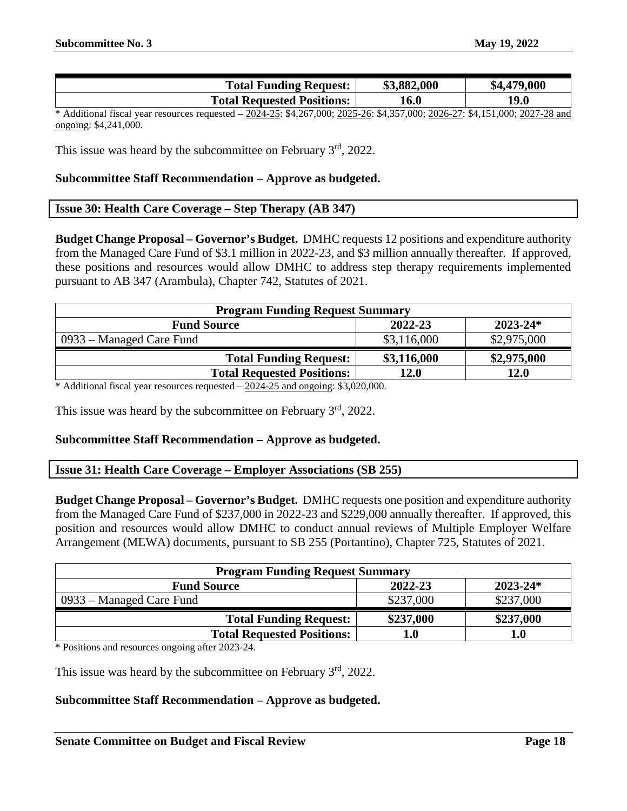| <b>Total Funding Request:</b>     | \$3,882,000 | \$4,479,000 |
|-----------------------------------|-------------|-------------|
| <b>Total Requested Positions:</b> | 16.0        | 19.0        |

\* Additional fiscal year resources requested – 2024-25: \$4,267,000; 2025-26: \$4,357,000; 2026-27: \$4,151,000; 2027-28 and ongoing: \$4,241,000.

This issue was heard by the subcommittee on February  $3<sup>rd</sup>$ , 2022.

#### **Subcommittee Staff Recommendation – Approve as budgeted.**

#### <span id="page-17-0"></span>**Issue 30: Health Care Coverage – Step Therapy (AB 347)**

**Budget Change Proposal – Governor's Budget.** DMHC requests 12 positions and expenditure authority from the Managed Care Fund of \$3.1 million in 2022-23, and \$3 million annually thereafter. If approved, these positions and resources would allow DMHC to address step therapy requirements implemented pursuant to AB 347 (Arambula), Chapter 742, Statutes of 2021.

| <b>Program Funding Request Summary</b> |             |              |
|----------------------------------------|-------------|--------------|
| <b>Fund Source</b>                     | 2022-23     | $2023 - 24*$ |
| 0933 – Managed Care Fund               | \$3,116,000 | \$2,975,000  |
| <b>Total Funding Request:</b>          | \$3,116,000 | \$2,975,000  |
| <b>Total Requested Positions:</b>      | 12.0        | 12.0         |

\* Additional fiscal year resources requested – 2024-25 and ongoing: \$3,020,000.

This issue was heard by the subcommittee on February 3<sup>rd</sup>, 2022.

# **Subcommittee Staff Recommendation – Approve as budgeted.**

#### <span id="page-17-1"></span>**Issue 31: Health Care Coverage – Employer Associations (SB 255)**

**Budget Change Proposal – Governor's Budget.** DMHC requests one position and expenditure authority from the Managed Care Fund of \$237,000 in 2022-23 and \$229,000 annually thereafter. If approved, this position and resources would allow DMHC to conduct annual reviews of Multiple Employer Welfare Arrangement (MEWA) documents, pursuant to SB 255 (Portantino), Chapter 725, Statutes of 2021.

| <b>Program Funding Request Summary</b> |           |              |
|----------------------------------------|-----------|--------------|
| <b>Fund Source</b>                     | 2022-23   | $2023 - 24*$ |
| 0933 – Managed Care Fund               | \$237,000 | \$237,000    |
| <b>Total Funding Request:</b>          | \$237,000 | \$237,000    |
| <b>Total Requested Positions:</b>      | 1.0       | 1.0          |

\* Positions and resources ongoing after 2023-24.

This issue was heard by the subcommittee on February  $3<sup>rd</sup>$ , 2022.

# **Subcommittee Staff Recommendation – Approve as budgeted.**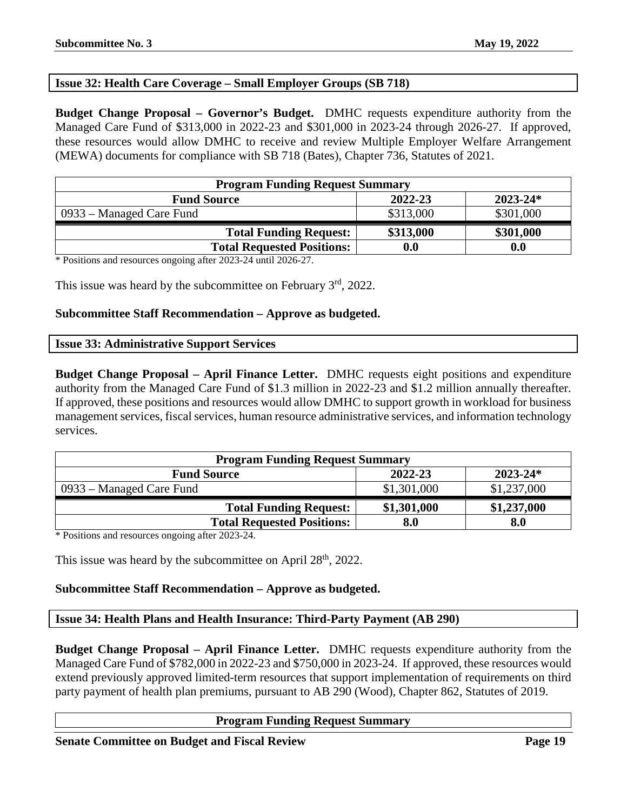# <span id="page-18-0"></span>**Issue 32: Health Care Coverage – Small Employer Groups (SB 718)**

**Budget Change Proposal – Governor's Budget.** DMHC requests expenditure authority from the Managed Care Fund of \$313,000 in 2022-23 and \$301,000 in 2023-24 through 2026-27. If approved, these resources would allow DMHC to receive and review Multiple Employer Welfare Arrangement (MEWA) documents for compliance with SB 718 (Bates), Chapter 736, Statutes of 2021.

| <b>Program Funding Request Summary</b> |                    |              |
|----------------------------------------|--------------------|--------------|
| <b>Fund Source</b>                     | 2022-23            | $2023 - 24*$ |
| 0933 – Managed Care Fund               | \$313,000          | \$301,000    |
| <b>Total Funding Request:</b>          | \$313,000          | \$301,000    |
| <b>Total Requested Positions:</b>      | $\boldsymbol{0.0}$ | 0.0          |

\* Positions and resources ongoing after 2023-24 until 2026-27.

This issue was heard by the subcommittee on February  $3<sup>rd</sup>$ , 2022.

#### **Subcommittee Staff Recommendation – Approve as budgeted.**

#### <span id="page-18-1"></span>**Issue 33: Administrative Support Services**

**Budget Change Proposal – April Finance Letter.** DMHC requests eight positions and expenditure authority from the Managed Care Fund of \$1.3 million in 2022-23 and \$1.2 million annually thereafter. If approved, these positions and resources would allow DMHC to support growth in workload for business management services, fiscal services, human resource administrative services, and information technology services.

| <b>Program Funding Request Summary</b> |             |              |
|----------------------------------------|-------------|--------------|
| <b>Fund Source</b>                     | 2022-23     | $2023 - 24*$ |
| 0933 – Managed Care Fund               | \$1,301,000 | \$1,237,000  |
| <b>Total Funding Request:</b>          | \$1,301,000 | \$1,237,000  |
| <b>Total Requested Positions:</b>      | 8.0         | 8.0          |

\* Positions and resources ongoing after 2023-24.

This issue was heard by the subcommittee on April  $28<sup>th</sup>$ , 2022.

# **Subcommittee Staff Recommendation – Approve as budgeted.**

#### <span id="page-18-2"></span>**Issue 34: Health Plans and Health Insurance: Third-Party Payment (AB 290)**

**Budget Change Proposal – April Finance Letter.** DMHC requests expenditure authority from the Managed Care Fund of \$782,000 in 2022-23 and \$750,000 in 2023-24. If approved, these resources would extend previously approved limited-term resources that support implementation of requirements on third party payment of health plan premiums, pursuant to AB 290 (Wood), Chapter 862, Statutes of 2019.

#### **Program Funding Request Summary**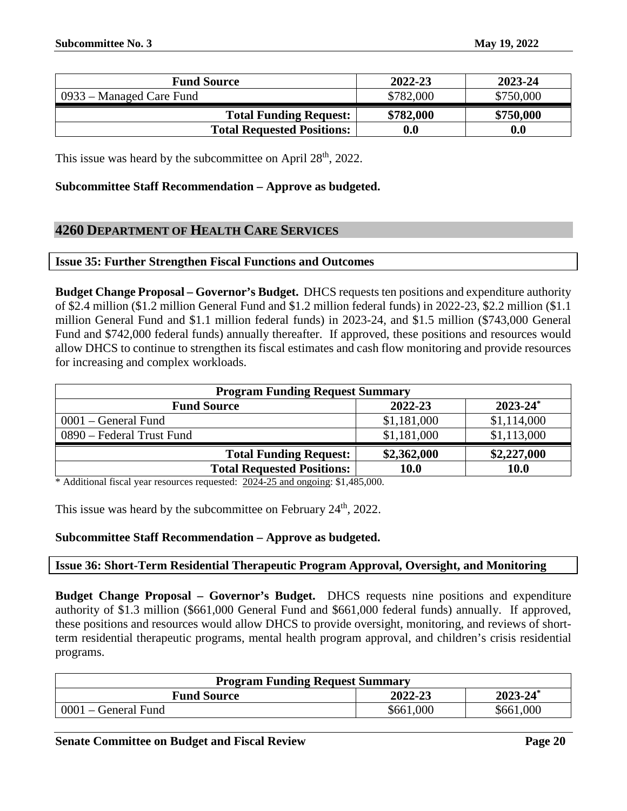| <b>Fund Source</b>                | 2022-23            | 2023-24   |
|-----------------------------------|--------------------|-----------|
| 0933 – Managed Care Fund          | \$782,000          | \$750,000 |
| <b>Total Funding Request:</b>     | \$782,000          | \$750,000 |
| <b>Total Requested Positions:</b> | $\boldsymbol{0.0}$ | 0.0       |

This issue was heard by the subcommittee on April 28<sup>th</sup>, 2022.

# **Subcommittee Staff Recommendation – Approve as budgeted.**

# <span id="page-19-0"></span>**4260 DEPARTMENT OF HEALTH CARE SERVICES**

# <span id="page-19-1"></span>**Issue 35: Further Strengthen Fiscal Functions and Outcomes**

**Budget Change Proposal – Governor's Budget.** DHCS requests ten positions and expenditure authority of \$2.4 million (\$1.2 million General Fund and \$1.2 million federal funds) in 2022-23, \$2.2 million (\$1.1 million General Fund and \$1.1 million federal funds) in 2023-24, and \$1.5 million (\$743,000 General Fund and \$742,000 federal funds) annually thereafter. If approved, these positions and resources would allow DHCS to continue to strengthen its fiscal estimates and cash flow monitoring and provide resources for increasing and complex workloads.

| <b>Program Funding Request Summary</b> |             |               |
|----------------------------------------|-------------|---------------|
| <b>Fund Source</b>                     | 2022-23     | $2023 - 24^*$ |
| $0001$ – General Fund                  | \$1,181,000 | \$1,114,000   |
| 0890 – Federal Trust Fund              | \$1,181,000 | \$1,113,000   |
| <b>Total Funding Request:</b>          | \$2,362,000 | \$2,227,000   |
| <b>Total Requested Positions:</b>      | 10.0        | <b>10.0</b>   |

\* Additional fiscal year resources requested: 2024-25 and ongoing: \$1,485,000.

This issue was heard by the subcommittee on February  $24<sup>th</sup>$ , 2022.

# **Subcommittee Staff Recommendation – Approve as budgeted.**

# <span id="page-19-2"></span>**Issue 36: Short-Term Residential Therapeutic Program Approval, Oversight, and Monitoring**

**Budget Change Proposal – Governor's Budget.** DHCS requests nine positions and expenditure authority of \$1.3 million (\$661,000 General Fund and \$661,000 federal funds) annually. If approved, these positions and resources would allow DHCS to provide oversight, monitoring, and reviews of shortterm residential therapeutic programs, mental health program approval, and children's crisis residential programs.

| <b>Program Funding Request Summary</b> |           |               |
|----------------------------------------|-----------|---------------|
| <b>Fund Source</b>                     | 2022-23   | $2023 - 24^*$ |
| 0001 – General Fund                    | \$661,000 | \$661,000     |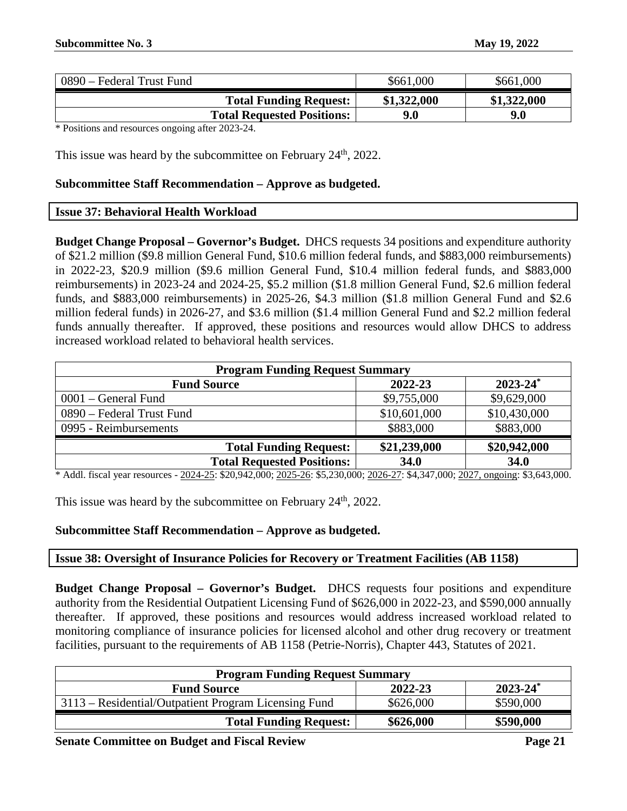| 0890 – Federal Trust Fund         | \$661,000   | \$661,000   |
|-----------------------------------|-------------|-------------|
| <b>Total Funding Request:</b>     | \$1,322,000 | \$1,322,000 |
| <b>Total Requested Positions:</b> | 9.0         | 9.0         |

This issue was heard by the subcommittee on February 24<sup>th</sup>, 2022.

#### **Subcommittee Staff Recommendation – Approve as budgeted.**

# <span id="page-20-0"></span>**Issue 37: Behavioral Health Workload**

**Budget Change Proposal – Governor's Budget.** DHCS requests 34 positions and expenditure authority of \$21.2 million (\$9.8 million General Fund, \$10.6 million federal funds, and \$883,000 reimbursements) in 2022-23, \$20.9 million (\$9.6 million General Fund, \$10.4 million federal funds, and \$883,000 reimbursements) in 2023-24 and 2024-25, \$5.2 million (\$1.8 million General Fund, \$2.6 million federal funds, and \$883,000 reimbursements) in 2025-26, \$4.3 million (\$1.8 million General Fund and \$2.6 million federal funds) in 2026-27, and \$3.6 million (\$1.4 million General Fund and \$2.2 million federal funds annually thereafter. If approved, these positions and resources would allow DHCS to address increased workload related to behavioral health services.

| <b>Program Funding Request Summary</b> |              |                                                                                      |
|----------------------------------------|--------------|--------------------------------------------------------------------------------------|
| <b>Fund Source</b>                     | 2022-23      | $2023 - 24^*$                                                                        |
| $0001$ – General Fund                  | \$9,755,000  | \$9,629,000                                                                          |
| 0890 – Federal Trust Fund              | \$10,601,000 | \$10,430,000                                                                         |
| 0995 - Reimbursements                  | \$883,000    | \$883,000                                                                            |
| <b>Total Funding Request:</b>          | \$21,239,000 | \$20,942,000                                                                         |
| <b>Total Requested Positions:</b><br>. | <b>34.0</b>  | <b>34.0</b><br>$\lambda$ $\lambda$ $\lambda$ $\lambda$ $\lambda$ $\lambda$ $\lambda$ |

\* Addl. fiscal year resources - 2024-25: \$20,942,000; 2025-26: \$5,230,000; 2026-27: \$4,347,000; 2027, ongoing: \$3,643,000.

This issue was heard by the subcommittee on February 24<sup>th</sup>, 2022.

# **Subcommittee Staff Recommendation – Approve as budgeted.**

# <span id="page-20-1"></span>**Issue 38: Oversight of Insurance Policies for Recovery or Treatment Facilities (AB 1158)**

**Budget Change Proposal – Governor's Budget.** DHCS requests four positions and expenditure authority from the Residential Outpatient Licensing Fund of \$626,000 in 2022-23, and \$590,000 annually thereafter. If approved, these positions and resources would address increased workload related to monitoring compliance of insurance policies for licensed alcohol and other drug recovery or treatment facilities, pursuant to the requirements of AB 1158 (Petrie-Norris), Chapter 443, Statutes of 2021.

| <b>Program Funding Request Summary</b>               |           |               |
|------------------------------------------------------|-----------|---------------|
| <b>Fund Source</b>                                   | 2022-23   | $2023 - 24^*$ |
| 3113 – Residential/Outpatient Program Licensing Fund | \$626,000 | \$590,000     |
| <b>Total Funding Request:</b>                        | \$626,000 | \$590,000     |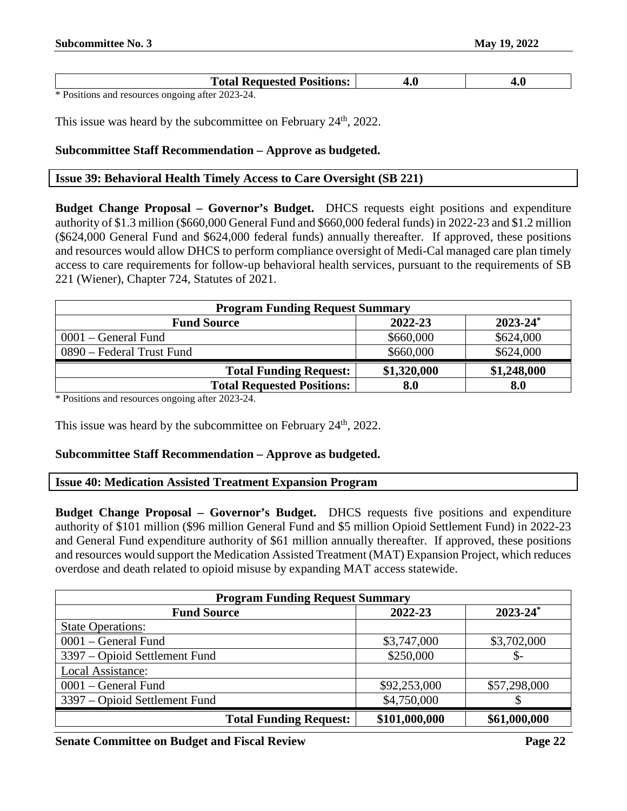| <b>Total Requested Positions:</b> |  |
|-----------------------------------|--|
|                                   |  |

This issue was heard by the subcommittee on February 24<sup>th</sup>, 2022.

# **Subcommittee Staff Recommendation – Approve as budgeted.**

#### <span id="page-21-0"></span>**Issue 39: Behavioral Health Timely Access to Care Oversight (SB 221)**

**Budget Change Proposal – Governor's Budget.** DHCS requests eight positions and expenditure authority of \$1.3 million (\$660,000 General Fund and \$660,000 federal funds) in 2022-23 and \$1.2 million (\$624,000 General Fund and \$624,000 federal funds) annually thereafter. If approved, these positions and resources would allow DHCS to perform compliance oversight of Medi-Cal managed care plan timely access to care requirements for follow-up behavioral health services, pursuant to the requirements of SB 221 (Wiener), Chapter 724, Statutes of 2021.

| <b>Program Funding Request Summary</b> |             |               |  |
|----------------------------------------|-------------|---------------|--|
| <b>Fund Source</b>                     | 2022-23     | $2023 - 24^*$ |  |
| $0001$ – General Fund                  | \$660,000   | \$624,000     |  |
| 0890 – Federal Trust Fund              | \$660,000   | \$624,000     |  |
| <b>Total Funding Request:</b>          | \$1,320,000 | \$1,248,000   |  |
| <b>Total Requested Positions:</b>      | 8.0         | 8.0           |  |

\* Positions and resources ongoing after 2023-24.

This issue was heard by the subcommittee on February 24<sup>th</sup>, 2022.

# **Subcommittee Staff Recommendation – Approve as budgeted.**

#### <span id="page-21-1"></span>**Issue 40: Medication Assisted Treatment Expansion Program**

**Budget Change Proposal – Governor's Budget.** DHCS requests five positions and expenditure authority of \$101 million (\$96 million General Fund and \$5 million Opioid Settlement Fund) in 2022-23 and General Fund expenditure authority of \$61 million annually thereafter. If approved, these positions and resources would support the Medication Assisted Treatment (MAT) Expansion Project, which reduces overdose and death related to opioid misuse by expanding MAT access statewide.

| <b>Program Funding Request Summary</b> |               |                          |
|----------------------------------------|---------------|--------------------------|
| <b>Fund Source</b>                     | 2022-23       | $2023 - 24$ <sup>*</sup> |
| <b>State Operations:</b>               |               |                          |
| 0001 – General Fund                    | \$3,747,000   | \$3,702,000              |
| 3397 – Opioid Settlement Fund          | \$250,000     | \$-                      |
| Local Assistance:                      |               |                          |
| 0001 – General Fund                    | \$92,253,000  | \$57,298,000             |
| 3397 – Opioid Settlement Fund          | \$4,750,000   |                          |
| <b>Total Funding Request:</b>          | \$101,000,000 | \$61,000,000             |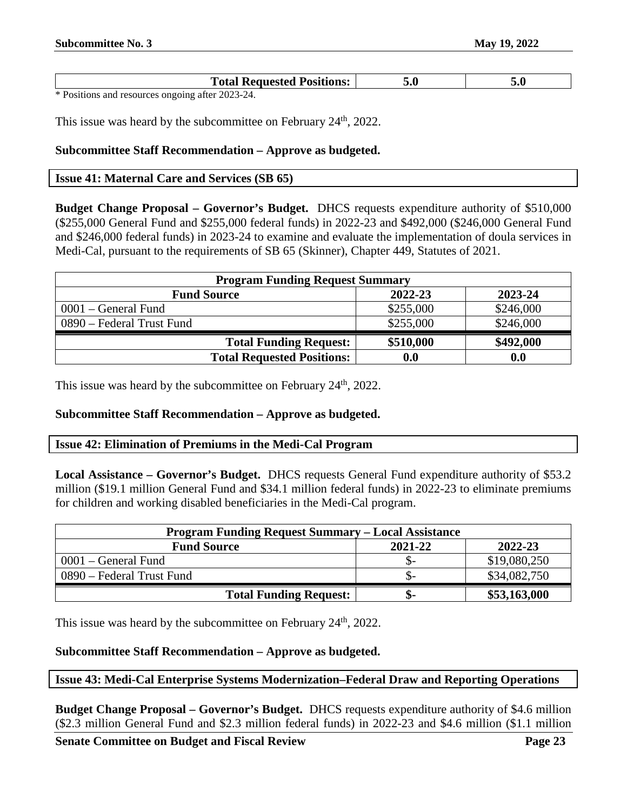| <b>Total Requested Positions:</b>           |  |
|---------------------------------------------|--|
| $\ast$ D. $\cdot$<br>$\mathbf{r}$<br>$\sim$ |  |

This issue was heard by the subcommittee on February 24<sup>th</sup>, 2022.

# **Subcommittee Staff Recommendation – Approve as budgeted.**

#### <span id="page-22-0"></span>**Issue 41: Maternal Care and Services (SB 65)**

**Budget Change Proposal – Governor's Budget.** DHCS requests expenditure authority of \$510,000 (\$255,000 General Fund and \$255,000 federal funds) in 2022-23 and \$492,000 (\$246,000 General Fund and \$246,000 federal funds) in 2023-24 to examine and evaluate the implementation of doula services in Medi-Cal, pursuant to the requirements of SB 65 (Skinner), Chapter 449, Statutes of 2021.

| <b>Program Funding Request Summary</b>   |                    |           |  |  |
|------------------------------------------|--------------------|-----------|--|--|
| 2022-23<br>2023-24<br><b>Fund Source</b> |                    |           |  |  |
| $0001$ – General Fund                    | \$255,000          | \$246,000 |  |  |
| 0890 – Federal Trust Fund                | \$255,000          | \$246,000 |  |  |
| <b>Total Funding Request:</b>            | \$510,000          | \$492,000 |  |  |
| <b>Total Requested Positions:</b>        | $\boldsymbol{0.0}$ | 0.0       |  |  |

This issue was heard by the subcommittee on February 24<sup>th</sup>, 2022.

#### **Subcommittee Staff Recommendation – Approve as budgeted.**

#### <span id="page-22-1"></span>**Issue 42: Elimination of Premiums in the Medi-Cal Program**

**Local Assistance – Governor's Budget.** DHCS requests General Fund expenditure authority of \$53.2 million (\$19.1 million General Fund and \$34.1 million federal funds) in 2022-23 to eliminate premiums for children and working disabled beneficiaries in the Medi-Cal program.

| <b>Program Funding Request Summary – Local Assistance</b> |         |              |  |
|-----------------------------------------------------------|---------|--------------|--|
| <b>Fund Source</b>                                        | 2021-22 | 2022-23      |  |
| 0001 – General Fund                                       | .D-     | \$19,080,250 |  |
| 0890 – Federal Trust Fund                                 | - G     | \$34,082,750 |  |
| <b>Total Funding Request:</b>                             | .n-     | \$53,163,000 |  |

This issue was heard by the subcommittee on February 24<sup>th</sup>, 2022.

# **Subcommittee Staff Recommendation – Approve as budgeted.**

# <span id="page-22-2"></span>**Issue 43: Medi-Cal Enterprise Systems Modernization–Federal Draw and Reporting Operations**

**Budget Change Proposal – Governor's Budget.** DHCS requests expenditure authority of \$4.6 million (\$2.3 million General Fund and \$2.3 million federal funds) in 2022-23 and \$4.6 million (\$1.1 million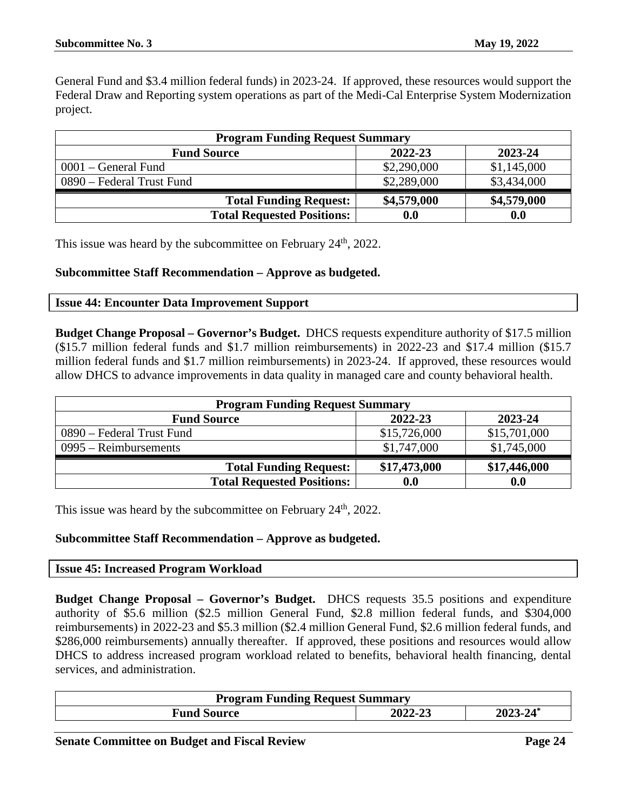General Fund and \$3.4 million federal funds) in 2023-24. If approved, these resources would support the Federal Draw and Reporting system operations as part of the Medi-Cal Enterprise System Modernization project.

| <b>Program Funding Request Summary</b>   |             |             |  |  |
|------------------------------------------|-------------|-------------|--|--|
| 2022-23<br>2023-24<br><b>Fund Source</b> |             |             |  |  |
| $0001$ – General Fund                    | \$2,290,000 | \$1,145,000 |  |  |
| 0890 – Federal Trust Fund                | \$2,289,000 | \$3,434,000 |  |  |
| <b>Total Funding Request:</b>            | \$4,579,000 | \$4,579,000 |  |  |
| <b>Total Requested Positions:</b>        | 0.0         | 0.0         |  |  |

This issue was heard by the subcommittee on February  $24<sup>th</sup>$ , 2022.

#### **Subcommittee Staff Recommendation – Approve as budgeted.**

#### <span id="page-23-0"></span>**Issue 44: Encounter Data Improvement Support**

**Budget Change Proposal – Governor's Budget.** DHCS requests expenditure authority of \$17.5 million (\$15.7 million federal funds and \$1.7 million reimbursements) in 2022-23 and \$17.4 million (\$15.7 million federal funds and \$1.7 million reimbursements) in 2023-24. If approved, these resources would allow DHCS to advance improvements in data quality in managed care and county behavioral health.

| <b>Program Funding Request Summary</b> |              |              |  |
|----------------------------------------|--------------|--------------|--|
| <b>Fund Source</b>                     | 2022-23      | 2023-24      |  |
| 0890 – Federal Trust Fund              | \$15,726,000 | \$15,701,000 |  |
| $0995 - Reimbursements$                | \$1,747,000  | \$1,745,000  |  |
| <b>Total Funding Request:</b>          | \$17,473,000 | \$17,446,000 |  |
| <b>Total Requested Positions:</b>      | 0.0          | 0.0          |  |

This issue was heard by the subcommittee on February 24<sup>th</sup>, 2022.

# **Subcommittee Staff Recommendation – Approve as budgeted.**

#### <span id="page-23-1"></span>**Issue 45: Increased Program Workload**

**Budget Change Proposal – Governor's Budget.** DHCS requests 35.5 positions and expenditure authority of \$5.6 million (\$2.5 million General Fund, \$2.8 million federal funds, and \$304,000 reimbursements) in 2022-23 and \$5.3 million (\$2.4 million General Fund, \$2.6 million federal funds, and \$286,000 reimbursements) annually thereafter. If approved, these positions and resources would allow DHCS to address increased program workload related to benefits, behavioral health financing, dental services, and administration.

| <b>Program Funding Request Summary</b> |         |          |
|----------------------------------------|---------|----------|
| <b>Fund Source</b>                     | 2022-23 | 2023-24* |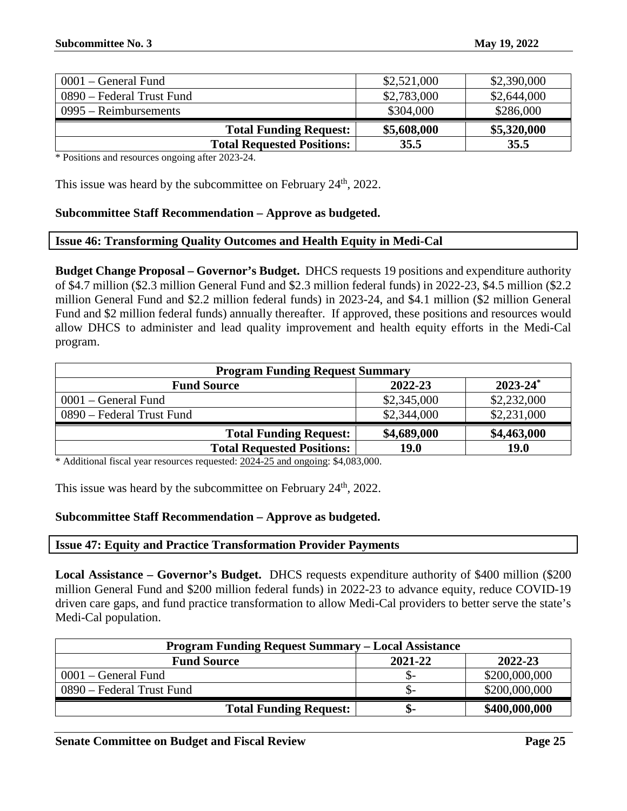| $0001$ – General Fund     |                                   | \$2,521,000 | \$2,390,000 |
|---------------------------|-----------------------------------|-------------|-------------|
| 0890 – Federal Trust Fund |                                   | \$2,783,000 | \$2,644,000 |
| $0995 - Reimbur$ sements  |                                   | \$304,000   | \$286,000   |
|                           | <b>Total Funding Request:</b>     | \$5,608,000 | \$5,320,000 |
|                           | <b>Total Requested Positions:</b> | 35.5        | 35.5        |

This issue was heard by the subcommittee on February 24<sup>th</sup>, 2022.

#### **Subcommittee Staff Recommendation – Approve as budgeted.**

#### <span id="page-24-0"></span>**Issue 46: Transforming Quality Outcomes and Health Equity in Medi-Cal**

**Budget Change Proposal – Governor's Budget.** DHCS requests 19 positions and expenditure authority of \$4.7 million (\$2.3 million General Fund and \$2.3 million federal funds) in 2022-23, \$4.5 million (\$2.2 million General Fund and \$2.2 million federal funds) in 2023-24, and \$4.1 million (\$2 million General Fund and \$2 million federal funds) annually thereafter. If approved, these positions and resources would allow DHCS to administer and lead quality improvement and health equity efforts in the Medi-Cal program.

| <b>Program Funding Request Summary</b>         |             |             |  |  |
|------------------------------------------------|-------------|-------------|--|--|
| $2023 - 24^*$<br>2022-23<br><b>Fund Source</b> |             |             |  |  |
| $0001$ – General Fund                          | \$2,345,000 | \$2,232,000 |  |  |
| 0890 – Federal Trust Fund                      | \$2,344,000 | \$2,231,000 |  |  |
| <b>Total Funding Request:</b>                  | \$4,689,000 | \$4,463,000 |  |  |
| <b>Total Requested Positions:</b>              | 19.0        | <b>19.0</b> |  |  |

\* Additional fiscal year resources requested: 2024-25 and ongoing: \$4,083,000.

This issue was heard by the subcommittee on February  $24<sup>th</sup>$ , 2022.

#### **Subcommittee Staff Recommendation – Approve as budgeted.**

#### <span id="page-24-1"></span>**Issue 47: Equity and Practice Transformation Provider Payments**

**Local Assistance – Governor's Budget.** DHCS requests expenditure authority of \$400 million (\$200 million General Fund and \$200 million federal funds) in 2022-23 to advance equity, reduce COVID-19 driven care gaps, and fund practice transformation to allow Medi-Cal providers to better serve the state's Medi-Cal population.

| <b>Program Funding Request Summary – Local Assistance</b> |         |               |  |
|-----------------------------------------------------------|---------|---------------|--|
| <b>Fund Source</b>                                        | 2021-22 | 2022-23       |  |
| 0001 – General Fund                                       | .১–     | \$200,000,000 |  |
| 0890 – Federal Trust Fund                                 | .১–     | \$200,000,000 |  |
| <b>Total Funding Request:</b>                             | .চ–     | \$400,000,000 |  |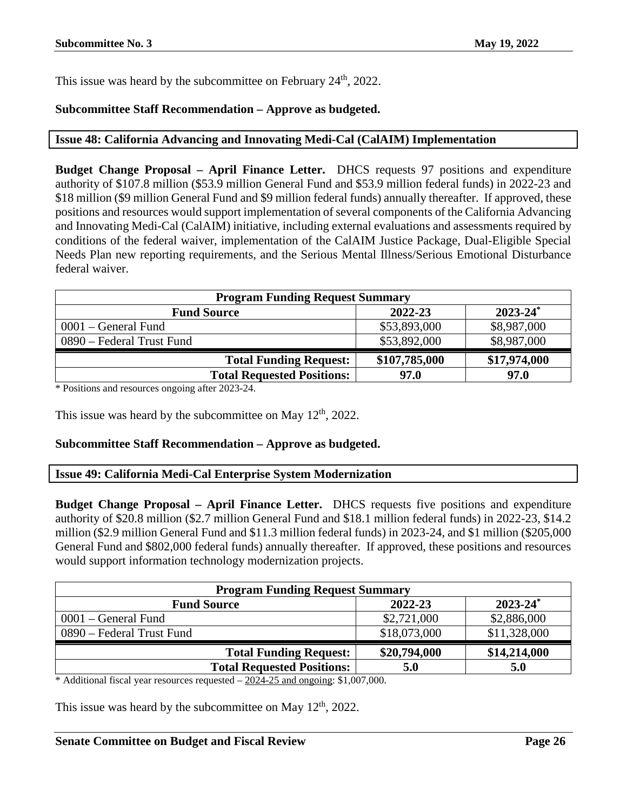This issue was heard by the subcommittee on February 24<sup>th</sup>, 2022.

# **Subcommittee Staff Recommendation – Approve as budgeted.**

# <span id="page-25-0"></span>**Issue 48: California Advancing and Innovating Medi-Cal (CalAIM) Implementation**

**Budget Change Proposal – April Finance Letter.** DHCS requests 97 positions and expenditure authority of \$107.8 million (\$53.9 million General Fund and \$53.9 million federal funds) in 2022-23 and \$18 million (\$9 million General Fund and \$9 million federal funds) annually thereafter. If approved, these positions and resources would support implementation of several components of the California Advancing and Innovating Medi-Cal (CalAIM) initiative, including external evaluations and assessments required by conditions of the federal waiver, implementation of the CalAIM Justice Package, Dual-Eligible Special Needs Plan new reporting requirements, and the Serious Mental Illness/Serious Emotional Disturbance federal waiver.

| <b>Program Funding Request Summary</b> |               |               |
|----------------------------------------|---------------|---------------|
| <b>Fund Source</b>                     | 2022-23       | $2023 - 24^*$ |
| $0001$ – General Fund                  | \$53,893,000  | \$8,987,000   |
| 0890 – Federal Trust Fund              | \$53,892,000  | \$8,987,000   |
| <b>Total Funding Request:</b>          | \$107,785,000 | \$17,974,000  |
| <b>Total Requested Positions:</b>      | 97.0          | 97.0          |

\* Positions and resources ongoing after 2023-24.

This issue was heard by the subcommittee on May  $12<sup>th</sup>$ , 2022.

# **Subcommittee Staff Recommendation – Approve as budgeted.**

#### <span id="page-25-1"></span>**Issue 49: California Medi-Cal Enterprise System Modernization**

**Budget Change Proposal – April Finance Letter.** DHCS requests five positions and expenditure authority of \$20.8 million (\$2.7 million General Fund and \$18.1 million federal funds) in 2022-23, \$14.2 million (\$2.9 million General Fund and \$11.3 million federal funds) in 2023-24, and \$1 million (\$205,000 General Fund and \$802,000 federal funds) annually thereafter. If approved, these positions and resources would support information technology modernization projects.

| <b>Program Funding Request Summary</b> |              |               |
|----------------------------------------|--------------|---------------|
| <b>Fund Source</b>                     | 2022-23      | $2023 - 24^*$ |
| $0001$ – General Fund                  | \$2,721,000  | \$2,886,000   |
| 0890 – Federal Trust Fund              | \$18,073,000 | \$11,328,000  |
| <b>Total Funding Request:</b>          | \$20,794,000 | \$14,214,000  |
| <b>Total Requested Positions:</b>      | 5.0          | 5.0           |

\* Additional fiscal year resources requested – 2024-25 and ongoing: \$1,007,000.

This issue was heard by the subcommittee on May  $12<sup>th</sup>$ , 2022.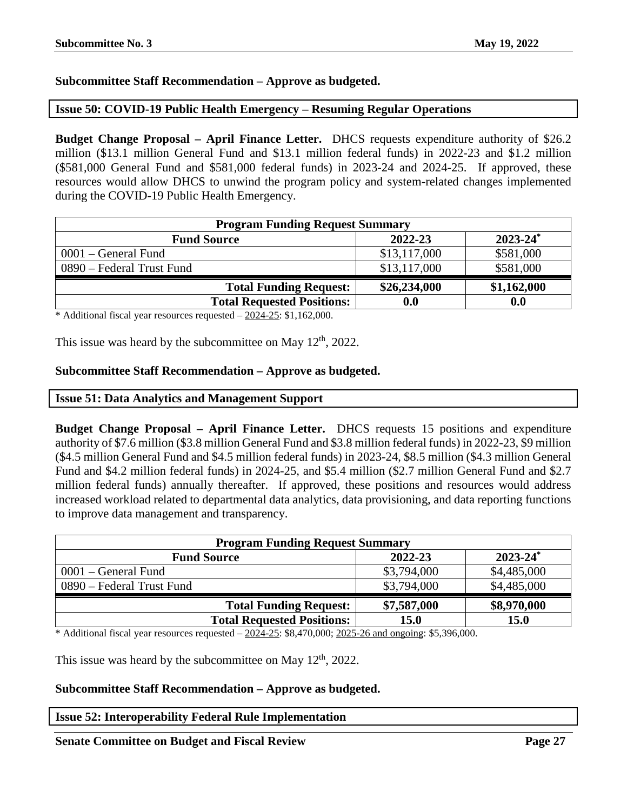# **Subcommittee Staff Recommendation – Approve as budgeted.**

# <span id="page-26-0"></span>**Issue 50: COVID-19 Public Health Emergency – Resuming Regular Operations**

**Budget Change Proposal – April Finance Letter.** DHCS requests expenditure authority of \$26.2 million (\$13.1 million General Fund and \$13.1 million federal funds) in 2022-23 and \$1.2 million (\$581,000 General Fund and \$581,000 federal funds) in 2023-24 and 2024-25. If approved, these resources would allow DHCS to unwind the program policy and system-related changes implemented during the COVID-19 Public Health Emergency.

| <b>Program Funding Request Summary</b> |              |                          |
|----------------------------------------|--------------|--------------------------|
| <b>Fund Source</b>                     | 2022-23      | $2023 - 24$ <sup>*</sup> |
| $0001$ – General Fund                  | \$13,117,000 | \$581,000                |
| 0890 – Federal Trust Fund              | \$13,117,000 | \$581,000                |
| <b>Total Funding Request:</b>          | \$26,234,000 | \$1,162,000              |
| <b>Total Requested Positions:</b>      | 0.0          | 0.0                      |

\* Additional fiscal year resources requested – 2024-25: \$1,162,000.

This issue was heard by the subcommittee on May  $12<sup>th</sup>$ , 2022.

#### **Subcommittee Staff Recommendation – Approve as budgeted.**

#### <span id="page-26-1"></span>**Issue 51: Data Analytics and Management Support**

**Budget Change Proposal – April Finance Letter.** DHCS requests 15 positions and expenditure authority of \$7.6 million (\$3.8 million General Fund and \$3.8 million federal funds) in 2022-23, \$9 million (\$4.5 million General Fund and \$4.5 million federal funds) in 2023-24, \$8.5 million (\$4.3 million General Fund and \$4.2 million federal funds) in 2024-25, and \$5.4 million (\$2.7 million General Fund and \$2.7 million federal funds) annually thereafter. If approved, these positions and resources would address increased workload related to departmental data analytics, data provisioning, and data reporting functions to improve data management and transparency.

| <b>Program Funding Request Summary</b> |             |               |
|----------------------------------------|-------------|---------------|
| <b>Fund Source</b>                     | 2022-23     | $2023 - 24^*$ |
| $0001$ – General Fund                  | \$3,794,000 | \$4,485,000   |
| 0890 – Federal Trust Fund              | \$3,794,000 | \$4,485,000   |
| <b>Total Funding Request:</b>          | \$7,587,000 | \$8,970,000   |
| <b>Total Requested Positions:</b>      | <b>15.0</b> | <b>15.0</b>   |

\* Additional fiscal year resources requested  $-2024-25$ : \$8,470,000;  $2025-26$  and ongoing: \$5,396,000.

This issue was heard by the subcommittee on May  $12<sup>th</sup>$ , 2022.

#### **Subcommittee Staff Recommendation – Approve as budgeted.**

#### <span id="page-26-2"></span>**Issue 52: Interoperability Federal Rule Implementation**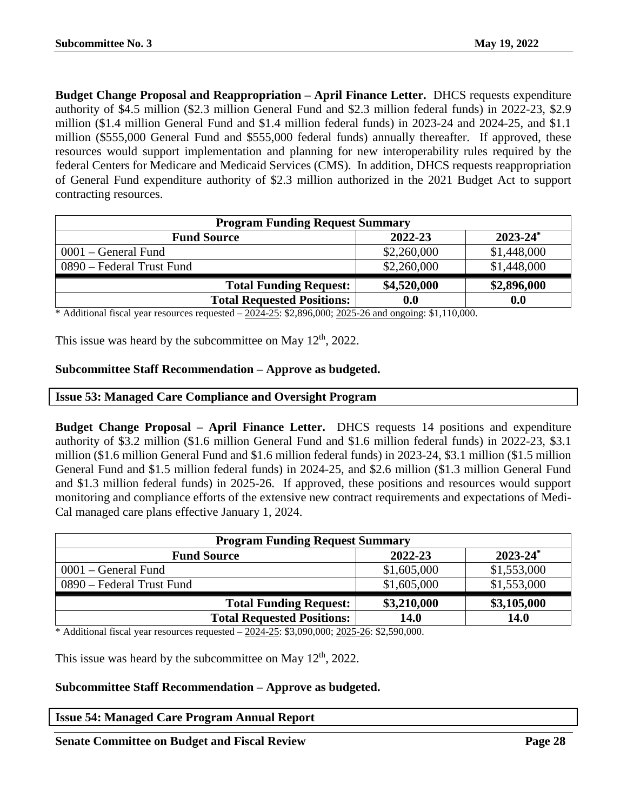**Budget Change Proposal and Reappropriation – April Finance Letter.** DHCS requests expenditure authority of \$4.5 million (\$2.3 million General Fund and \$2.3 million federal funds) in 2022-23, \$2.9 million (\$1.4 million General Fund and \$1.4 million federal funds) in 2023-24 and 2024-25, and \$1.1 million (\$555,000 General Fund and \$555,000 federal funds) annually thereafter. If approved, these resources would support implementation and planning for new interoperability rules required by the federal Centers for Medicare and Medicaid Services (CMS). In addition, DHCS requests reappropriation of General Fund expenditure authority of \$2.3 million authorized in the 2021 Budget Act to support contracting resources.

| <b>Program Funding Request Summary</b> |             |               |
|----------------------------------------|-------------|---------------|
| <b>Fund Source</b>                     | 2022-23     | $2023 - 24^*$ |
| $0001$ – General Fund                  | \$2,260,000 | \$1,448,000   |
| 0890 – Federal Trust Fund              | \$2,260,000 | \$1,448,000   |
| <b>Total Funding Request:</b>          | \$4,520,000 | \$2,896,000   |
| <b>Total Requested Positions:</b>      | 0.0         | 0.0           |

\* Additional fiscal year resources requested  $-2024-25$ : \$2,896,000; 2025-26 and ongoing: \$1,110,000.

This issue was heard by the subcommittee on May  $12<sup>th</sup>$ , 2022.

# **Subcommittee Staff Recommendation – Approve as budgeted.**

#### <span id="page-27-0"></span>**Issue 53: Managed Care Compliance and Oversight Program**

**Budget Change Proposal – April Finance Letter.** DHCS requests 14 positions and expenditure authority of \$3.2 million (\$1.6 million General Fund and \$1.6 million federal funds) in 2022-23, \$3.1 million (\$1.6 million General Fund and \$1.6 million federal funds) in 2023-24, \$3.1 million (\$1.5 million General Fund and \$1.5 million federal funds) in 2024-25, and \$2.6 million (\$1.3 million General Fund and \$1.3 million federal funds) in 2025-26. If approved, these positions and resources would support monitoring and compliance efforts of the extensive new contract requirements and expectations of Medi-Cal managed care plans effective January 1, 2024.

| <b>Program Funding Request Summary</b>         |             |             |  |  |
|------------------------------------------------|-------------|-------------|--|--|
| $2023 - 24^*$<br>2022-23<br><b>Fund Source</b> |             |             |  |  |
| $0001$ – General Fund                          | \$1,605,000 | \$1,553,000 |  |  |
| 0890 – Federal Trust Fund                      | \$1,605,000 | \$1,553,000 |  |  |
| <b>Total Funding Request:</b>                  | \$3,210,000 | \$3,105,000 |  |  |
| <b>Total Requested Positions:</b>              | <b>14.0</b> | 14.0        |  |  |

\* Additional fiscal year resources requested – 2024-25: \$3,090,000; 2025-26: \$2,590,000.

This issue was heard by the subcommittee on May 12<sup>th</sup>, 2022.

#### **Subcommittee Staff Recommendation – Approve as budgeted.**

# <span id="page-27-1"></span>**Issue 54: Managed Care Program Annual Report**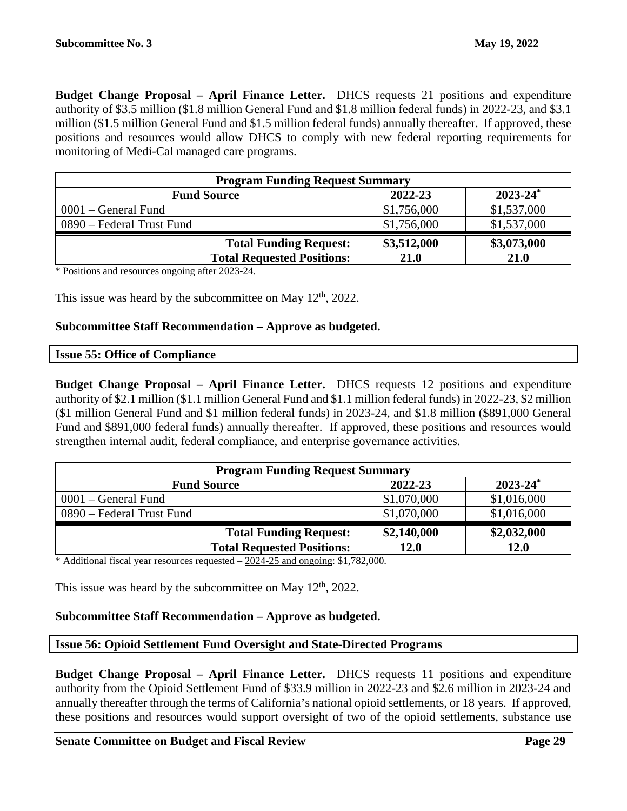**Budget Change Proposal – April Finance Letter.** DHCS requests 21 positions and expenditure authority of \$3.5 million (\$1.8 million General Fund and \$1.8 million federal funds) in 2022-23, and \$3.1 million (\$1.5 million General Fund and \$1.5 million federal funds) annually thereafter. If approved, these positions and resources would allow DHCS to comply with new federal reporting requirements for monitoring of Medi-Cal managed care programs.

| <b>Program Funding Request Summary</b> |             |               |
|----------------------------------------|-------------|---------------|
| <b>Fund Source</b>                     | 2022-23     | $2023 - 24^*$ |
| $0001$ – General Fund                  | \$1,756,000 | \$1,537,000   |
| 0890 – Federal Trust Fund              | \$1,756,000 | \$1,537,000   |
| <b>Total Funding Request:</b>          | \$3,512,000 | \$3,073,000   |
| <b>Total Requested Positions:</b>      | 21.0        | 21.0          |

\* Positions and resources ongoing after 2023-24.

This issue was heard by the subcommittee on May  $12<sup>th</sup>$ , 2022.

#### **Subcommittee Staff Recommendation – Approve as budgeted.**

<span id="page-28-0"></span>

|  |  | <b>Issue 55: Office of Compliance</b> |
|--|--|---------------------------------------|
|--|--|---------------------------------------|

**Budget Change Proposal – April Finance Letter.** DHCS requests 12 positions and expenditure authority of \$2.1 million (\$1.1 million General Fund and \$1.1 million federal funds) in 2022-23, \$2 million (\$1 million General Fund and \$1 million federal funds) in 2023-24, and \$1.8 million (\$891,000 General Fund and \$891,000 federal funds) annually thereafter. If approved, these positions and resources would strengthen internal audit, federal compliance, and enterprise governance activities.

| <b>Program Funding Request Summary</b> |             |                          |
|----------------------------------------|-------------|--------------------------|
| <b>Fund Source</b>                     | 2022-23     | $2023 - 24$ <sup>*</sup> |
| $0001$ – General Fund                  | \$1,070,000 | \$1,016,000              |
| 0890 – Federal Trust Fund              | \$1,070,000 | \$1,016,000              |
| <b>Total Funding Request:</b>          | \$2,140,000 | \$2,032,000              |
| <b>Total Requested Positions:</b>      | 12.0        | <b>12.0</b>              |

\* Additional fiscal year resources requested – 2024-25 and ongoing: \$1,782,000.

This issue was heard by the subcommittee on May  $12<sup>th</sup>$ , 2022.

# **Subcommittee Staff Recommendation – Approve as budgeted.**

# <span id="page-28-1"></span>**Issue 56: Opioid Settlement Fund Oversight and State-Directed Programs**

**Budget Change Proposal – April Finance Letter.** DHCS requests 11 positions and expenditure authority from the Opioid Settlement Fund of \$33.9 million in 2022-23 and \$2.6 million in 2023-24 and annually thereafter through the terms of California's national opioid settlements, or 18 years. If approved, these positions and resources would support oversight of two of the opioid settlements, substance use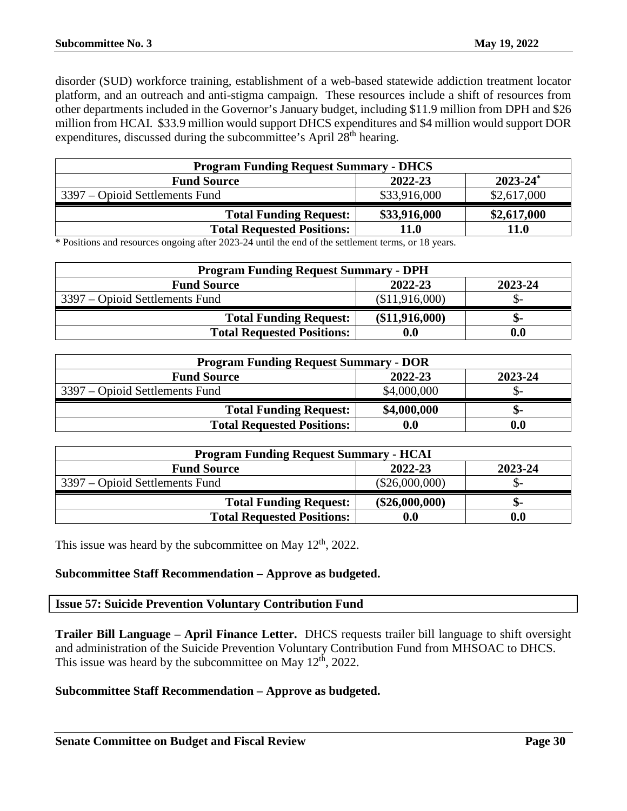disorder (SUD) workforce training, establishment of a web-based statewide addiction treatment locator platform, and an outreach and anti-stigma campaign. These resources include a shift of resources from other departments included in the Governor's January budget, including \$11.9 million from DPH and \$26 million from HCAI. \$33.9 million would support DHCS expenditures and \$4 million would support DOR expenditures, discussed during the subcommittee's April 28<sup>th</sup> hearing.

| <b>Program Funding Request Summary - DHCS</b> |              |               |
|-----------------------------------------------|--------------|---------------|
| <b>Fund Source</b>                            | 2022-23      | $2023 - 24^*$ |
| 3397 – Opioid Settlements Fund                | \$33,916,000 | \$2,617,000   |
| <b>Total Funding Request:</b>                 | \$33,916,000 | \$2,617,000   |
| <b>Total Requested Positions:</b>             | 11.0         | 11.0          |

\* Positions and resources ongoing after 2023-24 until the end of the settlement terms, or 18 years.

| <b>Program Funding Request Summary - DPH</b> |                |         |
|----------------------------------------------|----------------|---------|
| <b>Fund Source</b>                           | 2022-23        | 2023-24 |
| 3397 – Opioid Settlements Fund               | \$11,916,000   |         |
| <b>Total Funding Request:</b>                | (\$11,916,000) | ת-      |
| <b>Total Requested Positions:</b>            |                | 0.0     |

| <b>Program Funding Request Summary - DOR</b> |                    |         |
|----------------------------------------------|--------------------|---------|
| <b>Fund Source</b>                           | 2022-23            | 2023-24 |
| 3397 – Opioid Settlements Fund               | \$4,000,000        | JD-     |
| <b>Total Funding Request:</b>                | \$4,000,000        | ת –     |
| <b>Total Requested Positions:</b>            | $\boldsymbol{0.0}$ | 0.0     |

| <b>Program Funding Request Summary - HCAI</b> |                    |         |
|-----------------------------------------------|--------------------|---------|
| <b>Fund Source</b>                            | 2022-23            | 2023-24 |
| 3397 – Opioid Settlements Fund                | $(\$26,000,000)$   | - O     |
| <b>Total Funding Request:</b>                 | $(\$26,000,000)$   | -ת.     |
| <b>Total Requested Positions:</b>             | $\boldsymbol{0.0}$ | 0.0     |

This issue was heard by the subcommittee on May  $12<sup>th</sup>$ , 2022.

# **Subcommittee Staff Recommendation – Approve as budgeted.**

#### <span id="page-29-0"></span>**Issue 57: Suicide Prevention Voluntary Contribution Fund**

**Trailer Bill Language – April Finance Letter.** DHCS requests trailer bill language to shift oversight and administration of the Suicide Prevention Voluntary Contribution Fund from MHSOAC to DHCS. This issue was heard by the subcommittee on May  $12<sup>th</sup>$ , 2022.

#### **Subcommittee Staff Recommendation – Approve as budgeted.**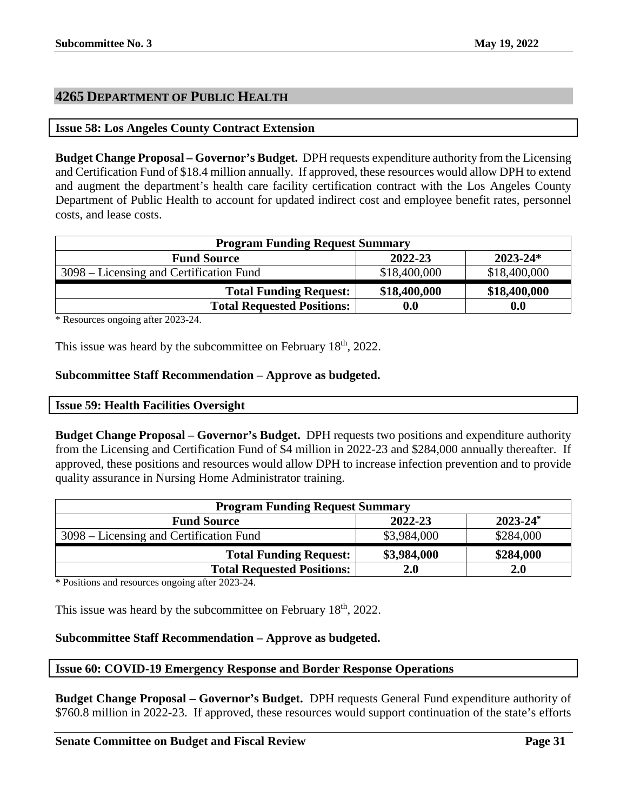# <span id="page-30-0"></span>**4265 DEPARTMENT OF PUBLIC HEALTH**

#### <span id="page-30-1"></span>**Issue 58: Los Angeles County Contract Extension**

**Budget Change Proposal – Governor's Budget.** DPH requests expenditure authority from the Licensing and Certification Fund of \$18.4 million annually. If approved, these resources would allow DPH to extend and augment the department's health care facility certification contract with the Los Angeles County Department of Public Health to account for updated indirect cost and employee benefit rates, personnel costs, and lease costs.

| <b>Program Funding Request Summary</b>  |              |              |
|-----------------------------------------|--------------|--------------|
| <b>Fund Source</b>                      | 2022-23      | $2023 - 24*$ |
| 3098 – Licensing and Certification Fund | \$18,400,000 | \$18,400,000 |
| <b>Total Funding Request:</b>           | \$18,400,000 | \$18,400,000 |
| <b>Total Requested Positions:</b>       | 0.0          | 0.0          |

\* Resources ongoing after 2023-24.

This issue was heard by the subcommittee on February 18<sup>th</sup>, 2022.

# **Subcommittee Staff Recommendation – Approve as budgeted.**

<span id="page-30-2"></span>

**Budget Change Proposal – Governor's Budget.** DPH requests two positions and expenditure authority from the Licensing and Certification Fund of \$4 million in 2022-23 and \$284,000 annually thereafter. If approved, these positions and resources would allow DPH to increase infection prevention and to provide quality assurance in Nursing Home Administrator training.

| <b>Program Funding Request Summary</b>  |             |               |
|-----------------------------------------|-------------|---------------|
| <b>Fund Source</b>                      | 2022-23     | $2023 - 24^*$ |
| 3098 – Licensing and Certification Fund | \$3,984,000 | \$284,000     |
| <b>Total Funding Request:</b>           | \$3,984,000 | \$284,000     |
| <b>Total Requested Positions:</b>       | 2.0         | 2.0           |

\* Positions and resources ongoing after 2023-24.

This issue was heard by the subcommittee on February 18<sup>th</sup>, 2022.

# **Subcommittee Staff Recommendation – Approve as budgeted.**

#### <span id="page-30-3"></span>**Issue 60: COVID-19 Emergency Response and Border Response Operations**

**Budget Change Proposal – Governor's Budget.** DPH requests General Fund expenditure authority of \$760.8 million in 2022-23. If approved, these resources would support continuation of the state's efforts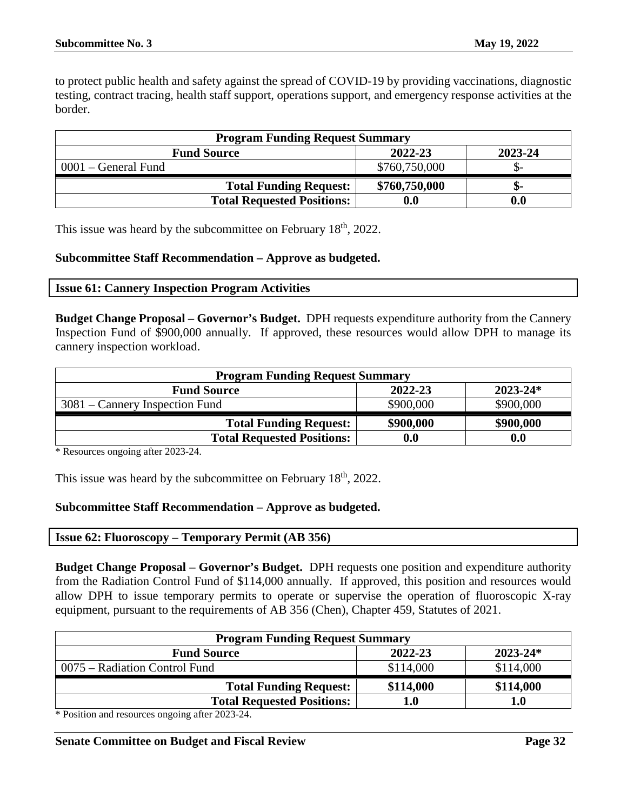to protect public health and safety against the spread of COVID-19 by providing vaccinations, diagnostic testing, contract tracing, health staff support, operations support, and emergency response activities at the border.

| <b>Program Funding Request Summary</b> |                    |         |
|----------------------------------------|--------------------|---------|
| <b>Fund Source</b>                     | 2022-23            | 2023-24 |
| $0001$ – General Fund                  | \$760,750,000      |         |
| <b>Total Funding Request:</b>          | \$760,750,000      | .৯-     |
| <b>Total Requested Positions:</b>      | $\boldsymbol{0.0}$ | 0.0     |

This issue was heard by the subcommittee on February 18<sup>th</sup>, 2022.

#### **Subcommittee Staff Recommendation – Approve as budgeted.**

#### <span id="page-31-0"></span>**Issue 61: Cannery Inspection Program Activities**

**Budget Change Proposal – Governor's Budget.** DPH requests expenditure authority from the Cannery Inspection Fund of \$900,000 annually. If approved, these resources would allow DPH to manage its cannery inspection workload.

| <b>Program Funding Request Summary</b> |                    |              |
|----------------------------------------|--------------------|--------------|
| <b>Fund Source</b>                     | 2022-23            | $2023 - 24*$ |
| $3081$ – Cannery Inspection Fund       | \$900,000          | \$900,000    |
| <b>Total Funding Request:</b>          | \$900,000          | \$900,000    |
| <b>Total Requested Positions:</b>      | $\boldsymbol{0.0}$ | 0.0          |

\* Resources ongoing after 2023-24.

This issue was heard by the subcommittee on February 18<sup>th</sup>, 2022.

# **Subcommittee Staff Recommendation – Approve as budgeted.**

<span id="page-31-1"></span>

**Budget Change Proposal – Governor's Budget.** DPH requests one position and expenditure authority from the Radiation Control Fund of \$114,000 annually. If approved, this position and resources would allow DPH to issue temporary permits to operate or supervise the operation of fluoroscopic X-ray equipment, pursuant to the requirements of AB 356 (Chen), Chapter 459, Statutes of 2021.

| <b>Program Funding Request Summary</b> |              |  |
|----------------------------------------|--------------|--|
| 2022-23                                | $2023 - 24*$ |  |
| \$114,000                              | \$114,000    |  |
| \$114,000                              | \$114,000    |  |
| l.O                                    |              |  |
|                                        |              |  |

\* Position and resources ongoing after 2023-24.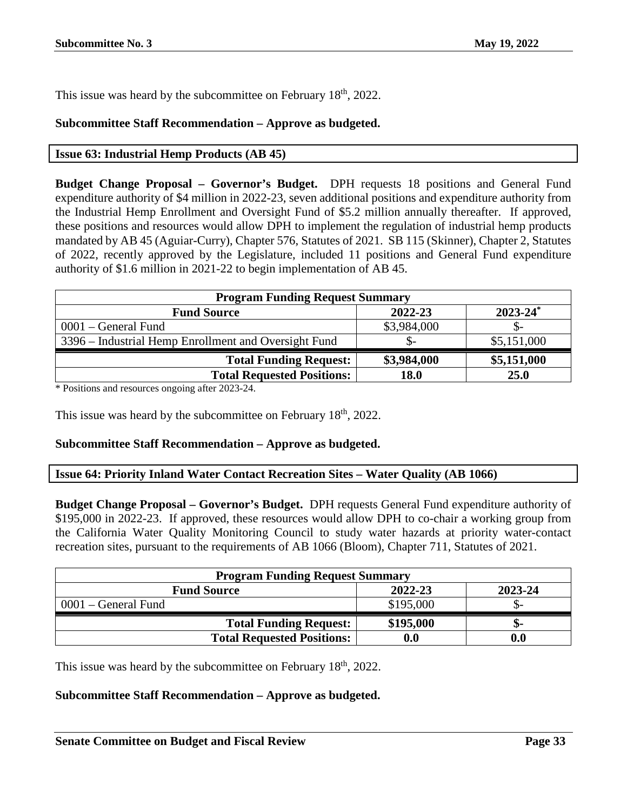This issue was heard by the subcommittee on February 18<sup>th</sup>, 2022.

# **Subcommittee Staff Recommendation – Approve as budgeted.**

# <span id="page-32-0"></span>**Issue 63: Industrial Hemp Products (AB 45)**

**Budget Change Proposal – Governor's Budget.** DPH requests 18 positions and General Fund expenditure authority of \$4 million in 2022-23, seven additional positions and expenditure authority from the Industrial Hemp Enrollment and Oversight Fund of \$5.2 million annually thereafter. If approved, these positions and resources would allow DPH to implement the regulation of industrial hemp products mandated by AB 45 (Aguiar-Curry), Chapter 576, Statutes of 2021. SB 115 (Skinner), Chapter 2, Statutes of 2022, recently approved by the Legislature, included 11 positions and General Fund expenditure authority of \$1.6 million in 2021-22 to begin implementation of AB 45.

| <b>Program Funding Request Summary</b>               |             |               |
|------------------------------------------------------|-------------|---------------|
| <b>Fund Source</b>                                   | 2022-23     | $2023 - 24^*$ |
| $0001$ – General Fund                                | \$3,984,000 |               |
| 3396 – Industrial Hemp Enrollment and Oversight Fund | \$-         | \$5,151,000   |
| <b>Total Funding Request:</b>                        | \$3,984,000 | \$5,151,000   |
| <b>Total Requested Positions:</b>                    | 18.0        | 25.0          |

\* Positions and resources ongoing after 2023-24.

This issue was heard by the subcommittee on February 18<sup>th</sup>, 2022.

# **Subcommittee Staff Recommendation – Approve as budgeted.**

# <span id="page-32-1"></span>**Issue 64: Priority Inland Water Contact Recreation Sites – Water Quality (AB 1066)**

**Budget Change Proposal – Governor's Budget.** DPH requests General Fund expenditure authority of \$195,000 in 2022-23. If approved, these resources would allow DPH to co-chair a working group from the California Water Quality Monitoring Council to study water hazards at priority water-contact recreation sites, pursuant to the requirements of AB 1066 (Bloom), Chapter 711, Statutes of 2021.

| <b>Program Funding Request Summary</b> |                    |         |
|----------------------------------------|--------------------|---------|
| <b>Fund Source</b>                     | 2022-23            | 2023-24 |
| $0001$ – General Fund                  | \$195,000          |         |
| <b>Total Funding Request:</b>          | \$195,000          | ת-      |
| <b>Total Requested Positions:</b>      | $\boldsymbol{0.0}$ | 0.0     |

This issue was heard by the subcommittee on February 18<sup>th</sup>, 2022.

# **Subcommittee Staff Recommendation – Approve as budgeted.**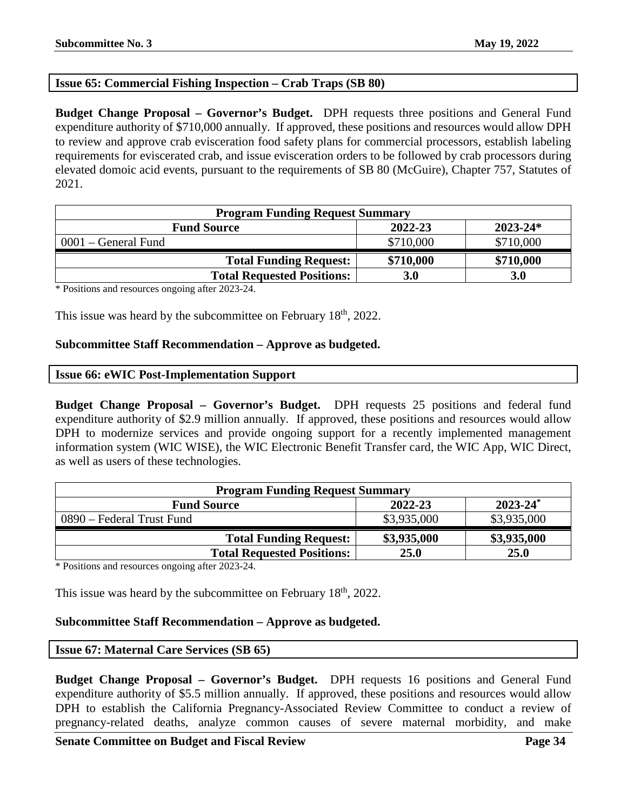# <span id="page-33-0"></span>**Issue 65: Commercial Fishing Inspection – Crab Traps (SB 80)**

**Budget Change Proposal – Governor's Budget.** DPH requests three positions and General Fund expenditure authority of \$710,000 annually. If approved, these positions and resources would allow DPH to review and approve crab evisceration food safety plans for commercial processors, establish labeling requirements for eviscerated crab, and issue evisceration orders to be followed by crab processors during elevated domoic acid events, pursuant to the requirements of SB 80 (McGuire), Chapter 757, Statutes of 2021.

| <b>Program Funding Request Summary</b> |           |              |
|----------------------------------------|-----------|--------------|
| <b>Fund Source</b>                     | 2022-23   | $2023 - 24*$ |
| $0001$ – General Fund                  | \$710,000 | \$710,000    |
| <b>Total Funding Request:</b>          | \$710,000 | \$710,000    |
| <b>Total Requested Positions:</b>      | 3.0       | 3.0          |

\* Positions and resources ongoing after 2023-24.

This issue was heard by the subcommittee on February 18<sup>th</sup>, 2022.

#### **Subcommittee Staff Recommendation – Approve as budgeted.**

#### <span id="page-33-1"></span>**Issue 66: eWIC Post-Implementation Support**

**Budget Change Proposal – Governor's Budget.** DPH requests 25 positions and federal fund expenditure authority of \$2.9 million annually. If approved, these positions and resources would allow DPH to modernize services and provide ongoing support for a recently implemented management information system (WIC WISE), the WIC Electronic Benefit Transfer card, the WIC App, WIC Direct, as well as users of these technologies.

| <b>Program Funding Request Summary</b> |             |               |
|----------------------------------------|-------------|---------------|
| <b>Fund Source</b>                     | 2022-23     | $2023 - 24^*$ |
| 0890 – Federal Trust Fund              | \$3,935,000 | \$3,935,000   |
| <b>Total Funding Request:</b>          | \$3,935,000 | \$3,935,000   |
| <b>Total Requested Positions:</b>      | 25.0        | 25.0          |

\* Positions and resources ongoing after 2023-24.

This issue was heard by the subcommittee on February  $18<sup>th</sup>$ , 2022.

# **Subcommittee Staff Recommendation – Approve as budgeted.**

<span id="page-33-2"></span>**Issue 67: Maternal Care Services (SB 65)**

**Budget Change Proposal – Governor's Budget.** DPH requests 16 positions and General Fund expenditure authority of \$5.5 million annually. If approved, these positions and resources would allow DPH to establish the California Pregnancy-Associated Review Committee to conduct a review of pregnancy-related deaths, analyze common causes of severe maternal morbidity, and make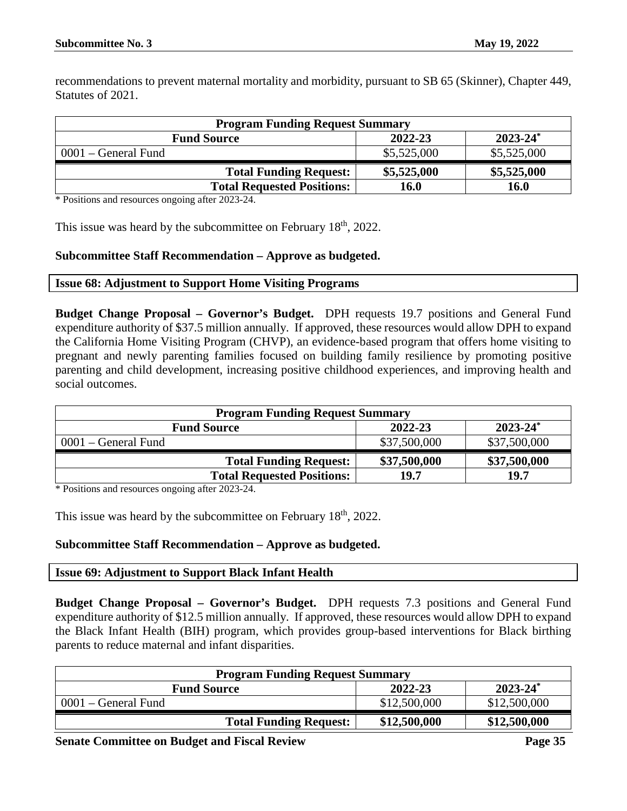recommendations to prevent maternal mortality and morbidity, pursuant to SB 65 (Skinner), Chapter 449, Statutes of 2021.

| <b>Program Funding Request Summary</b> |             |               |
|----------------------------------------|-------------|---------------|
| <b>Fund Source</b>                     | 2022-23     | $2023 - 24^*$ |
| $0001$ – General Fund                  | \$5,525,000 | \$5,525,000   |
| <b>Total Funding Request:</b>          | \$5,525,000 | \$5,525,000   |
| <b>Total Requested Positions:</b>      | 16.0        | 16.0          |

\* Positions and resources ongoing after 2023-24.

This issue was heard by the subcommittee on February  $18<sup>th</sup>$ , 2022.

# **Subcommittee Staff Recommendation – Approve as budgeted.**

#### <span id="page-34-0"></span>**Issue 68: Adjustment to Support Home Visiting Programs**

**Budget Change Proposal – Governor's Budget.** DPH requests 19.7 positions and General Fund expenditure authority of \$37.5 million annually. If approved, these resources would allow DPH to expand the California Home Visiting Program (CHVP), an evidence-based program that offers home visiting to pregnant and newly parenting families focused on building family resilience by promoting positive parenting and child development, increasing positive childhood experiences, and improving health and social outcomes.

| <b>Program Funding Request Summary</b> |              |               |
|----------------------------------------|--------------|---------------|
| <b>Fund Source</b>                     | 2022-23      | $2023 - 24^*$ |
| $0001$ – General Fund                  | \$37,500,000 | \$37,500,000  |
| <b>Total Funding Request:</b>          | \$37,500,000 | \$37,500,000  |
| <b>Total Requested Positions:</b>      | 19.7         | 19.7          |

\* Positions and resources ongoing after 2023-24.

This issue was heard by the subcommittee on February  $18<sup>th</sup>$ , 2022.

# **Subcommittee Staff Recommendation – Approve as budgeted.**

#### <span id="page-34-1"></span>**Issue 69: Adjustment to Support Black Infant Health**

**Budget Change Proposal – Governor's Budget.** DPH requests 7.3 positions and General Fund expenditure authority of \$12.5 million annually. If approved, these resources would allow DPH to expand the Black Infant Health (BIH) program, which provides group-based interventions for Black birthing parents to reduce maternal and infant disparities.

| <b>Program Funding Request Summary</b> |              |               |
|----------------------------------------|--------------|---------------|
| <b>Fund Source</b>                     | 2022-23      | $2023 - 24^*$ |
| $0001$ – General Fund                  | \$12,500,000 | \$12,500,000  |
| <b>Total Funding Request:</b>          | \$12,500,000 | \$12,500,000  |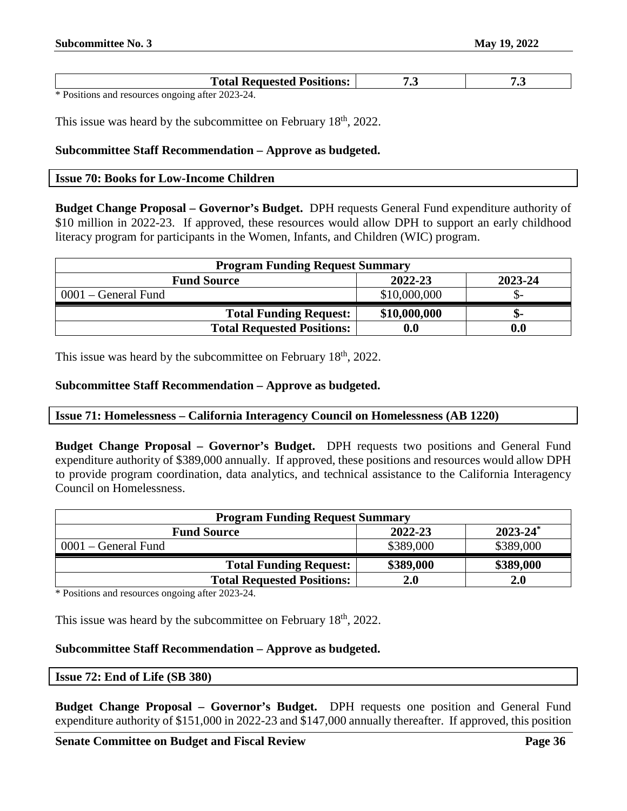| <b>Total Requested Positions:</b> | $\bullet\bullet$ | . . |
|-----------------------------------|------------------|-----|
| $\sim$ n $\sim$<br>0.000001       |                  |     |

This issue was heard by the subcommittee on February 18<sup>th</sup>, 2022.

#### **Subcommittee Staff Recommendation – Approve as budgeted.**

#### <span id="page-35-0"></span>**Issue 70: Books for Low-Income Children**

**Budget Change Proposal – Governor's Budget.** DPH requests General Fund expenditure authority of \$10 million in 2022-23. If approved, these resources would allow DPH to support an early childhood literacy program for participants in the Women, Infants, and Children (WIC) program.

| <b>Program Funding Request Summary</b> |                    |         |
|----------------------------------------|--------------------|---------|
| <b>Fund Source</b>                     | 2022-23            | 2023-24 |
| $0001$ – General Fund                  | \$10,000,000       | JD-     |
| <b>Total Funding Request:</b>          | \$10,000,000       | .চ–     |
| <b>Total Requested Positions:</b>      | $\boldsymbol{0.0}$ | 0.0     |

This issue was heard by the subcommittee on February 18<sup>th</sup>, 2022.

#### **Subcommittee Staff Recommendation – Approve as budgeted.**

#### <span id="page-35-1"></span>**Issue 71: Homelessness – California Interagency Council on Homelessness (AB 1220)**

**Budget Change Proposal – Governor's Budget.** DPH requests two positions and General Fund expenditure authority of \$389,000 annually. If approved, these positions and resources would allow DPH to provide program coordination, data analytics, and technical assistance to the California Interagency Council on Homelessness.

| <b>Program Funding Request Summary</b> |           |                          |
|----------------------------------------|-----------|--------------------------|
| <b>Fund Source</b>                     | 2022-23   | $2023 - 24$ <sup>*</sup> |
| $0001$ – General Fund                  | \$389,000 | \$389,000                |
| <b>Total Funding Request:</b>          | \$389,000 | \$389,000                |
| <b>Total Requested Positions:</b>      | 2.0       | 2.0                      |

\* Positions and resources ongoing after 2023-24.

This issue was heard by the subcommittee on February  $18<sup>th</sup>$ , 2022.

# **Subcommittee Staff Recommendation – Approve as budgeted.**

#### <span id="page-35-2"></span>**Issue 72: End of Life (SB 380)**

**Budget Change Proposal – Governor's Budget.** DPH requests one position and General Fund expenditure authority of \$151,000 in 2022-23 and \$147,000 annually thereafter. If approved, this position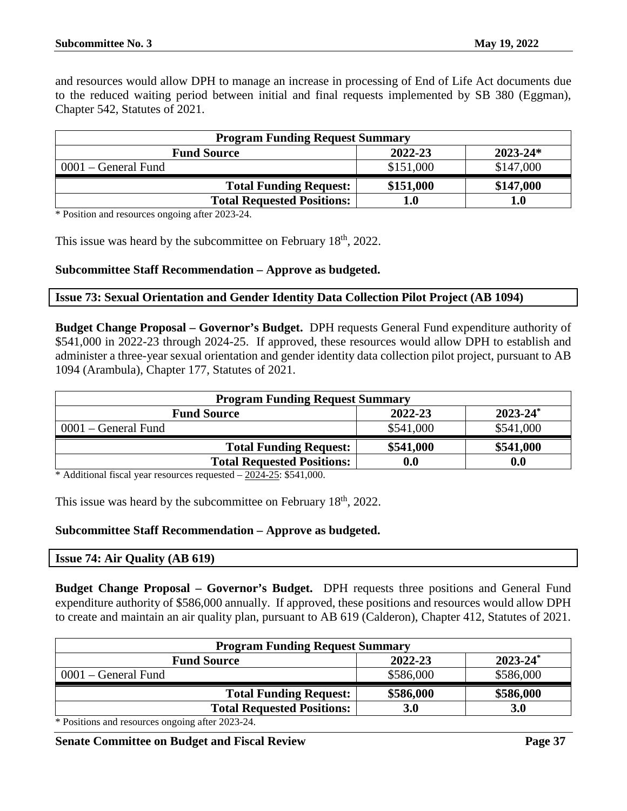and resources would allow DPH to manage an increase in processing of End of Life Act documents due to the reduced waiting period between initial and final requests implemented by SB 380 (Eggman), Chapter 542, Statutes of 2021.

| <b>Program Funding Request Summary</b> |           |              |
|----------------------------------------|-----------|--------------|
| <b>Fund Source</b>                     | 2022-23   | $2023 - 24*$ |
| $0001$ – General Fund                  | \$151,000 | \$147,000    |
| <b>Total Funding Request:</b>          | \$151,000 | \$147,000    |
| <b>Total Requested Positions:</b>      | 1.0       | $1.0\,$      |

\* Position and resources ongoing after 2023-24.

This issue was heard by the subcommittee on February 18<sup>th</sup>, 2022.

#### **Subcommittee Staff Recommendation – Approve as budgeted.**

#### <span id="page-36-0"></span>**Issue 73: Sexual Orientation and Gender Identity Data Collection Pilot Project (AB 1094)**

**Budget Change Proposal – Governor's Budget.** DPH requests General Fund expenditure authority of \$541,000 in 2022-23 through 2024-25. If approved, these resources would allow DPH to establish and administer a three-year sexual orientation and gender identity data collection pilot project, pursuant to AB 1094 (Arambula), Chapter 177, Statutes of 2021.

| <b>Program Funding Request Summary</b>         |           |  |  |
|------------------------------------------------|-----------|--|--|
| $2023 - 24^*$<br>2022-23<br><b>Fund Source</b> |           |  |  |
| \$541,000                                      | \$541,000 |  |  |
| \$541,000                                      | \$541,000 |  |  |
| $\boldsymbol{0.0}$                             | 0.0       |  |  |
|                                                |           |  |  |

\* Additional fiscal year resources requested – 2024-25: \$541,000.

This issue was heard by the subcommittee on February 18<sup>th</sup>, 2022.

# **Subcommittee Staff Recommendation – Approve as budgeted.**

# <span id="page-36-1"></span>**Issue 74: Air Quality (AB 619)**

**Budget Change Proposal – Governor's Budget.** DPH requests three positions and General Fund expenditure authority of \$586,000 annually. If approved, these positions and resources would allow DPH to create and maintain an air quality plan, pursuant to AB 619 (Calderon), Chapter 412, Statutes of 2021.

| <b>Program Funding Request Summary</b>               |           |               |
|------------------------------------------------------|-----------|---------------|
| <b>Fund Source</b>                                   | 2022-23   | $2023 - 24^*$ |
| $0001$ – General Fund                                | \$586,000 | \$586,000     |
| <b>Total Funding Request:</b>                        | \$586,000 | \$586,000     |
| <b>Total Requested Positions:</b>                    | 3.0       | 3.0           |
| $\ast$ Desitions and measures consider often 0000 04 |           |               |

\* Positions and resources ongoing after 2023-24.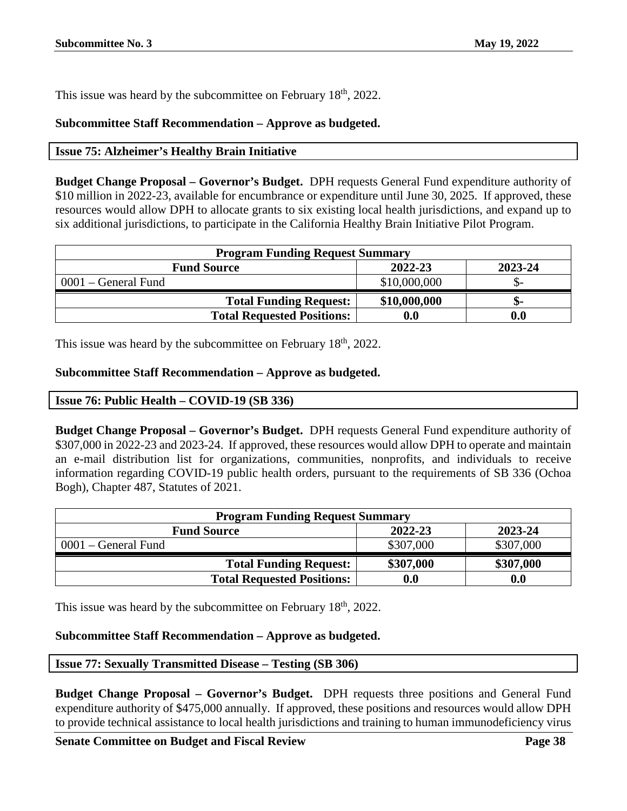This issue was heard by the subcommittee on February 18<sup>th</sup>, 2022.

# **Subcommittee Staff Recommendation – Approve as budgeted.**

# <span id="page-37-0"></span>**Issue 75: Alzheimer's Healthy Brain Initiative**

**Budget Change Proposal – Governor's Budget.** DPH requests General Fund expenditure authority of \$10 million in 2022-23, available for encumbrance or expenditure until June 30, 2025. If approved, these resources would allow DPH to allocate grants to six existing local health jurisdictions, and expand up to six additional jurisdictions, to participate in the California Healthy Brain Initiative Pilot Program.

| <b>Program Funding Request Summary</b> |                    |         |
|----------------------------------------|--------------------|---------|
| <b>Fund Source</b>                     | 2022-23            | 2023-24 |
| $0001$ – General Fund                  | \$10,000,000       | - G     |
| <b>Total Funding Request:</b>          | \$10,000,000       | -ת.     |
| <b>Total Requested Positions:</b>      | $\boldsymbol{0.0}$ | 0.0     |

This issue was heard by the subcommittee on February  $18<sup>th</sup>$ , 2022.

# **Subcommittee Staff Recommendation – Approve as budgeted.**

# <span id="page-37-1"></span>**Issue 76: Public Health – COVID-19 (SB 336)**

**Budget Change Proposal – Governor's Budget.** DPH requests General Fund expenditure authority of \$307,000 in 2022-23 and 2023-24. If approved, these resources would allow DPH to operate and maintain an e-mail distribution list for organizations, communities, nonprofits, and individuals to receive information regarding COVID-19 public health orders, pursuant to the requirements of SB 336 (Ochoa Bogh), Chapter 487, Statutes of 2021.

| <b>Program Funding Request Summary</b> |                    |           |
|----------------------------------------|--------------------|-----------|
| <b>Fund Source</b>                     | 2022-23            | 2023-24   |
| $0001$ – General Fund                  | \$307,000          | \$307,000 |
| <b>Total Funding Request:</b>          | \$307,000          | \$307,000 |
| <b>Total Requested Positions:</b>      | $\boldsymbol{0.0}$ | 0.0       |

This issue was heard by the subcommittee on February 18<sup>th</sup>, 2022.

# **Subcommittee Staff Recommendation – Approve as budgeted.**

# <span id="page-37-2"></span>**Issue 77: Sexually Transmitted Disease – Testing (SB 306)**

**Budget Change Proposal – Governor's Budget.** DPH requests three positions and General Fund expenditure authority of \$475,000 annually. If approved, these positions and resources would allow DPH to provide technical assistance to local health jurisdictions and training to human immunodeficiency virus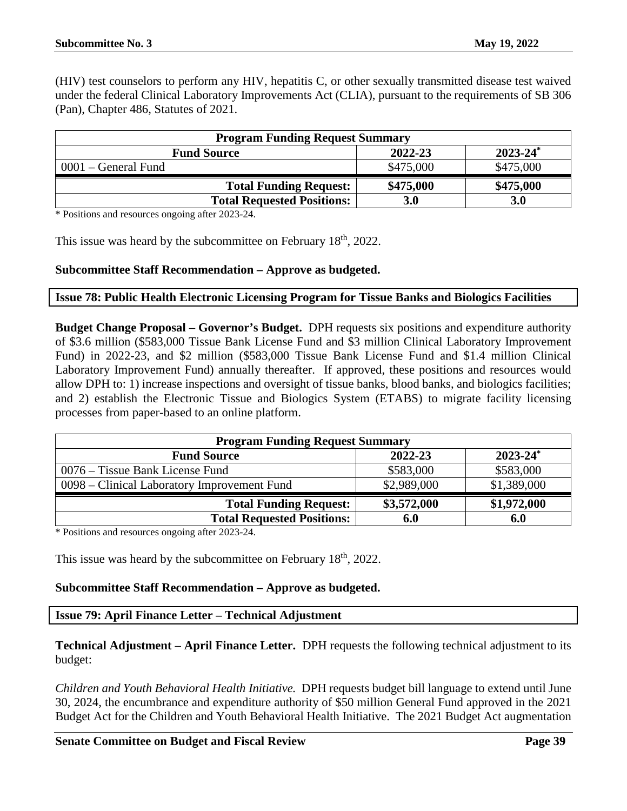(HIV) test counselors to perform any HIV, hepatitis C, or other sexually transmitted disease test waived under the federal Clinical Laboratory Improvements Act (CLIA), pursuant to the requirements of SB 306 (Pan), Chapter 486, Statutes of 2021.

| <b>Program Funding Request Summary</b> |           |                          |
|----------------------------------------|-----------|--------------------------|
| <b>Fund Source</b>                     | 2022-23   | $2023 - 24$ <sup>*</sup> |
| $0001$ – General Fund                  | \$475,000 | \$475,000                |
| <b>Total Funding Request:</b>          | \$475,000 | \$475,000                |
| <b>Total Requested Positions:</b>      | 3.0       | <b>3.0</b>               |

\* Positions and resources ongoing after 2023-24.

This issue was heard by the subcommittee on February 18<sup>th</sup>, 2022.

# **Subcommittee Staff Recommendation – Approve as budgeted.**

#### <span id="page-38-0"></span>**Issue 78: Public Health Electronic Licensing Program for Tissue Banks and Biologics Facilities**

**Budget Change Proposal – Governor's Budget.** DPH requests six positions and expenditure authority of \$3.6 million (\$583,000 Tissue Bank License Fund and \$3 million Clinical Laboratory Improvement Fund) in 2022-23, and \$2 million (\$583,000 Tissue Bank License Fund and \$1.4 million Clinical Laboratory Improvement Fund) annually thereafter. If approved, these positions and resources would allow DPH to: 1) increase inspections and oversight of tissue banks, blood banks, and biologics facilities; and 2) establish the Electronic Tissue and Biologics System (ETABS) to migrate facility licensing processes from paper-based to an online platform.

| <b>Program Funding Request Summary</b>      |             |               |
|---------------------------------------------|-------------|---------------|
| <b>Fund Source</b>                          | 2022-23     | $2023 - 24^*$ |
| 0076 – Tissue Bank License Fund             | \$583,000   | \$583,000     |
| 0098 – Clinical Laboratory Improvement Fund | \$2,989,000 | \$1,389,000   |
| <b>Total Funding Request:</b>               | \$3,572,000 | \$1,972,000   |
| <b>Total Requested Positions:</b>           | 6.0         | 6.0           |

\* Positions and resources ongoing after 2023-24.

This issue was heard by the subcommittee on February 18<sup>th</sup>, 2022.

# **Subcommittee Staff Recommendation – Approve as budgeted.**

<span id="page-38-1"></span>**Issue 79: April Finance Letter – Technical Adjustment**

**Technical Adjustment – April Finance Letter.** DPH requests the following technical adjustment to its budget:

*Children and Youth Behavioral Health Initiative.* DPH requests budget bill language to extend until June 30, 2024, the encumbrance and expenditure authority of \$50 million General Fund approved in the 2021 Budget Act for the Children and Youth Behavioral Health Initiative. The 2021 Budget Act augmentation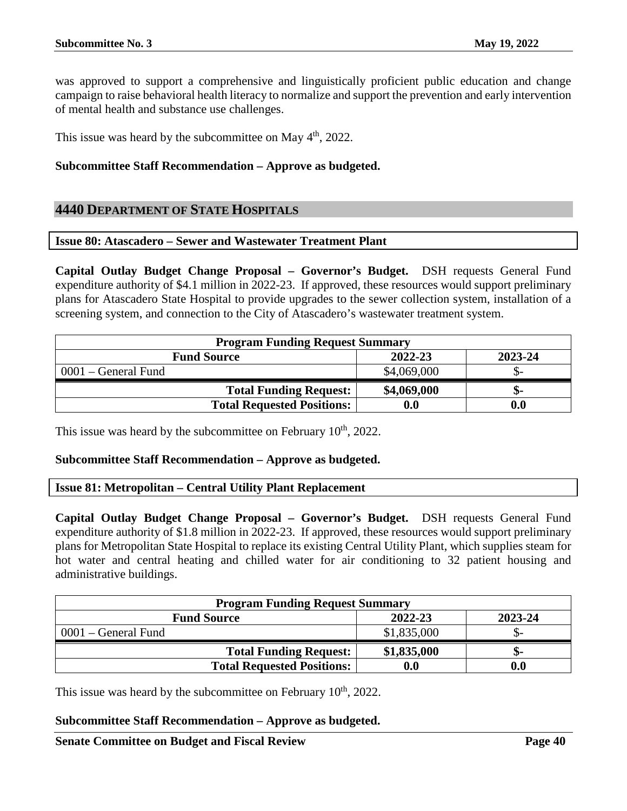was approved to support a comprehensive and linguistically proficient public education and change campaign to raise behavioral health literacy to normalize and support the prevention and early intervention of mental health and substance use challenges.

This issue was heard by the subcommittee on May 4<sup>th</sup>, 2022.

#### **Subcommittee Staff Recommendation – Approve as budgeted.**

# <span id="page-39-0"></span>**4440 DEPARTMENT OF STATE HOSPITALS**

#### <span id="page-39-1"></span>**Issue 80: Atascadero – Sewer and Wastewater Treatment Plant**

**Capital Outlay Budget Change Proposal – Governor's Budget.** DSH requests General Fund expenditure authority of \$4.1 million in 2022-23. If approved, these resources would support preliminary plans for Atascadero State Hospital to provide upgrades to the sewer collection system, installation of a screening system, and connection to the City of Atascadero's wastewater treatment system.

| <b>Program Funding Request Summary</b> |             |         |
|----------------------------------------|-------------|---------|
| <b>Fund Source</b>                     | 2022-23     | 2023-24 |
| $0001$ – General Fund                  | \$4,069,000 |         |
| <b>Total Funding Request:</b>          | \$4,069,000 | ת-      |
| <b>Total Requested Positions:</b>      | 0.0         |         |

This issue was heard by the subcommittee on February  $10<sup>th</sup>$ , 2022.

#### **Subcommittee Staff Recommendation – Approve as budgeted.**

<span id="page-39-2"></span>**Issue 81: Metropolitan – Central Utility Plant Replacement**

**Capital Outlay Budget Change Proposal – Governor's Budget.** DSH requests General Fund expenditure authority of \$1.8 million in 2022-23. If approved, these resources would support preliminary plans for Metropolitan State Hospital to replace its existing Central Utility Plant, which supplies steam for hot water and central heating and chilled water for air conditioning to 32 patient housing and administrative buildings.

| <b>Program Funding Request Summary</b> |             |                  |
|----------------------------------------|-------------|------------------|
| <b>Fund Source</b>                     | 2022-23     | 2023-24          |
| 0001 – General Fund                    | \$1,835,000 |                  |
| <b>Total Funding Request:</b>          | \$1,835,000 | ת-               |
| <b>Total Requested Positions:</b>      | 0.0         | 0.0 <sub>1</sub> |

This issue was heard by the subcommittee on February  $10<sup>th</sup>$ , 2022.

#### **Subcommittee Staff Recommendation – Approve as budgeted.**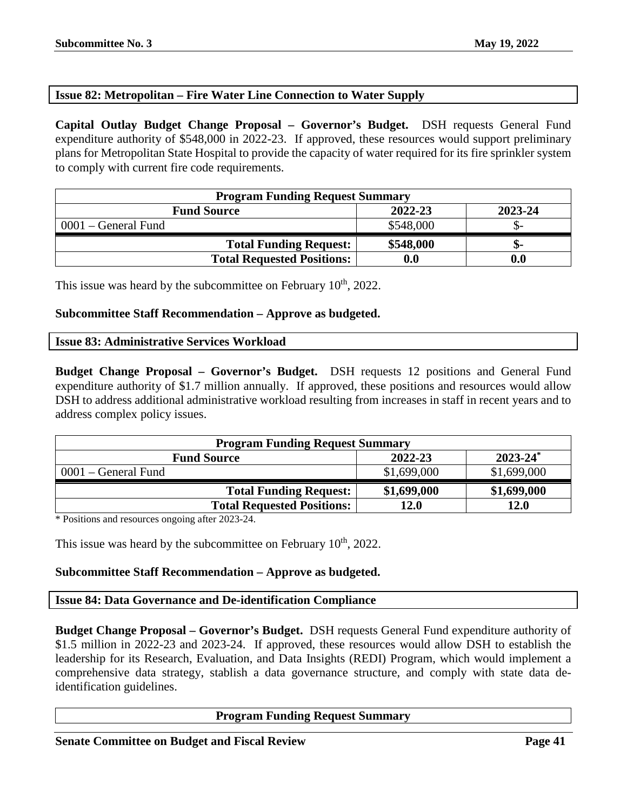# <span id="page-40-0"></span>**Issue 82: Metropolitan – Fire Water Line Connection to Water Supply**

**Capital Outlay Budget Change Proposal – Governor's Budget.** DSH requests General Fund expenditure authority of \$548,000 in 2022-23. If approved, these resources would support preliminary plans for Metropolitan State Hospital to provide the capacity of water required for its fire sprinkler system to comply with current fire code requirements.

| <b>Program Funding Request Summary</b> |                    |                    |
|----------------------------------------|--------------------|--------------------|
| <b>Fund Source</b>                     | 2022-23            | 2023-24            |
| $0001$ – General Fund                  | \$548,000          |                    |
| <b>Total Funding Request:</b>          | \$548,000          | -ת.                |
| <b>Total Requested Positions:</b>      | $\boldsymbol{0.0}$ | $\boldsymbol{0.0}$ |

This issue was heard by the subcommittee on February  $10<sup>th</sup>$ , 2022.

#### **Subcommittee Staff Recommendation – Approve as budgeted.**

#### <span id="page-40-1"></span>**Issue 83: Administrative Services Workload**

**Budget Change Proposal – Governor's Budget.** DSH requests 12 positions and General Fund expenditure authority of \$1.7 million annually. If approved, these positions and resources would allow DSH to address additional administrative workload resulting from increases in staff in recent years and to address complex policy issues.

| <b>Program Funding Request Summary</b> |             |               |
|----------------------------------------|-------------|---------------|
| <b>Fund Source</b>                     | 2022-23     | $2023 - 24^*$ |
| $0001$ – General Fund                  | \$1,699,000 | \$1,699,000   |
| <b>Total Funding Request:</b>          | \$1,699,000 | \$1,699,000   |
| <b>Total Requested Positions:</b>      | 12.0        | 12.0          |

\* Positions and resources ongoing after 2023-24.

This issue was heard by the subcommittee on February  $10<sup>th</sup>$ , 2022.

# **Subcommittee Staff Recommendation – Approve as budgeted.**

# <span id="page-40-2"></span>**Issue 84: Data Governance and De-identification Compliance**

**Budget Change Proposal – Governor's Budget.** DSH requests General Fund expenditure authority of \$1.5 million in 2022-23 and 2023-24. If approved, these resources would allow DSH to establish the leadership for its Research, Evaluation, and Data Insights (REDI) Program, which would implement a comprehensive data strategy, stablish a data governance structure, and comply with state data deidentification guidelines.

# **Program Funding Request Summary**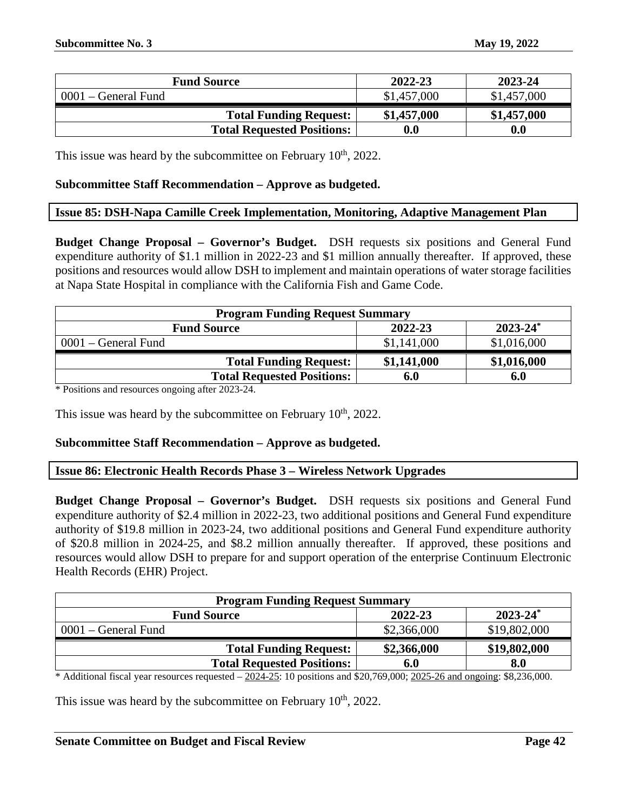| <b>Fund Source</b>                | 2022-23            | 2023-24     |
|-----------------------------------|--------------------|-------------|
| $0001$ – General Fund             | \$1,457,000        | \$1,457,000 |
| <b>Total Funding Request:</b>     | \$1,457,000        | \$1,457,000 |
| <b>Total Requested Positions:</b> | $\boldsymbol{0.0}$ | 0.0         |

This issue was heard by the subcommittee on February  $10<sup>th</sup>$ , 2022.

#### **Subcommittee Staff Recommendation – Approve as budgeted.**

#### <span id="page-41-0"></span>**Issue 85: DSH-Napa Camille Creek Implementation, Monitoring, Adaptive Management Plan**

**Budget Change Proposal – Governor's Budget.** DSH requests six positions and General Fund expenditure authority of \$1.1 million in 2022-23 and \$1 million annually thereafter. If approved, these positions and resources would allow DSH to implement and maintain operations of water storage facilities at Napa State Hospital in compliance with the California Fish and Game Code.

| <b>Program Funding Request Summary</b> |             |               |
|----------------------------------------|-------------|---------------|
| <b>Fund Source</b>                     | 2022-23     | $2023 - 24^*$ |
| 0001 – General Fund                    | \$1,141,000 | \$1,016,000   |
| <b>Total Funding Request:</b>          | \$1,141,000 | \$1,016,000   |
| <b>Total Requested Positions:</b>      | 6.0         | 6.0           |

\* Positions and resources ongoing after 2023-24.

This issue was heard by the subcommittee on February  $10<sup>th</sup>$ , 2022.

# **Subcommittee Staff Recommendation – Approve as budgeted.**

<span id="page-41-1"></span>**Issue 86: Electronic Health Records Phase 3 – Wireless Network Upgrades**

**Budget Change Proposal – Governor's Budget.** DSH requests six positions and General Fund expenditure authority of \$2.4 million in 2022-23, two additional positions and General Fund expenditure authority of \$19.8 million in 2023-24, two additional positions and General Fund expenditure authority of \$20.8 million in 2024-25, and \$8.2 million annually thereafter. If approved, these positions and resources would allow DSH to prepare for and support operation of the enterprise Continuum Electronic Health Records (EHR) Project.

| <b>Program Funding Request Summary</b>         |             |              |  |  |
|------------------------------------------------|-------------|--------------|--|--|
| $2023 - 24^*$<br>2022-23<br><b>Fund Source</b> |             |              |  |  |
| $0001$ – General Fund                          | \$2,366,000 | \$19,802,000 |  |  |
| <b>Total Funding Request:</b>                  | \$2,366,000 | \$19,802,000 |  |  |
| <b>Total Requested Positions:</b>              | 6.0         | 8.0          |  |  |

\* Additional fiscal year resources requested  $-2024-25$ : 10 positions and \$20,769,000;  $2025-26$  and ongoing: \$8,236,000.

This issue was heard by the subcommittee on February  $10<sup>th</sup>$ , 2022.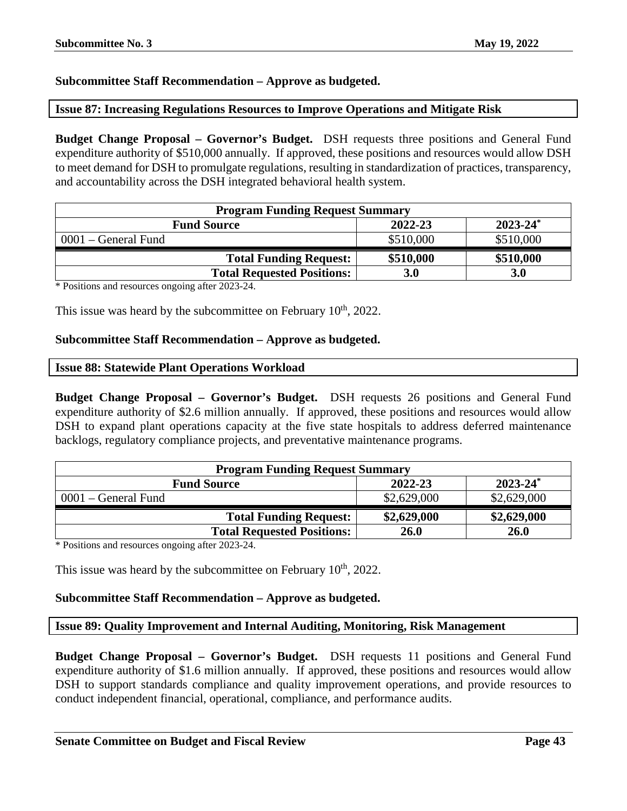# **Subcommittee Staff Recommendation – Approve as budgeted.**

# <span id="page-42-0"></span>**Issue 87: Increasing Regulations Resources to Improve Operations and Mitigate Risk**

**Budget Change Proposal – Governor's Budget.** DSH requests three positions and General Fund expenditure authority of \$510,000 annually. If approved, these positions and resources would allow DSH to meet demand for DSH to promulgate regulations, resulting in standardization of practices, transparency, and accountability across the DSH integrated behavioral health system.

| <b>Program Funding Request Summary</b> |            |               |
|----------------------------------------|------------|---------------|
| <b>Fund Source</b>                     | 2022-23    | $2023 - 24^*$ |
| 0001 – General Fund                    | \$510,000  | \$510,000     |
| <b>Total Funding Request:</b>          | \$510,000  | \$510,000     |
| <b>Total Requested Positions:</b>      | <b>3.0</b> | <b>3.0</b>    |

\* Positions and resources ongoing after 2023-24.

This issue was heard by the subcommittee on February  $10<sup>th</sup>$ , 2022.

#### **Subcommittee Staff Recommendation – Approve as budgeted.**

#### <span id="page-42-1"></span>**Issue 88: Statewide Plant Operations Workload**

**Budget Change Proposal – Governor's Budget.** DSH requests 26 positions and General Fund expenditure authority of \$2.6 million annually. If approved, these positions and resources would allow DSH to expand plant operations capacity at the five state hospitals to address deferred maintenance backlogs, regulatory compliance projects, and preventative maintenance programs.

| <b>Program Funding Request Summary</b> |             |               |
|----------------------------------------|-------------|---------------|
| <b>Fund Source</b>                     | 2022-23     | $2023 - 24^*$ |
| $0001$ – General Fund                  | \$2,629,000 | \$2,629,000   |
| <b>Total Funding Request:</b>          | \$2,629,000 | \$2,629,000   |
| <b>Total Requested Positions:</b>      | <b>26.0</b> | <b>26.0</b>   |

\* Positions and resources ongoing after 2023-24.

This issue was heard by the subcommittee on February  $10<sup>th</sup>$ , 2022.

# **Subcommittee Staff Recommendation – Approve as budgeted.**

#### <span id="page-42-2"></span>**Issue 89: Quality Improvement and Internal Auditing, Monitoring, Risk Management**

**Budget Change Proposal – Governor's Budget.** DSH requests 11 positions and General Fund expenditure authority of \$1.6 million annually. If approved, these positions and resources would allow DSH to support standards compliance and quality improvement operations, and provide resources to conduct independent financial, operational, compliance, and performance audits.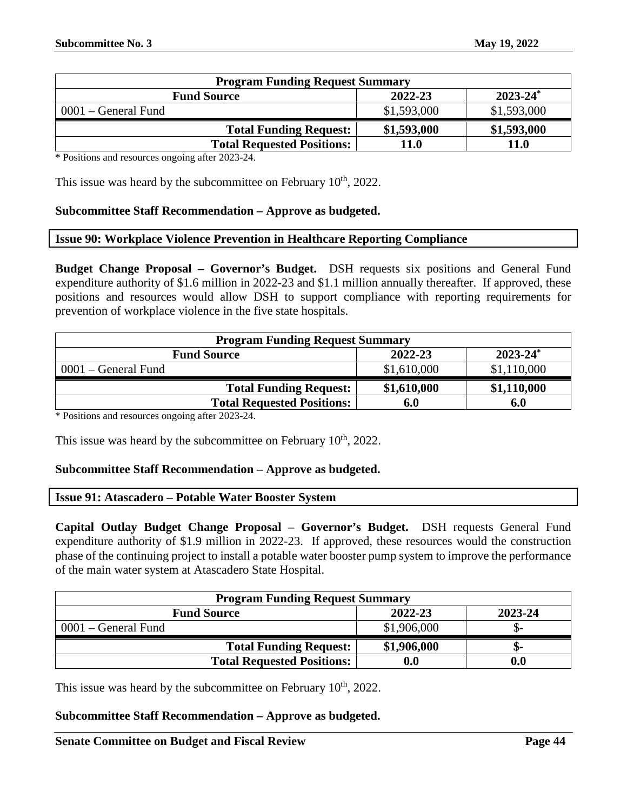| <b>Program Funding Request Summary</b> |             |               |
|----------------------------------------|-------------|---------------|
| <b>Fund Source</b>                     | 2022-23     | $2023 - 24^*$ |
| $0001$ – General Fund                  | \$1,593,000 | \$1,593,000   |
| <b>Total Funding Request:</b>          | \$1,593,000 | \$1,593,000   |
| <b>Total Requested Positions:</b>      | 11.0        | <b>11.0</b>   |

This issue was heard by the subcommittee on February  $10<sup>th</sup>$ , 2022.

# **Subcommittee Staff Recommendation – Approve as budgeted.**

#### <span id="page-43-0"></span>**Issue 90: Workplace Violence Prevention in Healthcare Reporting Compliance**

**Budget Change Proposal – Governor's Budget.** DSH requests six positions and General Fund expenditure authority of \$1.6 million in 2022-23 and \$1.1 million annually thereafter. If approved, these positions and resources would allow DSH to support compliance with reporting requirements for prevention of workplace violence in the five state hospitals.

| <b>Program Funding Request Summary</b>              |             |               |
|-----------------------------------------------------|-------------|---------------|
| <b>Fund Source</b>                                  | 2022-23     | $2023 - 24^*$ |
| $0001$ – General Fund                               | \$1,610,000 | \$1,110,000   |
| <b>Total Funding Request:</b>                       | \$1,610,000 | \$1,110,000   |
| <b>Total Requested Positions:</b>                   | 6.0         | 6.0           |
| $*$ Docttions and resources opening ofter $2022.24$ |             |               |

\* Positions and resources ongoing after 2023-24.

This issue was heard by the subcommittee on February  $10<sup>th</sup>$ , 2022.

#### **Subcommittee Staff Recommendation – Approve as budgeted.**

#### <span id="page-43-1"></span>**Issue 91: Atascadero – Potable Water Booster System**

**Capital Outlay Budget Change Proposal – Governor's Budget.** DSH requests General Fund expenditure authority of \$1.9 million in 2022-23. If approved, these resources would the construction phase of the continuing project to install a potable water booster pump system to improve the performance of the main water system at Atascadero State Hospital.

| <b>Program Funding Request Summary</b> |                    |         |
|----------------------------------------|--------------------|---------|
| <b>Fund Source</b>                     | 2022-23            | 2023-24 |
| 0001 – General Fund                    | \$1,906,000        | JD-     |
| <b>Total Funding Request:</b>          | \$1,906,000        | ת-      |
| <b>Total Requested Positions:</b>      | $\boldsymbol{0.0}$ | 0.0     |

This issue was heard by the subcommittee on February  $10<sup>th</sup>$ , 2022.

#### **Subcommittee Staff Recommendation – Approve as budgeted.**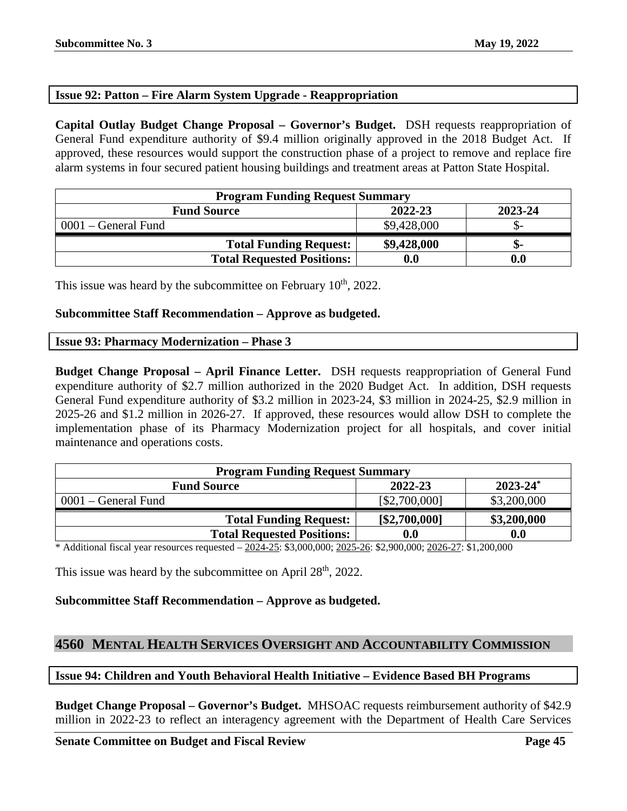# <span id="page-44-0"></span>**Issue 92: Patton – Fire Alarm System Upgrade - Reappropriation**

**Capital Outlay Budget Change Proposal – Governor's Budget.** DSH requests reappropriation of General Fund expenditure authority of \$9.4 million originally approved in the 2018 Budget Act. If approved, these resources would support the construction phase of a project to remove and replace fire alarm systems in four secured patient housing buildings and treatment areas at Patton State Hospital.

| <b>Program Funding Request Summary</b> |             |         |
|----------------------------------------|-------------|---------|
| <b>Fund Source</b>                     | 2022-23     | 2023-24 |
| $0001$ – General Fund                  | \$9,428,000 |         |
| <b>Total Funding Request:</b>          | \$9,428,000 | -ת.     |
| <b>Total Requested Positions:</b>      | 0.0         | 0.0     |

This issue was heard by the subcommittee on February  $10<sup>th</sup>$ , 2022.

# **Subcommittee Staff Recommendation – Approve as budgeted.**

# <span id="page-44-1"></span>**Issue 93: Pharmacy Modernization – Phase 3**

**Budget Change Proposal – April Finance Letter.** DSH requests reappropriation of General Fund expenditure authority of \$2.7 million authorized in the 2020 Budget Act. In addition, DSH requests General Fund expenditure authority of \$3.2 million in 2023-24, \$3 million in 2024-25, \$2.9 million in 2025-26 and \$1.2 million in 2026-27. If approved, these resources would allow DSH to complete the implementation phase of its Pharmacy Modernization project for all hospitals, and cover initial maintenance and operations costs.

| <b>Program Funding Request Summary</b> |               |               |
|----------------------------------------|---------------|---------------|
| <b>Fund Source</b>                     | 2022-23       | $2023 - 24^*$ |
| $0001$ – General Fund                  | [\$2,700,000] | \$3,200,000   |
| <b>Total Funding Request:</b>          | [\$2,700,000] | \$3,200,000   |
| <b>Total Requested Positions:</b>      | 0.0           | 0.0           |

\* Additional fiscal year resources requested – 2024-25: \$3,000,000; 2025-26: \$2,900,000; 2026-27: \$1,200,000

This issue was heard by the subcommittee on April 28<sup>th</sup>, 2022.

# **Subcommittee Staff Recommendation – Approve as budgeted.**

# <span id="page-44-2"></span>**4560 MENTAL HEALTH SERVICES OVERSIGHT AND ACCOUNTABILITY COMMISSION**

# <span id="page-44-3"></span>**Issue 94: Children and Youth Behavioral Health Initiative – Evidence Based BH Programs**

**Budget Change Proposal – Governor's Budget.** MHSOAC requests reimbursement authority of \$42.9 million in 2022-23 to reflect an interagency agreement with the Department of Health Care Services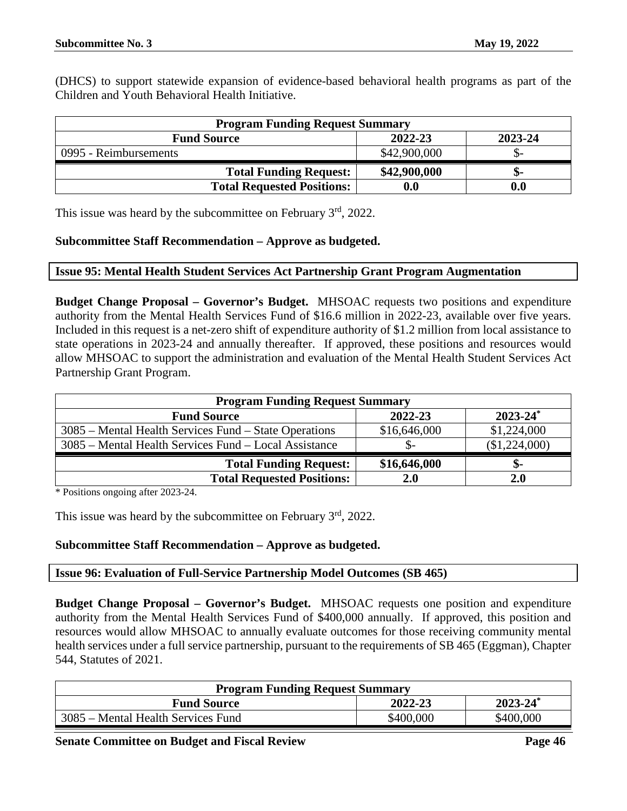(DHCS) to support statewide expansion of evidence-based behavioral health programs as part of the Children and Youth Behavioral Health Initiative.

| <b>Program Funding Request Summary</b> |              |         |
|----------------------------------------|--------------|---------|
| <b>Fund Source</b>                     | 2022-23      | 2023-24 |
| 0995 - Reimbursements                  | \$42,900,000 |         |
| <b>Total Funding Request:</b>          | \$42,900,000 |         |
| <b>Total Requested Positions:</b>      | 0.0          | 0.0     |

This issue was heard by the subcommittee on February 3<sup>rd</sup>, 2022.

#### **Subcommittee Staff Recommendation – Approve as budgeted.**

#### <span id="page-45-0"></span>**Issue 95: Mental Health Student Services Act Partnership Grant Program Augmentation**

**Budget Change Proposal – Governor's Budget.** MHSOAC requests two positions and expenditure authority from the Mental Health Services Fund of \$16.6 million in 2022-23, available over five years. Included in this request is a net-zero shift of expenditure authority of \$1.2 million from local assistance to state operations in 2023-24 and annually thereafter. If approved, these positions and resources would allow MHSOAC to support the administration and evaluation of the Mental Health Student Services Act Partnership Grant Program.

| <b>Program Funding Request Summary</b>                |              |               |
|-------------------------------------------------------|--------------|---------------|
| <b>Fund Source</b>                                    | 2022-23      | $2023 - 24^*$ |
| 3085 – Mental Health Services Fund – State Operations | \$16,646,000 | \$1,224,000   |
| 3085 – Mental Health Services Fund – Local Assistance |              | (\$1,224,000) |
| <b>Total Funding Request:</b>                         | \$16,646,000 | ъ-            |
| <b>Total Requested Positions:</b>                     | 2.0          | 2.0           |

\* Positions ongoing after 2023-24.

This issue was heard by the subcommittee on February  $3<sup>rd</sup>$ , 2022.

# **Subcommittee Staff Recommendation – Approve as budgeted.**

#### <span id="page-45-1"></span>**Issue 96: Evaluation of Full-Service Partnership Model Outcomes (SB 465)**

**Budget Change Proposal – Governor's Budget.** MHSOAC requests one position and expenditure authority from the Mental Health Services Fund of \$400,000 annually. If approved, this position and resources would allow MHSOAC to annually evaluate outcomes for those receiving community mental health services under a full service partnership, pursuant to the requirements of SB 465 (Eggman), Chapter 544, Statutes of 2021.

| <b>Program Funding Request Summary</b> |           |               |
|----------------------------------------|-----------|---------------|
| <b>Fund Source</b>                     | 2022-23   | $2023 - 24^*$ |
| 3085 – Mental Health Services Fund     | \$400,000 | \$400,000     |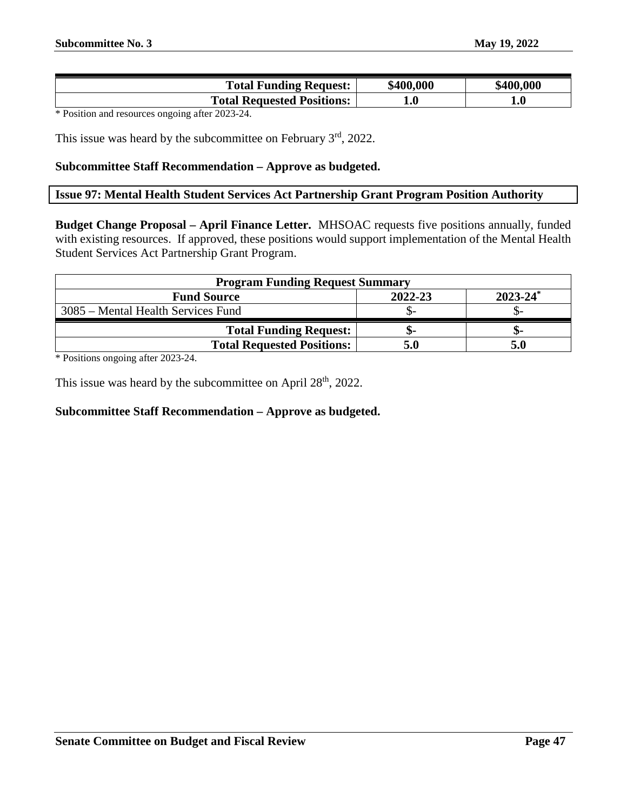| <b>Total Funding Request:</b>     | \$400,000   | \$400,000 |
|-----------------------------------|-------------|-----------|
| <b>Total Requested Positions:</b> | ${\bf 1.0}$ | 1.U       |

This issue was heard by the subcommittee on February  $3<sup>rd</sup>$ , 2022.

#### **Subcommittee Staff Recommendation – Approve as budgeted.**

# <span id="page-46-0"></span>**Issue 97: Mental Health Student Services Act Partnership Grant Program Position Authority**

**Budget Change Proposal – April Finance Letter.** MHSOAC requests five positions annually, funded with existing resources. If approved, these positions would support implementation of the Mental Health Student Services Act Partnership Grant Program.

| <b>Program Funding Request Summary</b> |         |               |
|----------------------------------------|---------|---------------|
| <b>Fund Source</b>                     | 2022-23 | $2023 - 24^*$ |
| 3085 – Mental Health Services Fund     |         |               |
| <b>Total Funding Request:</b>          | .৯-     |               |
| <b>Total Requested Positions:</b>      | 5.0     |               |

\* Positions ongoing after 2023-24.

This issue was heard by the subcommittee on April 28<sup>th</sup>, 2022.

# **Subcommittee Staff Recommendation – Approve as budgeted.**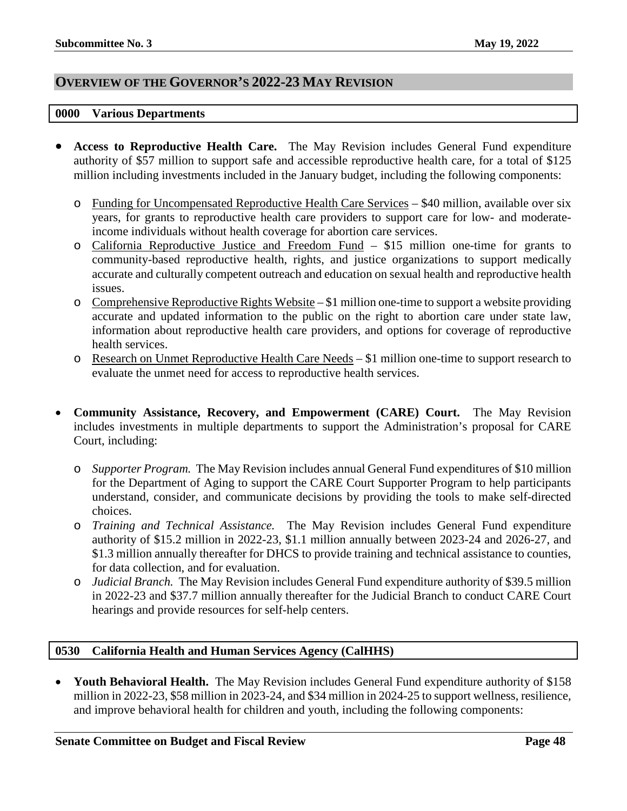# <span id="page-47-0"></span>**OVERVIEW OF THE GOVERNOR'S 2022-23 MAY REVISION**

#### <span id="page-47-1"></span>**0000 Various Departments**

- **Access to Reproductive Health Care.** The May Revision includes General Fund expenditure authority of \$57 million to support safe and accessible reproductive health care, for a total of \$125 million including investments included in the January budget, including the following components:
	- o Funding for Uncompensated Reproductive Health Care Services \$40 million, available over six years, for grants to reproductive health care providers to support care for low- and moderateincome individuals without health coverage for abortion care services.
	- o California Reproductive Justice and Freedom Fund \$15 million one-time for grants to community-based reproductive health, rights, and justice organizations to support medically accurate and culturally competent outreach and education on sexual health and reproductive health issues.
	- $\circ$  Comprehensive Reproductive Rights Website \$1 million one-time to support a website providing accurate and updated information to the public on the right to abortion care under state law, information about reproductive health care providers, and options for coverage of reproductive health services.
	- o Research on Unmet Reproductive Health Care Needs \$1 million one-time to support research to evaluate the unmet need for access to reproductive health services.
- **Community Assistance, Recovery, and Empowerment (CARE) Court.** The May Revision includes investments in multiple departments to support the Administration's proposal for CARE Court, including:
	- o *Supporter Program.* The May Revision includes annual General Fund expenditures of \$10 million for the Department of Aging to support the CARE Court Supporter Program to help participants understand, consider, and communicate decisions by providing the tools to make self-directed choices.
	- o *Training and Technical Assistance.*The May Revision includes General Fund expenditure authority of \$15.2 million in 2022-23, \$1.1 million annually between 2023-24 and 2026-27, and \$1.3 million annually thereafter for DHCS to provide training and technical assistance to counties, for data collection, and for evaluation.
	- o *Judicial Branch.*The May Revision includes General Fund expenditure authority of \$39.5 million in 2022-23 and \$37.7 million annually thereafter for the Judicial Branch to conduct CARE Court hearings and provide resources for self-help centers.

# <span id="page-47-2"></span>**0530 California Health and Human Services Agency (CalHHS)**

• **Youth Behavioral Health.** The May Revision includes General Fund expenditure authority of \$158 million in 2022-23, \$58 million in 2023-24, and \$34 million in 2024-25 to support wellness, resilience, and improve behavioral health for children and youth, including the following components: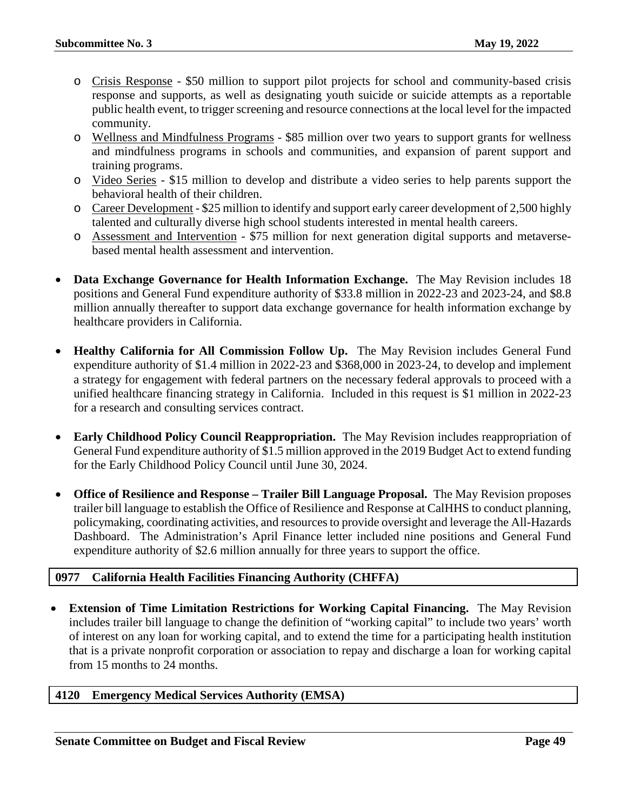- o Crisis Response \$50 million to support pilot projects for school and community-based crisis response and supports, as well as designating youth suicide or suicide attempts as a reportable public health event, to trigger screening and resource connections at the local level for the impacted community.
- o Wellness and Mindfulness Programs \$85 million over two years to support grants for wellness and mindfulness programs in schools and communities, and expansion of parent support and training programs.
- o Video Series \$15 million to develop and distribute a video series to help parents support the behavioral health of their children.
- o Career Development \$25 million to identify and support early career development of 2,500 highly talented and culturally diverse high school students interested in mental health careers.
- o Assessment and Intervention \$75 million for next generation digital supports and metaversebased mental health assessment and intervention.
- **Data Exchange Governance for Health Information Exchange.** The May Revision includes 18 positions and General Fund expenditure authority of \$33.8 million in 2022-23 and 2023-24, and \$8.8 million annually thereafter to support data exchange governance for health information exchange by healthcare providers in California.
- **Healthy California for All Commission Follow Up.** The May Revision includes General Fund expenditure authority of \$1.4 million in 2022-23 and \$368,000 in 2023-24, to develop and implement a strategy for engagement with federal partners on the necessary federal approvals to proceed with a unified healthcare financing strategy in California. Included in this request is \$1 million in 2022-23 for a research and consulting services contract.
- **Early Childhood Policy Council Reappropriation.** The May Revision includes reappropriation of General Fund expenditure authority of \$1.5 million approved in the 2019 Budget Act to extend funding for the Early Childhood Policy Council until June 30, 2024.
- **Office of Resilience and Response – Trailer Bill Language Proposal.** The May Revision proposes trailer bill language to establish the Office of Resilience and Response at CalHHS to conduct planning, policymaking, coordinating activities, and resources to provide oversight and leverage the All-Hazards Dashboard. The Administration's April Finance letter included nine positions and General Fund expenditure authority of \$2.6 million annually for three years to support the office.

# <span id="page-48-0"></span>**0977 California Health Facilities Financing Authority (CHFFA)**

• **Extension of Time Limitation Restrictions for Working Capital Financing.** The May Revision includes trailer bill language to change the definition of "working capital" to include two years' worth of interest on any loan for working capital, and to extend the time for a participating health institution that is a private nonprofit corporation or association to repay and discharge a loan for working capital from 15 months to 24 months.

# <span id="page-48-1"></span>**4120 Emergency Medical Services Authority (EMSA)**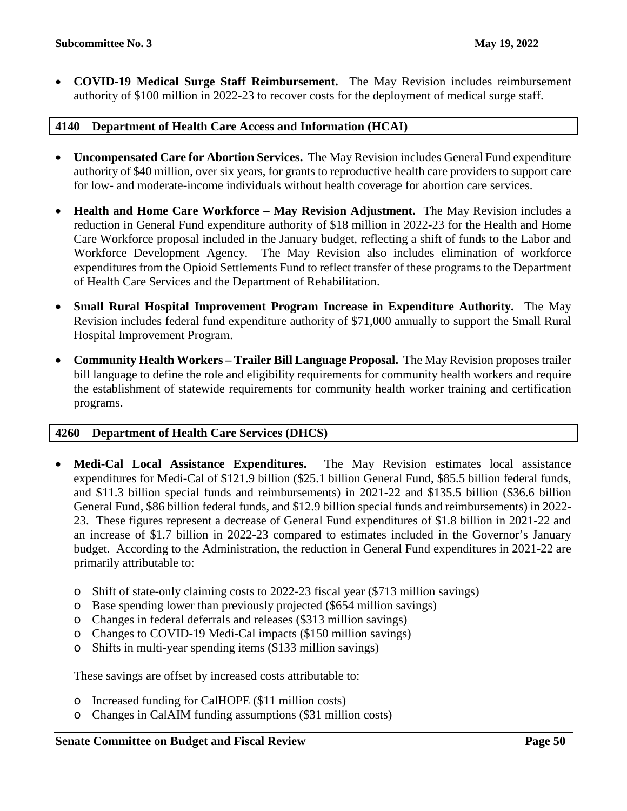• **COVID-19 Medical Surge Staff Reimbursement.** The May Revision includes reimbursement authority of \$100 million in 2022-23 to recover costs for the deployment of medical surge staff.

# <span id="page-49-0"></span>**4140 Department of Health Care Access and Information (HCAI)**

- **Uncompensated Care for Abortion Services.** The May Revision includes General Fund expenditure authority of \$40 million, over six years, for grants to reproductive health care providers to support care for low- and moderate-income individuals without health coverage for abortion care services.
- **Health and Home Care Workforce – May Revision Adjustment.** The May Revision includes a reduction in General Fund expenditure authority of \$18 million in 2022-23 for the Health and Home Care Workforce proposal included in the January budget, reflecting a shift of funds to the Labor and Workforce Development Agency. The May Revision also includes elimination of workforce expenditures from the Opioid Settlements Fund to reflect transfer of these programs to the Department of Health Care Services and the Department of Rehabilitation.
- **Small Rural Hospital Improvement Program Increase in Expenditure Authority.** The May Revision includes federal fund expenditure authority of \$71,000 annually to support the Small Rural Hospital Improvement Program.
- **Community Health Workers – Trailer Bill Language Proposal.** The May Revision proposes trailer bill language to define the role and eligibility requirements for community health workers and require the establishment of statewide requirements for community health worker training and certification programs.

# <span id="page-49-1"></span>**4260 Department of Health Care Services (DHCS)**

- **Medi-Cal Local Assistance Expenditures.** The May Revision estimates local assistance expenditures for Medi-Cal of \$121.9 billion (\$25.1 billion General Fund, \$85.5 billion federal funds, and \$11.3 billion special funds and reimbursements) in 2021-22 and \$135.5 billion (\$36.6 billion General Fund, \$86 billion federal funds, and \$12.9 billion special funds and reimbursements) in 2022- 23. These figures represent a decrease of General Fund expenditures of \$1.8 billion in 2021-22 and an increase of \$1.7 billion in 2022-23 compared to estimates included in the Governor's January budget. According to the Administration, the reduction in General Fund expenditures in 2021-22 are primarily attributable to:
	- o Shift of state-only claiming costs to 2022-23 fiscal year (\$713 million savings)
	- o Base spending lower than previously projected (\$654 million savings)
	- o Changes in federal deferrals and releases (\$313 million savings)
	- o Changes to COVID-19 Medi-Cal impacts (\$150 million savings)
	- o Shifts in multi-year spending items (\$133 million savings)

These savings are offset by increased costs attributable to:

- o Increased funding for CalHOPE (\$11 million costs)
- o Changes in CalAIM funding assumptions (\$31 million costs)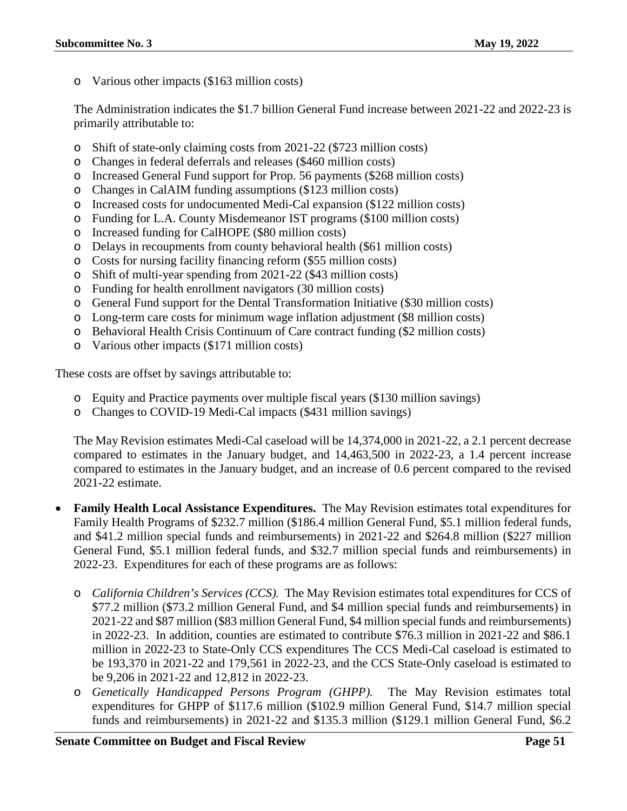o Various other impacts (\$163 million costs)

The Administration indicates the \$1.7 billion General Fund increase between 2021-22 and 2022-23 is primarily attributable to:

- o Shift of state-only claiming costs from 2021-22 (\$723 million costs)
- o Changes in federal deferrals and releases (\$460 million costs)
- o Increased General Fund support for Prop. 56 payments (\$268 million costs)
- o Changes in CalAIM funding assumptions (\$123 million costs)
- o Increased costs for undocumented Medi-Cal expansion (\$122 million costs)
- o Funding for L.A. County Misdemeanor IST programs (\$100 million costs)
- o Increased funding for CalHOPE (\$80 million costs)
- o Delays in recoupments from county behavioral health (\$61 million costs)
- o Costs for nursing facility financing reform (\$55 million costs)
- o Shift of multi-year spending from 2021-22 (\$43 million costs)
- o Funding for health enrollment navigators (30 million costs)
- o General Fund support for the Dental Transformation Initiative (\$30 million costs)
- o Long-term care costs for minimum wage inflation adjustment (\$8 million costs)
- o Behavioral Health Crisis Continuum of Care contract funding (\$2 million costs)
- o Various other impacts (\$171 million costs)

These costs are offset by savings attributable to:

- o Equity and Practice payments over multiple fiscal years (\$130 million savings)
- o Changes to COVID-19 Medi-Cal impacts (\$431 million savings)

The May Revision estimates Medi-Cal caseload will be 14,374,000 in 2021-22, a 2.1 percent decrease compared to estimates in the January budget, and 14,463,500 in 2022-23, a 1.4 percent increase compared to estimates in the January budget, and an increase of 0.6 percent compared to the revised 2021-22 estimate.

- **Family Health Local Assistance Expenditures.** The May Revision estimates total expenditures for Family Health Programs of \$232.7 million (\$186.4 million General Fund, \$5.1 million federal funds, and \$41.2 million special funds and reimbursements) in 2021-22 and \$264.8 million (\$227 million General Fund, \$5.1 million federal funds, and \$32.7 million special funds and reimbursements) in 2022-23. Expenditures for each of these programs are as follows:
	- o *California Children's Services (CCS).* The May Revision estimates total expenditures for CCS of \$77.2 million (\$73.2 million General Fund, and \$4 million special funds and reimbursements) in 2021-22 and \$87 million (\$83 million General Fund, \$4 million special funds and reimbursements) in 2022-23. In addition, counties are estimated to contribute \$76.3 million in 2021-22 and \$86.1 million in 2022-23 to State-Only CCS expenditures The CCS Medi-Cal caseload is estimated to be 193,370 in 2021-22 and 179,561 in 2022-23, and the CCS State-Only caseload is estimated to be 9,206 in 2021-22 and 12,812 in 2022-23.
	- o *Genetically Handicapped Persons Program (GHPP).* The May Revision estimates total expenditures for GHPP of \$117.6 million (\$102.9 million General Fund, \$14.7 million special funds and reimbursements) in 2021-22 and \$135.3 million (\$129.1 million General Fund, \$6.2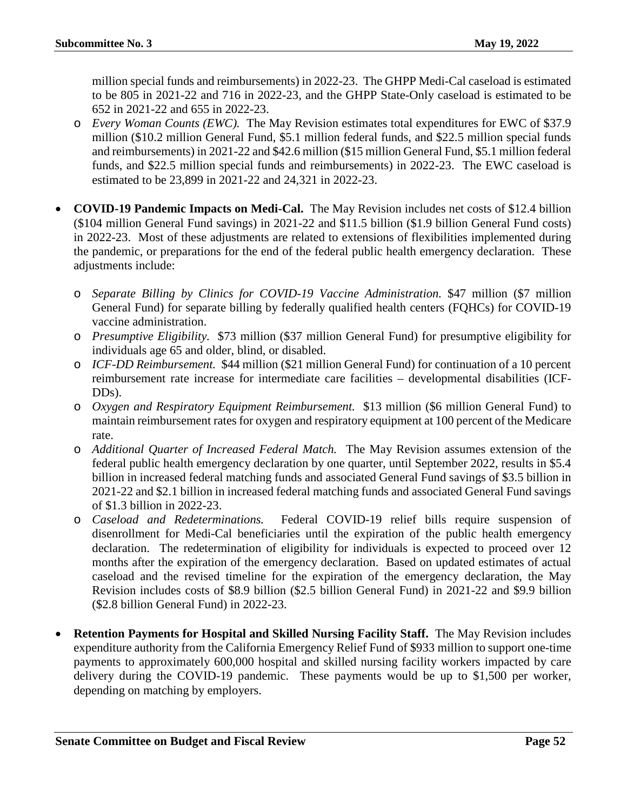million special funds and reimbursements) in 2022-23. The GHPP Medi-Cal caseload is estimated to be 805 in 2021-22 and 716 in 2022-23, and the GHPP State-Only caseload is estimated to be 652 in 2021-22 and 655 in 2022-23.

- o *Every Woman Counts (EWC).* The May Revision estimates total expenditures for EWC of \$37.9 million (\$10.2 million General Fund, \$5.1 million federal funds, and \$22.5 million special funds and reimbursements) in 2021-22 and \$42.6 million (\$15 million General Fund, \$5.1 million federal funds, and \$22.5 million special funds and reimbursements) in 2022-23. The EWC caseload is estimated to be 23,899 in 2021-22 and 24,321 in 2022-23.
- **COVID-19 Pandemic Impacts on Medi-Cal.** The May Revision includes net costs of \$12.4 billion (\$104 million General Fund savings) in 2021-22 and \$11.5 billion (\$1.9 billion General Fund costs) in 2022-23. Most of these adjustments are related to extensions of flexibilities implemented during the pandemic, or preparations for the end of the federal public health emergency declaration. These adjustments include:
	- o *Separate Billing by Clinics for COVID-19 Vaccine Administration.* \$47 million (\$7 million General Fund) for separate billing by federally qualified health centers (FQHCs) for COVID-19 vaccine administration.
	- o *Presumptive Eligibility.*\$73 million (\$37 million General Fund) for presumptive eligibility for individuals age 65 and older, blind, or disabled.
	- o *ICF-DD Reimbursement.* \$44 million (\$21 million General Fund) for continuation of a 10 percent reimbursement rate increase for intermediate care facilities – developmental disabilities (ICF-DDs).
	- o *Oxygen and Respiratory Equipment Reimbursement.*\$13 million (\$6 million General Fund) to maintain reimbursement rates for oxygen and respiratory equipment at 100 percent of the Medicare rate.
	- o *Additional Quarter of Increased Federal Match.*The May Revision assumes extension of the federal public health emergency declaration by one quarter, until September 2022, results in \$5.4 billion in increased federal matching funds and associated General Fund savings of \$3.5 billion in 2021-22 and \$2.1 billion in increased federal matching funds and associated General Fund savings of \$1.3 billion in 2022-23.
	- o *Caseload and Redeterminations.*Federal COVID-19 relief bills require suspension of disenrollment for Medi-Cal beneficiaries until the expiration of the public health emergency declaration. The redetermination of eligibility for individuals is expected to proceed over 12 months after the expiration of the emergency declaration. Based on updated estimates of actual caseload and the revised timeline for the expiration of the emergency declaration, the May Revision includes costs of \$8.9 billion (\$2.5 billion General Fund) in 2021-22 and \$9.9 billion (\$2.8 billion General Fund) in 2022-23.
- **Retention Payments for Hospital and Skilled Nursing Facility Staff.** The May Revision includes expenditure authority from the California Emergency Relief Fund of \$933 million to support one-time payments to approximately 600,000 hospital and skilled nursing facility workers impacted by care delivery during the COVID-19 pandemic. These payments would be up to \$1,500 per worker, depending on matching by employers.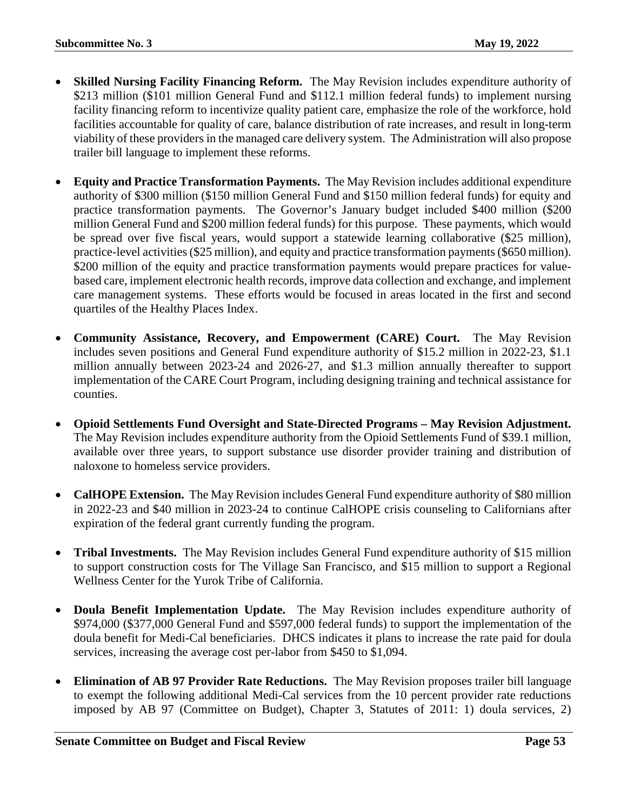- **Skilled Nursing Facility Financing Reform.** The May Revision includes expenditure authority of \$213 million (\$101 million General Fund and \$112.1 million federal funds) to implement nursing facility financing reform to incentivize quality patient care, emphasize the role of the workforce, hold facilities accountable for quality of care, balance distribution of rate increases, and result in long-term viability of these providers in the managed care delivery system. The Administration will also propose trailer bill language to implement these reforms.
- **Equity and Practice Transformation Payments.** The May Revision includes additional expenditure authority of \$300 million (\$150 million General Fund and \$150 million federal funds) for equity and practice transformation payments. The Governor's January budget included \$400 million (\$200 million General Fund and \$200 million federal funds) for this purpose. These payments, which would be spread over five fiscal years, would support a statewide learning collaborative (\$25 million), practice-level activities (\$25 million), and equity and practice transformation payments (\$650 million). \$200 million of the equity and practice transformation payments would prepare practices for valuebased care, implement electronic health records, improve data collection and exchange, and implement care management systems. These efforts would be focused in areas located in the first and second quartiles of the Healthy Places Index.
- **Community Assistance, Recovery, and Empowerment (CARE) Court.** The May Revision includes seven positions and General Fund expenditure authority of \$15.2 million in 2022-23, \$1.1 million annually between 2023-24 and 2026-27, and \$1.3 million annually thereafter to support implementation of the CARE Court Program, including designing training and technical assistance for counties.
- **Opioid Settlements Fund Oversight and State-Directed Programs – May Revision Adjustment.** The May Revision includes expenditure authority from the Opioid Settlements Fund of \$39.1 million, available over three years, to support substance use disorder provider training and distribution of naloxone to homeless service providers.
- **CalHOPE Extension.** The May Revision includes General Fund expenditure authority of \$80 million in 2022-23 and \$40 million in 2023-24 to continue CalHOPE crisis counseling to Californians after expiration of the federal grant currently funding the program.
- **Tribal Investments.** The May Revision includes General Fund expenditure authority of \$15 million to support construction costs for The Village San Francisco, and \$15 million to support a Regional Wellness Center for the Yurok Tribe of California.
- **Doula Benefit Implementation Update.** The May Revision includes expenditure authority of \$974,000 (\$377,000 General Fund and \$597,000 federal funds) to support the implementation of the doula benefit for Medi-Cal beneficiaries. DHCS indicates it plans to increase the rate paid for doula services, increasing the average cost per-labor from \$450 to \$1,094.
- **Elimination of AB 97 Provider Rate Reductions.** The May Revision proposes trailer bill language to exempt the following additional Medi-Cal services from the 10 percent provider rate reductions imposed by AB 97 (Committee on Budget), Chapter 3, Statutes of 2011: 1) doula services, 2)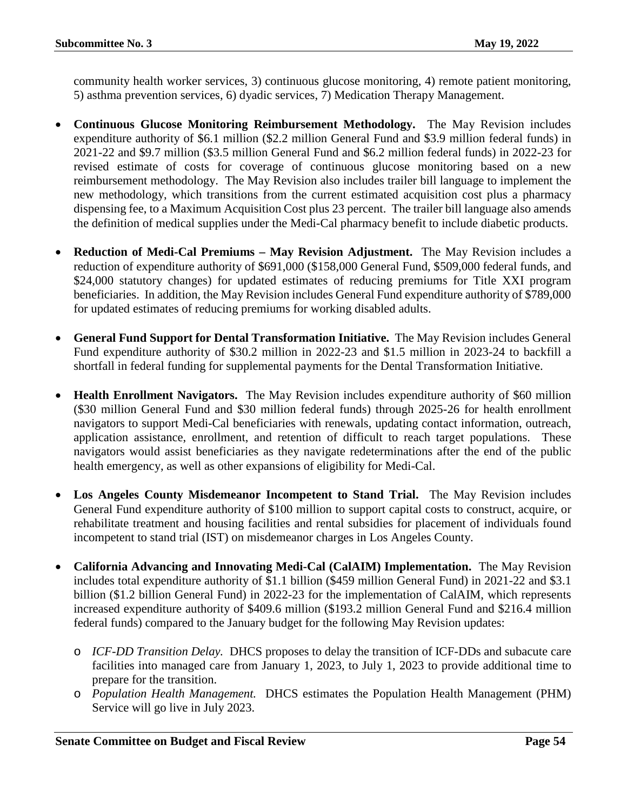community health worker services, 3) continuous glucose monitoring, 4) remote patient monitoring, 5) asthma prevention services, 6) dyadic services, 7) Medication Therapy Management.

- **Continuous Glucose Monitoring Reimbursement Methodology.** The May Revision includes expenditure authority of \$6.1 million (\$2.2 million General Fund and \$3.9 million federal funds) in 2021-22 and \$9.7 million (\$3.5 million General Fund and \$6.2 million federal funds) in 2022-23 for revised estimate of costs for coverage of continuous glucose monitoring based on a new reimbursement methodology. The May Revision also includes trailer bill language to implement the new methodology, which transitions from the current estimated acquisition cost plus a pharmacy dispensing fee, to a Maximum Acquisition Cost plus 23 percent. The trailer bill language also amends the definition of medical supplies under the Medi-Cal pharmacy benefit to include diabetic products.
- **Reduction of Medi-Cal Premiums – May Revision Adjustment.** The May Revision includes a reduction of expenditure authority of \$691,000 (\$158,000 General Fund, \$509,000 federal funds, and \$24,000 statutory changes) for updated estimates of reducing premiums for Title XXI program beneficiaries. In addition, the May Revision includes General Fund expenditure authority of \$789,000 for updated estimates of reducing premiums for working disabled adults.
- **General Fund Support for Dental Transformation Initiative.** The May Revision includes General Fund expenditure authority of \$30.2 million in 2022-23 and \$1.5 million in 2023-24 to backfill a shortfall in federal funding for supplemental payments for the Dental Transformation Initiative.
- **Health Enrollment Navigators.** The May Revision includes expenditure authority of \$60 million (\$30 million General Fund and \$30 million federal funds) through 2025-26 for health enrollment navigators to support Medi-Cal beneficiaries with renewals, updating contact information, outreach, application assistance, enrollment, and retention of difficult to reach target populations. These navigators would assist beneficiaries as they navigate redeterminations after the end of the public health emergency, as well as other expansions of eligibility for Medi-Cal.
- **Los Angeles County Misdemeanor Incompetent to Stand Trial.** The May Revision includes General Fund expenditure authority of \$100 million to support capital costs to construct, acquire, or rehabilitate treatment and housing facilities and rental subsidies for placement of individuals found incompetent to stand trial (IST) on misdemeanor charges in Los Angeles County.
- **California Advancing and Innovating Medi-Cal (CalAIM) Implementation.** The May Revision includes total expenditure authority of \$1.1 billion (\$459 million General Fund) in 2021-22 and \$3.1 billion (\$1.2 billion General Fund) in 2022-23 for the implementation of CalAIM, which represents increased expenditure authority of \$409.6 million (\$193.2 million General Fund and \$216.4 million federal funds) compared to the January budget for the following May Revision updates:
	- o *ICF-DD Transition Delay.* DHCS proposes to delay the transition of ICF-DDs and subacute care facilities into managed care from January 1, 2023, to July 1, 2023 to provide additional time to prepare for the transition.
	- o *Population Health Management.* DHCS estimates the Population Health Management (PHM) Service will go live in July 2023.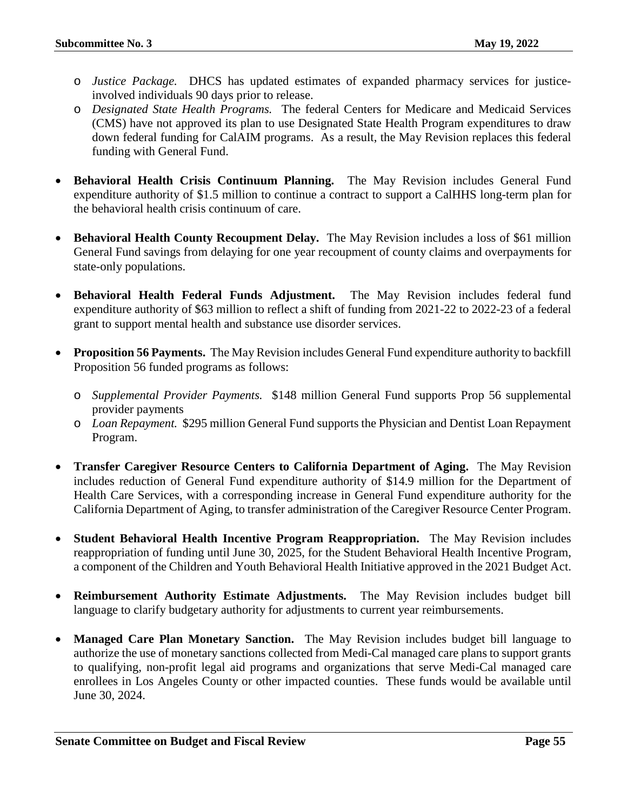- o *Justice Package.* DHCS has updated estimates of expanded pharmacy services for justiceinvolved individuals 90 days prior to release.
- o *Designated State Health Programs.* The federal Centers for Medicare and Medicaid Services (CMS) have not approved its plan to use Designated State Health Program expenditures to draw down federal funding for CalAIM programs. As a result, the May Revision replaces this federal funding with General Fund.
- **Behavioral Health Crisis Continuum Planning.** The May Revision includes General Fund expenditure authority of \$1.5 million to continue a contract to support a CalHHS long-term plan for the behavioral health crisis continuum of care.
- **Behavioral Health County Recoupment Delay.** The May Revision includes a loss of \$61 million General Fund savings from delaying for one year recoupment of county claims and overpayments for state-only populations.
- **Behavioral Health Federal Funds Adjustment.** The May Revision includes federal fund expenditure authority of \$63 million to reflect a shift of funding from 2021-22 to 2022-23 of a federal grant to support mental health and substance use disorder services.
- **Proposition 56 Payments.** The May Revision includes General Fund expenditure authority to backfill Proposition 56 funded programs as follows:
	- o *Supplemental Provider Payments.* \$148 million General Fund supports Prop 56 supplemental provider payments
	- o *Loan Repayment.* \$295 million General Fund supports the Physician and Dentist Loan Repayment Program.
- **Transfer Caregiver Resource Centers to California Department of Aging.** The May Revision includes reduction of General Fund expenditure authority of \$14.9 million for the Department of Health Care Services, with a corresponding increase in General Fund expenditure authority for the California Department of Aging, to transfer administration of the Caregiver Resource Center Program.
- **Student Behavioral Health Incentive Program Reappropriation.** The May Revision includes reappropriation of funding until June 30, 2025, for the Student Behavioral Health Incentive Program, a component of the Children and Youth Behavioral Health Initiative approved in the 2021 Budget Act.
- **Reimbursement Authority Estimate Adjustments.** The May Revision includes budget bill language to clarify budgetary authority for adjustments to current year reimbursements.
- **Managed Care Plan Monetary Sanction.** The May Revision includes budget bill language to authorize the use of monetary sanctions collected from Medi-Cal managed care plans to support grants to qualifying, non-profit legal aid programs and organizations that serve Medi-Cal managed care enrollees in Los Angeles County or other impacted counties. These funds would be available until June 30, 2024.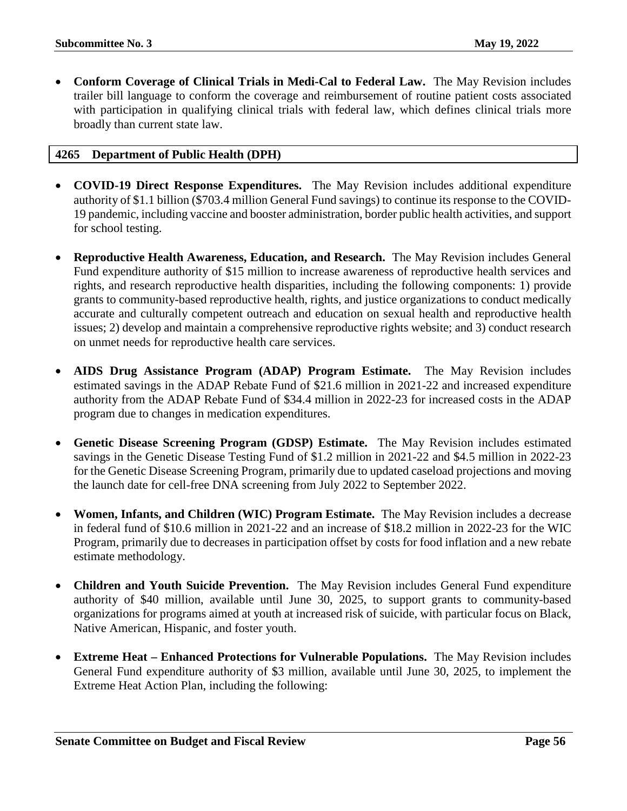• **Conform Coverage of Clinical Trials in Medi-Cal to Federal Law.** The May Revision includes trailer bill language to conform the coverage and reimbursement of routine patient costs associated with participation in qualifying clinical trials with federal law, which defines clinical trials more broadly than current state law.

# <span id="page-55-0"></span>**4265 Department of Public Health (DPH)**

- **COVID-19 Direct Response Expenditures.** The May Revision includes additional expenditure authority of \$1.1 billion (\$703.4 million General Fund savings) to continue its response to the COVID-19 pandemic, including vaccine and booster administration, border public health activities, and support for school testing.
- **Reproductive Health Awareness, Education, and Research.** The May Revision includes General Fund expenditure authority of \$15 million to increase awareness of reproductive health services and rights, and research reproductive health disparities, including the following components: 1) provide grants to community-based reproductive health, rights, and justice organizations to conduct medically accurate and culturally competent outreach and education on sexual health and reproductive health issues; 2) develop and maintain a comprehensive reproductive rights website; and 3) conduct research on unmet needs for reproductive health care services.
- **AIDS Drug Assistance Program (ADAP) Program Estimate.** The May Revision includes estimated savings in the ADAP Rebate Fund of \$21.6 million in 2021-22 and increased expenditure authority from the ADAP Rebate Fund of \$34.4 million in 2022-23 for increased costs in the ADAP program due to changes in medication expenditures.
- **Genetic Disease Screening Program (GDSP) Estimate.** The May Revision includes estimated savings in the Genetic Disease Testing Fund of \$1.2 million in 2021-22 and \$4.5 million in 2022-23 for the Genetic Disease Screening Program, primarily due to updated caseload projections and moving the launch date for cell-free DNA screening from July 2022 to September 2022.
- **Women, Infants, and Children (WIC) Program Estimate.** The May Revision includes a decrease in federal fund of \$10.6 million in 2021-22 and an increase of \$18.2 million in 2022-23 for the WIC Program, primarily due to decreases in participation offset by costs for food inflation and a new rebate estimate methodology.
- **Children and Youth Suicide Prevention.** The May Revision includes General Fund expenditure authority of \$40 million, available until June 30, 2025, to support grants to community-based organizations for programs aimed at youth at increased risk of suicide, with particular focus on Black, Native American, Hispanic, and foster youth.
- **Extreme Heat – Enhanced Protections for Vulnerable Populations.** The May Revision includes General Fund expenditure authority of \$3 million, available until June 30, 2025, to implement the Extreme Heat Action Plan, including the following: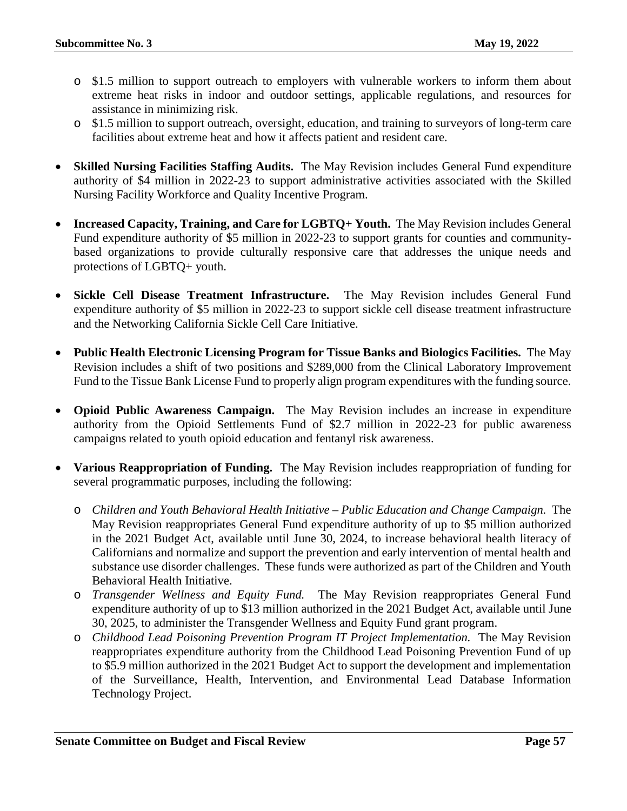- o \$1.5 million to support outreach to employers with vulnerable workers to inform them about extreme heat risks in indoor and outdoor settings, applicable regulations, and resources for assistance in minimizing risk.
- o \$1.5 million to support outreach, oversight, education, and training to surveyors of long-term care facilities about extreme heat and how it affects patient and resident care.
- **Skilled Nursing Facilities Staffing Audits.** The May Revision includes General Fund expenditure authority of \$4 million in 2022-23 to support administrative activities associated with the Skilled Nursing Facility Workforce and Quality Incentive Program.
- **Increased Capacity, Training, and Care for LGBTQ+ Youth.** The May Revision includes General Fund expenditure authority of \$5 million in 2022-23 to support grants for counties and communitybased organizations to provide culturally responsive care that addresses the unique needs and protections of LGBTQ+ youth.
- **Sickle Cell Disease Treatment Infrastructure.** The May Revision includes General Fund expenditure authority of \$5 million in 2022-23 to support sickle cell disease treatment infrastructure and the Networking California Sickle Cell Care Initiative.
- **Public Health Electronic Licensing Program for Tissue Banks and Biologics Facilities.** The May Revision includes a shift of two positions and \$289,000 from the Clinical Laboratory Improvement Fund to the Tissue Bank License Fund to properly align program expenditures with the funding source.
- **Opioid Public Awareness Campaign.** The May Revision includes an increase in expenditure authority from the Opioid Settlements Fund of \$2.7 million in 2022-23 for public awareness campaigns related to youth opioid education and fentanyl risk awareness.
- **Various Reappropriation of Funding.** The May Revision includes reappropriation of funding for several programmatic purposes, including the following:
	- o *Children and Youth Behavioral Health Initiative – Public Education and Change Campaign.* The May Revision reappropriates General Fund expenditure authority of up to \$5 million authorized in the 2021 Budget Act, available until June 30, 2024, to increase behavioral health literacy of Californians and normalize and support the prevention and early intervention of mental health and substance use disorder challenges. These funds were authorized as part of the Children and Youth Behavioral Health Initiative.
	- o *Transgender Wellness and Equity Fund.* The May Revision reappropriates General Fund expenditure authority of up to \$13 million authorized in the 2021 Budget Act, available until June 30, 2025, to administer the Transgender Wellness and Equity Fund grant program.
	- o *Childhood Lead Poisoning Prevention Program IT Project Implementation.* The May Revision reappropriates expenditure authority from the Childhood Lead Poisoning Prevention Fund of up to \$5.9 million authorized in the 2021 Budget Act to support the development and implementation of the Surveillance, Health, Intervention, and Environmental Lead Database Information Technology Project.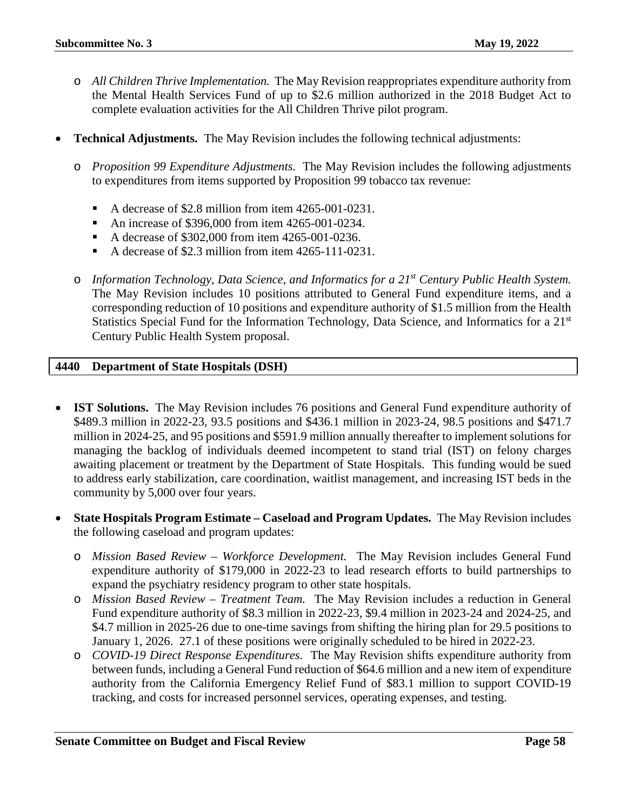- o *All Children Thrive Implementation.* The May Revision reappropriates expenditure authority from the Mental Health Services Fund of up to \$2.6 million authorized in the 2018 Budget Act to complete evaluation activities for the All Children Thrive pilot program.
- **Technical Adjustments.** The May Revision includes the following technical adjustments:
	- o *Proposition 99 Expenditure Adjustments.* The May Revision includes the following adjustments to expenditures from items supported by Proposition 99 tobacco tax revenue:
		- A decrease of \$2.8 million from item 4265-001-0231.
		- An increase of \$396,000 from item 4265-001-0234.
		- A decrease of \$302,000 from item 4265-001-0236.
		- A decrease of \$2.3 million from item  $4265-111-0231$ .
	- o *Information Technology, Data Science, and Informatics for a 21st Century Public Health System.*  The May Revision includes 10 positions attributed to General Fund expenditure items, and a corresponding reduction of 10 positions and expenditure authority of \$1.5 million from the Health Statistics Special Fund for the Information Technology, Data Science, and Informatics for a 21<sup>st</sup> Century Public Health System proposal.

#### <span id="page-57-0"></span>**4440 Department of State Hospitals (DSH)**

- **IST Solutions.** The May Revision includes 76 positions and General Fund expenditure authority of \$489.3 million in 2022-23, 93.5 positions and \$436.1 million in 2023-24, 98.5 positions and \$471.7 million in 2024-25, and 95 positions and \$591.9 million annually thereafter to implement solutions for managing the backlog of individuals deemed incompetent to stand trial (IST) on felony charges awaiting placement or treatment by the Department of State Hospitals. This funding would be sued to address early stabilization, care coordination, waitlist management, and increasing IST beds in the community by 5,000 over four years.
- **State Hospitals Program Estimate – Caseload and Program Updates.** The May Revision includes the following caseload and program updates:
	- o *Mission Based Review – Workforce Development.* The May Revision includes General Fund expenditure authority of \$179,000 in 2022-23 to lead research efforts to build partnerships to expand the psychiatry residency program to other state hospitals.
	- o *Mission Based Review – Treatment Team.* The May Revision includes a reduction in General Fund expenditure authority of \$8.3 million in 2022-23, \$9.4 million in 2023-24 and 2024-25, and \$4.7 million in 2025-26 due to one-time savings from shifting the hiring plan for 29.5 positions to January 1, 2026. 27.1 of these positions were originally scheduled to be hired in 2022-23.
	- o *COVID-19 Direct Response Expenditures.* The May Revision shifts expenditure authority from between funds, including a General Fund reduction of \$64.6 million and a new item of expenditure authority from the California Emergency Relief Fund of \$83.1 million to support COVID-19 tracking, and costs for increased personnel services, operating expenses, and testing.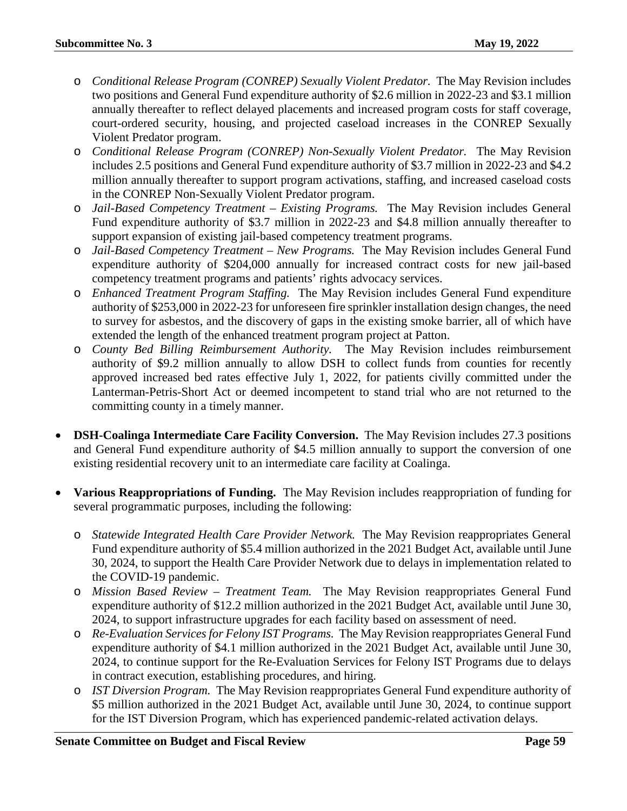- o *Conditional Release Program (CONREP) Sexually Violent Predator.* The May Revision includes two positions and General Fund expenditure authority of \$2.6 million in 2022-23 and \$3.1 million annually thereafter to reflect delayed placements and increased program costs for staff coverage, court-ordered security, housing, and projected caseload increases in the CONREP Sexually Violent Predator program.
- o *Conditional Release Program (CONREP) Non-Sexually Violent Predator.* The May Revision includes 2.5 positions and General Fund expenditure authority of \$3.7 million in 2022-23 and \$4.2 million annually thereafter to support program activations, staffing, and increased caseload costs in the CONREP Non-Sexually Violent Predator program.
- o *Jail-Based Competency Treatment – Existing Programs.* The May Revision includes General Fund expenditure authority of \$3.7 million in 2022-23 and \$4.8 million annually thereafter to support expansion of existing jail-based competency treatment programs.
- o *Jail-Based Competency Treatment – New Programs.* The May Revision includes General Fund expenditure authority of \$204,000 annually for increased contract costs for new jail-based competency treatment programs and patients' rights advocacy services.
- o *Enhanced Treatment Program Staffing.* The May Revision includes General Fund expenditure authority of \$253,000 in 2022-23 for unforeseen fire sprinkler installation design changes, the need to survey for asbestos, and the discovery of gaps in the existing smoke barrier, all of which have extended the length of the enhanced treatment program project at Patton.
- o *County Bed Billing Reimbursement Authority.*The May Revision includes reimbursement authority of \$9.2 million annually to allow DSH to collect funds from counties for recently approved increased bed rates effective July 1, 2022, for patients civilly committed under the Lanterman-Petris-Short Act or deemed incompetent to stand trial who are not returned to the committing county in a timely manner.
- **DSH-Coalinga Intermediate Care Facility Conversion.** The May Revision includes 27.3 positions and General Fund expenditure authority of \$4.5 million annually to support the conversion of one existing residential recovery unit to an intermediate care facility at Coalinga.
- **Various Reappropriations of Funding.** The May Revision includes reappropriation of funding for several programmatic purposes, including the following:
	- o *Statewide Integrated Health Care Provider Network.* The May Revision reappropriates General Fund expenditure authority of \$5.4 million authorized in the 2021 Budget Act, available until June 30, 2024, to support the Health Care Provider Network due to delays in implementation related to the COVID-19 pandemic.
	- o *Mission Based Review – Treatment Team.* The May Revision reappropriates General Fund expenditure authority of \$12.2 million authorized in the 2021 Budget Act, available until June 30, 2024, to support infrastructure upgrades for each facility based on assessment of need.
	- o *Re-Evaluation Services for Felony IST Programs.* The May Revision reappropriates General Fund expenditure authority of \$4.1 million authorized in the 2021 Budget Act, available until June 30, 2024, to continue support for the Re-Evaluation Services for Felony IST Programs due to delays in contract execution, establishing procedures, and hiring.
	- o *IST Diversion Program.* The May Revision reappropriates General Fund expenditure authority of \$5 million authorized in the 2021 Budget Act, available until June 30, 2024, to continue support for the IST Diversion Program, which has experienced pandemic-related activation delays.